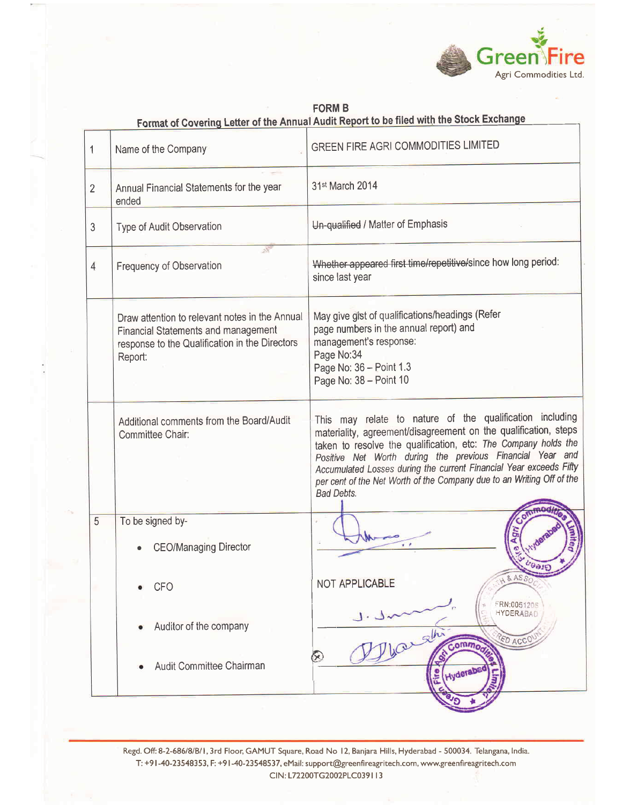

|                | Format of Covering Letter of the Annual Audit Report to be filed with the Stock Exchange                                                                  |                                                                                                                                                                                                                                                                                                                                                                                                                                |  |
|----------------|-----------------------------------------------------------------------------------------------------------------------------------------------------------|--------------------------------------------------------------------------------------------------------------------------------------------------------------------------------------------------------------------------------------------------------------------------------------------------------------------------------------------------------------------------------------------------------------------------------|--|
| 1              | Name of the Company                                                                                                                                       | <b>GREEN FIRE AGRI COMMODITIES LIMITED</b>                                                                                                                                                                                                                                                                                                                                                                                     |  |
| $\overline{2}$ | Annual Financial Statements for the year<br>ended                                                                                                         | 31st March 2014                                                                                                                                                                                                                                                                                                                                                                                                                |  |
| 3              | Type of Audit Observation                                                                                                                                 | Un-qualified / Matter of Emphasis                                                                                                                                                                                                                                                                                                                                                                                              |  |
| $\overline{4}$ | $\mathcal{L}_{\mathcal{L}}$<br>Frequency of Observation                                                                                                   | Whether appeared first time/repetitive/since how long period:<br>since last year                                                                                                                                                                                                                                                                                                                                               |  |
|                | Draw attention to relevant notes in the Annual<br><b>Financial Statements and management</b><br>response to the Qualification in the Directors<br>Report: | May give gist of qualifications/headings (Refer<br>page numbers in the annual report) and<br>management's response:<br>Page No:34<br>Page No: 36 - Point 1.3<br>Page No: 38 - Point 10                                                                                                                                                                                                                                         |  |
|                | Additional comments from the Board/Audit<br>Committee Chair:                                                                                              | This may relate to nature of the qualification including<br>materiality, agreement/disagreement on the qualification, steps<br>taken to resolve the qualification, etc: The Company holds the<br>Positive Net Worth during the previous Financial Year and<br>Accumulated Losses during the current Financial Year exceeds Fifty<br>per cent of the Net Worth of the Company due to an Writing Off of the<br><b>Bad Debts.</b> |  |
| 5              | To be signed by-<br><b>CEO/Managing Director</b>                                                                                                          | Agn<br>6000                                                                                                                                                                                                                                                                                                                                                                                                                    |  |
|                | <b>CFO</b>                                                                                                                                                | $A$ & $ASS$<br>NOT APPLICABLE                                                                                                                                                                                                                                                                                                                                                                                                  |  |
|                | Auditor of the company                                                                                                                                    | FRN:0051205<br><b>HYDERABAD</b><br>ED ACCO<br>commod                                                                                                                                                                                                                                                                                                                                                                           |  |
|                | Audit Committee Chairman                                                                                                                                  | Hyderabe<br><b>Cire</b>                                                                                                                                                                                                                                                                                                                                                                                                        |  |

**FORM B** 

Regd. Off: 8-2-686/8/B/1, 3rd Floor, GAMUT Square, Road No 12, Banjara Hills, Hyderabad - 500034. Telangana, India. T: +91-40-23548353, F: +91-40-23548537, eMail: support@greenfireagritech.com, www.greenfireagritech.com CIN: L72200TG2002PLC039113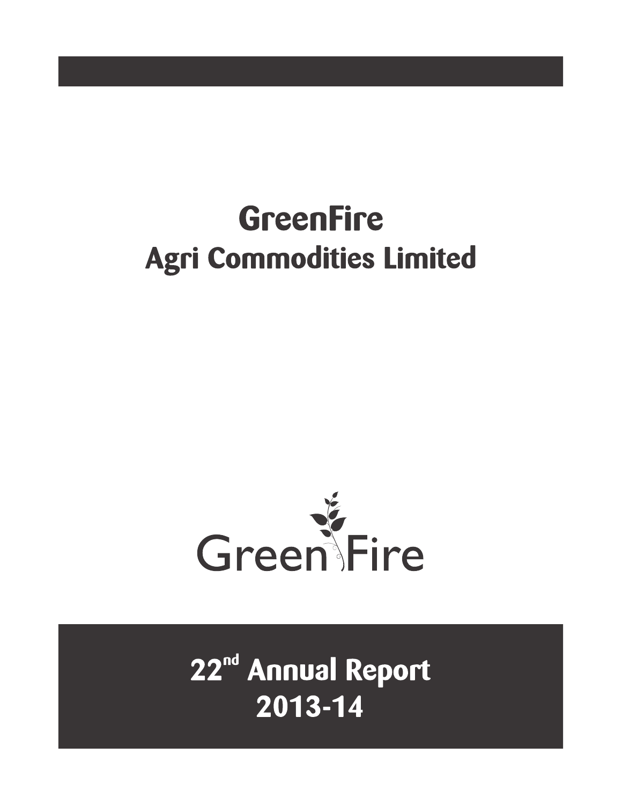# **GreenFire Agri Commodities Limited**



22<sup>nd</sup> Annual Report 2013-14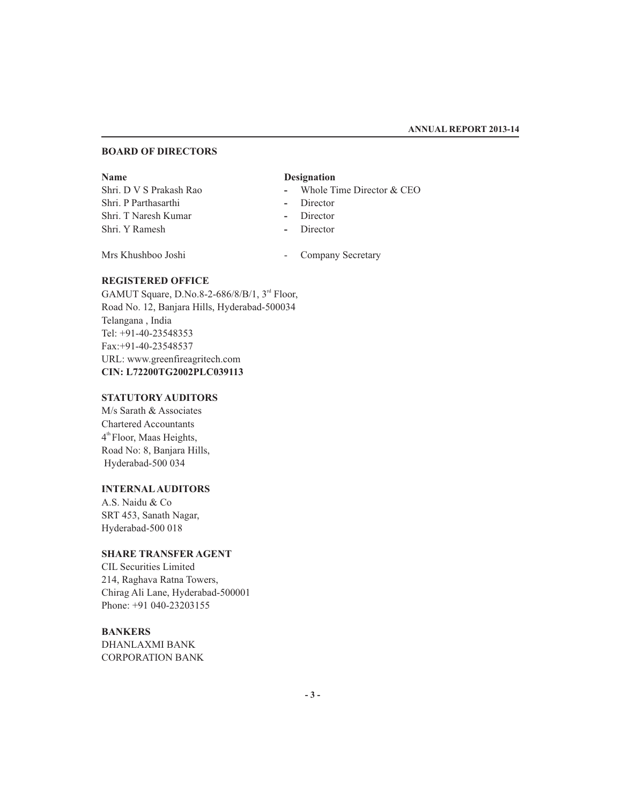### **BOARD OF DIRECTORS**

Shri. P Parthasarthi **-** Director Shri. T Naresh Kumar **-** Director Shri. Y Ramesh **-** Director

### **Name Designation**

- Shri. D V S Prakash Rao **-** Whole Time Director & CEO
	-
	-
	-

Mrs Khushboo Joshi - Company Secretary

### **REGISTERED OFFICE**

GAMUT Square, D.No.8-2-686/8/B/1, 3<sup>rd</sup> Floor, Road No. 12, Banjara Hills, Hyderabad-500034 Telangana , India Tel: +91-40-23548353 Fax:+91-40-23548537 URL: www.greenfireagritech.com **CIN: L72200TG2002PLC039113**

### **STATUTORY AUDITORS**

M/s Sarath & Associates Chartered Accountants  $4<sup>th</sup>$  Floor, Maas Heights, Road No: 8, Banjara Hills, Hyderabad-500 034

### **INTERNAL AUDITORS**

A.S. Naidu & Co SRT 453, Sanath Nagar, Hyderabad-500 018

### **SHARE TRANSFER AGENT**

CIL Securities Limited 214, Raghava Ratna Towers, Chirag Ali Lane, Hyderabad-500001 Phone: +91 040-23203155

### **BANKERS**

DHANLAXMI BANK CORPORATION BANK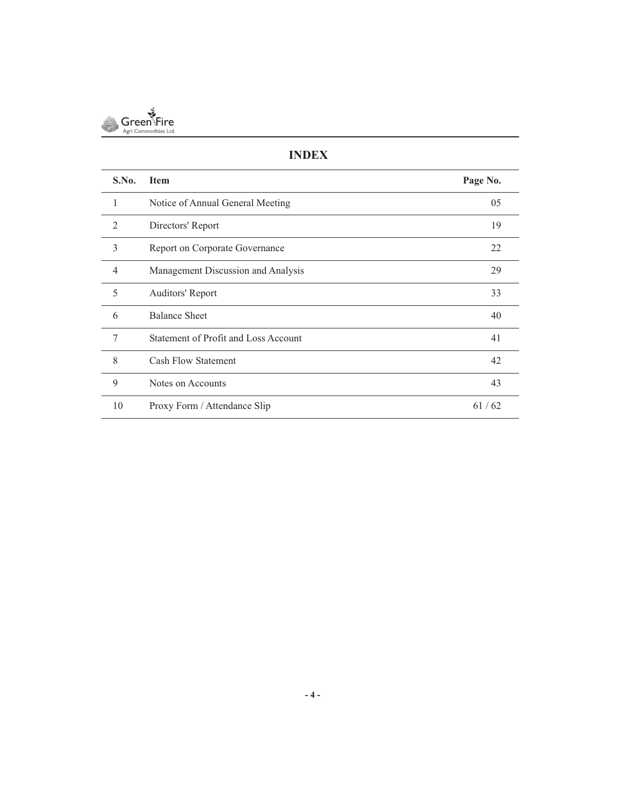

### **INDEX**

| S.No.          | <b>Item</b>                          | Page No. |
|----------------|--------------------------------------|----------|
| 1              | Notice of Annual General Meeting     | 05       |
| $\mathfrak{D}$ | Directors' Report                    | 19       |
| 3              | Report on Corporate Governance       | 22       |
| 4              | Management Discussion and Analysis   | 29       |
| 5              | Auditors' Report                     | 33       |
| 6              | <b>Balance Sheet</b>                 | 40       |
| 7              | Statement of Profit and Loss Account | 41       |
| 8              | <b>Cash Flow Statement</b>           | 42       |
| 9              | Notes on Accounts                    | 43       |
| 10             | Proxy Form / Attendance Slip         | 61/62    |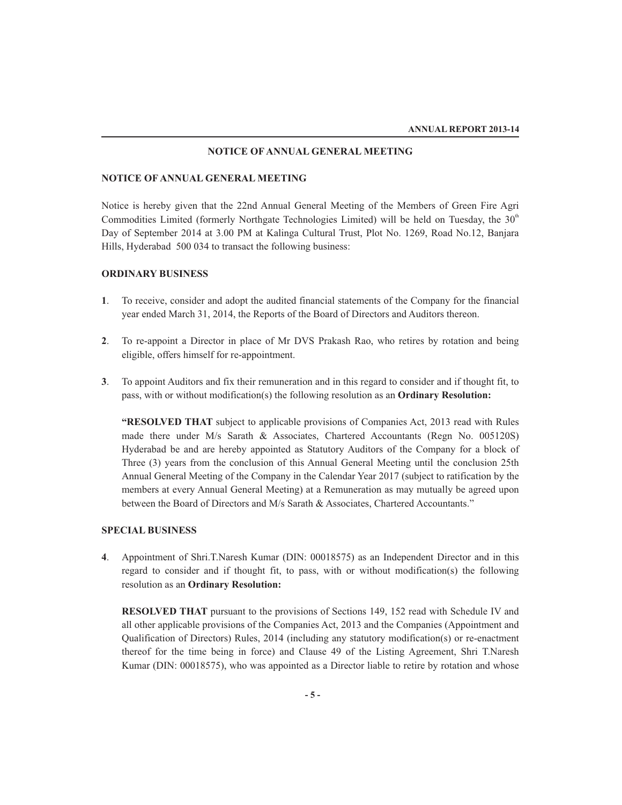### **NOTICE OF ANNUAL GENERAL MEETING**

### **NOTICE OF ANNUAL GENERAL MEETING**

Notice is hereby given that the 22nd Annual General Meeting of the Members of Green Fire Agri Commodities Limited (formerly Northgate Technologies Limited) will be held on Tuesday, the  $30<sup>th</sup>$ Day of September 2014 at 3.00 PM at Kalinga Cultural Trust, Plot No. 1269, Road No.12, Banjara Hills, Hyderabad 500 034 to transact the following business:

### **ORDINARY BUSINESS**

- **1**. To receive, consider and adopt the audited financial statements of the Company for the financial year ended March 31, 2014, the Reports of the Board of Directors and Auditors thereon.
- **2**. To re-appoint a Director in place of Mr DVS Prakash Rao, who retires by rotation and being eligible, offers himself for re-appointment.
- **3**. To appoint Auditors and fix their remuneration and in this regard to consider and if thought fit, to pass, with or without modification(s) the following resolution as an **Ordinary Resolution:**

**"RESOLVED THAT** subject to applicable provisions of Companies Act, 2013 read with Rules made there under M/s Sarath & Associates, Chartered Accountants (Regn No. 005120S) Hyderabad be and are hereby appointed as Statutory Auditors of the Company for a block of Three (3) years from the conclusion of this Annual General Meeting until the conclusion 25th Annual General Meeting of the Company in the Calendar Year 2017 (subject to ratification by the members at every Annual General Meeting) at a Remuneration as may mutually be agreed upon between the Board of Directors and M/s Sarath & Associates, Chartered Accountants."

### **SPECIAL BUSINESS**

**4**. Appointment of Shri.T.Naresh Kumar (DIN: 00018575) as an Independent Director and in this regard to consider and if thought fit, to pass, with or without modification(s) the following resolution as an **Ordinary Resolution:**

**RESOLVED THAT** pursuant to the provisions of Sections 149, 152 read with Schedule IV and all other applicable provisions of the Companies Act, 2013 and the Companies (Appointment and Qualification of Directors) Rules, 2014 (including any statutory modification(s) or re-enactment thereof for the time being in force) and Clause 49 of the Listing Agreement, Shri T.Naresh Kumar (DIN: 00018575), who was appointed as a Director liable to retire by rotation and whose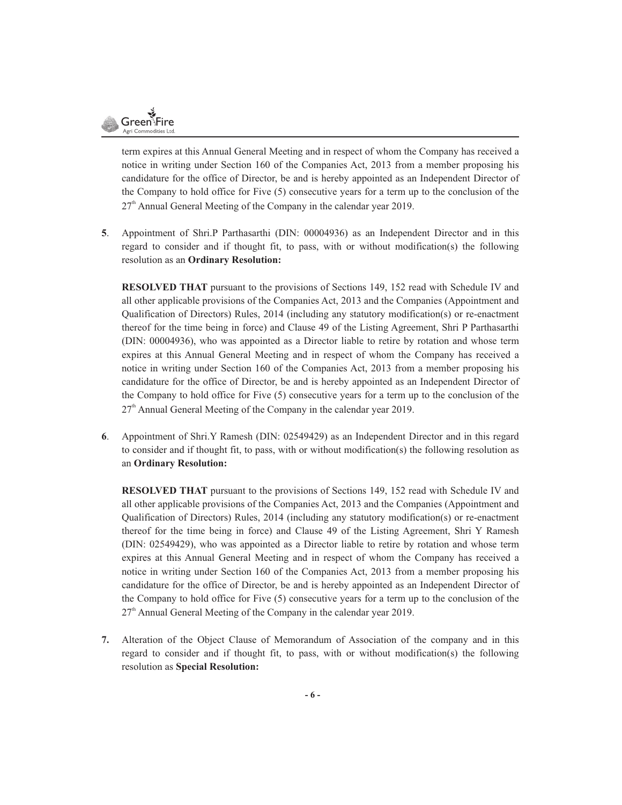

term expires at this Annual General Meeting and in respect of whom the Company has received a notice in writing under Section 160 of the Companies Act, 2013 from a member proposing his candidature for the office of Director, be and is hereby appointed as an Independent Director of the Company to hold office for Five (5) consecutive years for a term up to the conclusion of the  $27<sup>th</sup>$  Annual General Meeting of the Company in the calendar year 2019.

**5**. Appointment of Shri.P Parthasarthi (DIN: 00004936) as an Independent Director and in this regard to consider and if thought fit, to pass, with or without modification(s) the following resolution as an **Ordinary Resolution:**

**RESOLVED THAT** pursuant to the provisions of Sections 149, 152 read with Schedule IV and all other applicable provisions of the Companies Act, 2013 and the Companies (Appointment and Qualification of Directors) Rules, 2014 (including any statutory modification(s) or re-enactment thereof for the time being in force) and Clause 49 of the Listing Agreement, Shri P Parthasarthi (DIN: 00004936), who was appointed as a Director liable to retire by rotation and whose term expires at this Annual General Meeting and in respect of whom the Company has received a notice in writing under Section 160 of the Companies Act, 2013 from a member proposing his candidature for the office of Director, be and is hereby appointed as an Independent Director of the Company to hold office for Five (5) consecutive years for a term up to the conclusion of the  $27<sup>th</sup>$  Annual General Meeting of the Company in the calendar year 2019.

**6**. Appointment of Shri.Y Ramesh (DIN: 02549429) as an Independent Director and in this regard to consider and if thought fit, to pass, with or without modification(s) the following resolution as an **Ordinary Resolution:**

**RESOLVED THAT** pursuant to the provisions of Sections 149, 152 read with Schedule IV and all other applicable provisions of the Companies Act, 2013 and the Companies (Appointment and Qualification of Directors) Rules, 2014 (including any statutory modification(s) or re-enactment thereof for the time being in force) and Clause 49 of the Listing Agreement, Shri Y Ramesh (DIN: 02549429), who was appointed as a Director liable to retire by rotation and whose term expires at this Annual General Meeting and in respect of whom the Company has received a notice in writing under Section 160 of the Companies Act, 2013 from a member proposing his candidature for the office of Director, be and is hereby appointed as an Independent Director of the Company to hold office for Five (5) consecutive years for a term up to the conclusion of the  $27<sup>th</sup>$  Annual General Meeting of the Company in the calendar year 2019.

**7.** Alteration of the Object Clause of Memorandum of Association of the company and in this regard to consider and if thought fit, to pass, with or without modification(s) the following resolution as **Special Resolution:**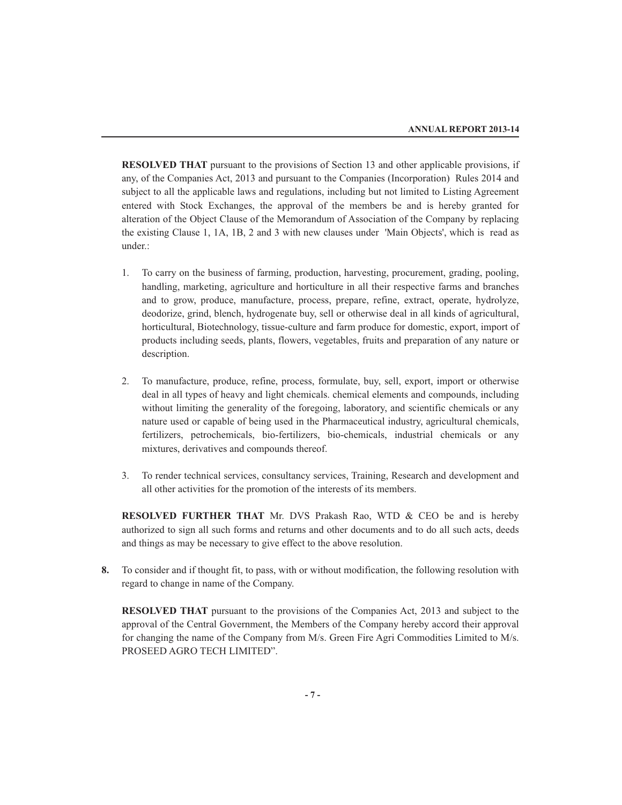**RESOLVED THAT** pursuant to the provisions of Section 13 and other applicable provisions, if any, of the Companies Act, 2013 and pursuant to the Companies (Incorporation) Rules 2014 and subject to all the applicable laws and regulations, including but not limited to Listing Agreement entered with Stock Exchanges, the approval of the members be and is hereby granted for alteration of the Object Clause of the Memorandum of Association of the Company by replacing the existing Clause 1, 1A, 1B, 2 and 3 with new clauses under 'Main Objects', which is read as under.:

- 1. To carry on the business of farming, production, harvesting, procurement, grading, pooling, handling, marketing, agriculture and horticulture in all their respective farms and branches and to grow, produce, manufacture, process, prepare, refine, extract, operate, hydrolyze, deodorize, grind, blench, hydrogenate buy, sell or otherwise deal in all kinds of agricultural, horticultural, Biotechnology, tissue-culture and farm produce for domestic, export, import of products including seeds, plants, flowers, vegetables, fruits and preparation of any nature or description.
- 2. To manufacture, produce, refine, process, formulate, buy, sell, export, import or otherwise deal in all types of heavy and light chemicals. chemical elements and compounds, including without limiting the generality of the foregoing, laboratory, and scientific chemicals or any nature used or capable of being used in the Pharmaceutical industry, agricultural chemicals, fertilizers, petrochemicals, bio-fertilizers, bio-chemicals, industrial chemicals or any mixtures, derivatives and compounds thereof.
- 3. To render technical services, consultancy services, Training, Research and development and all other activities for the promotion of the interests of its members.

**RESOLVED FURTHER THAT** Mr. DVS Prakash Rao, WTD & CEO be and is hereby authorized to sign all such forms and returns and other documents and to do all such acts, deeds and things as may be necessary to give effect to the above resolution.

**8.** To consider and if thought fit, to pass, with or without modification, the following resolution with regard to change in name of the Company.

**RESOLVED THAT** pursuant to the provisions of the Companies Act, 2013 and subject to the approval of the Central Government, the Members of the Company hereby accord their approval for changing the name of the Company from M/s. Green Fire Agri Commodities Limited to M/s. PROSEED AGRO TECH LIMITED".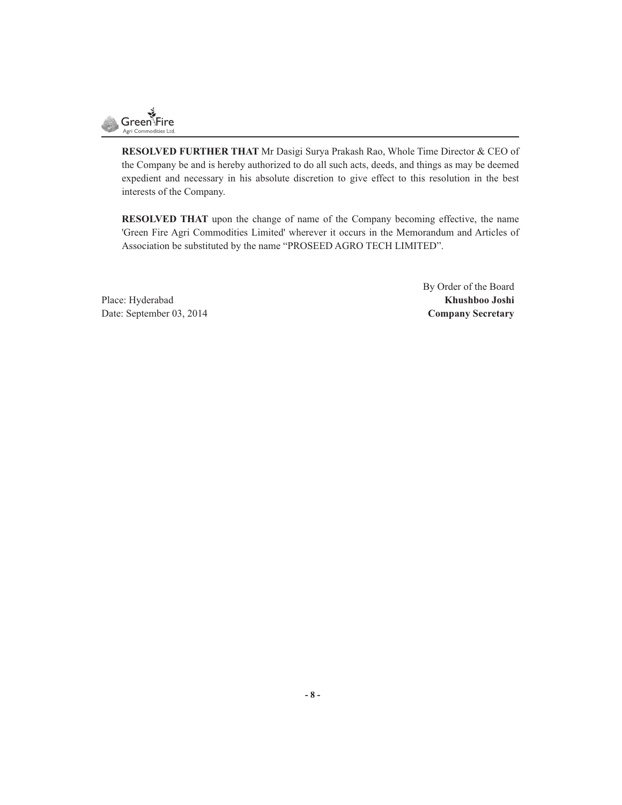

**RESOLVED FURTHER THAT** Mr Dasigi Surya Prakash Rao, Whole Time Director & CEO of the Company be and is hereby authorized to do all such acts, deeds, and things as may be deemed expedient and necessary in his absolute discretion to give effect to this resolution in the best interests of the Company.

**RESOLVED THAT** upon the change of name of the Company becoming effective, the name 'Green Fire Agri Commodities Limited' wherever it occurs in the Memorandum and Articles of Association be substituted by the name "PROSEED AGRO TECH LIMITED".

Place: Hyderabad **Khushboo Joshi** Date: September 03, 2014 **Company Secretary**

By Order of the Board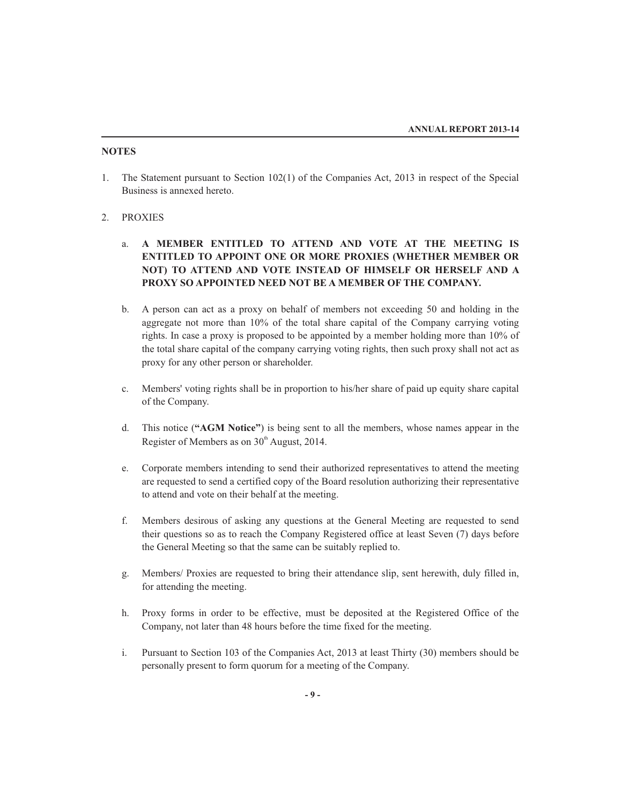### **NOTES**

1. The Statement pursuant to Section 102(1) of the Companies Act, 2013 in respect of the Special Business is annexed hereto.

### 2. PROXIES

- a. **A MEMBER ENTITLED TO ATTEND AND VOTE AT THE MEETING IS ENTITLED TO APPOINT ONE OR MORE PROXIES (WHETHER MEMBER OR NOT) TO ATTEND AND VOTE INSTEAD OF HIMSELF OR HERSELF AND A PROXY SO APPOINTED NEED NOT BE A MEMBER OF THE COMPANY.**
- b. A person can act as a proxy on behalf of members not exceeding 50 and holding in the aggregate not more than 10% of the total share capital of the Company carrying voting rights. In case a proxy is proposed to be appointed by a member holding more than 10% of the total share capital of the company carrying voting rights, then such proxy shall not act as proxy for any other person or shareholder.
- c. Members' voting rights shall be in proportion to his/her share of paid up equity share capital of the Company.
- d. This notice (**"AGM Notice"**) is being sent to all the members, whose names appear in the Register of Members as on 30<sup>th</sup> August, 2014.
- e. Corporate members intending to send their authorized representatives to attend the meeting are requested to send a certified copy of the Board resolution authorizing their representative to attend and vote on their behalf at the meeting.
- f. Members desirous of asking any questions at the General Meeting are requested to send their questions so as to reach the Company Registered office at least Seven (7) days before the General Meeting so that the same can be suitably replied to.
- g. Members/ Proxies are requested to bring their attendance slip, sent herewith, duly filled in, for attending the meeting.
- h. Proxy forms in order to be effective, must be deposited at the Registered Office of the Company, not later than 48 hours before the time fixed for the meeting.
- i. Pursuant to Section 103 of the Companies Act, 2013 at least Thirty (30) members should be personally present to form quorum for a meeting of the Company.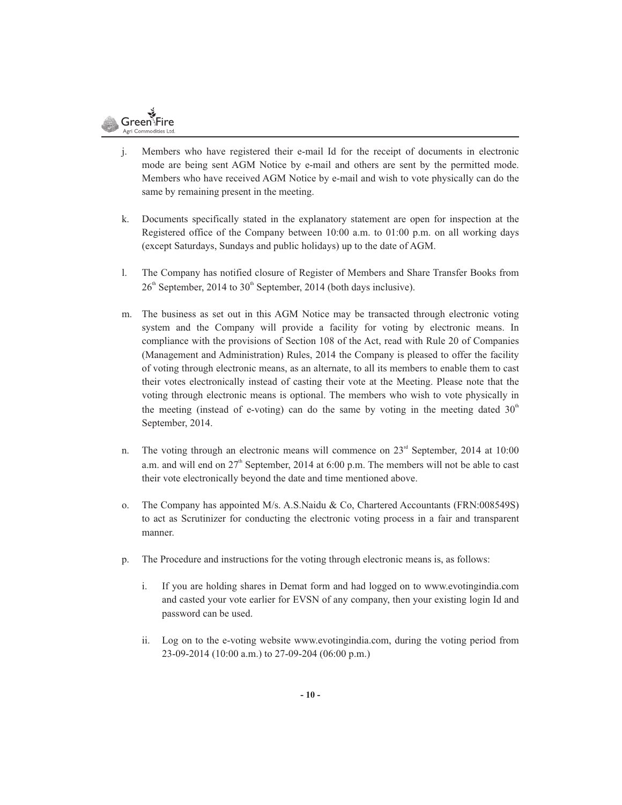

- j. Members who have registered their e-mail Id for the receipt of documents in electronic mode are being sent AGM Notice by e-mail and others are sent by the permitted mode. Members who have received AGM Notice by e-mail and wish to vote physically can do the same by remaining present in the meeting.
- k. Documents specifically stated in the explanatory statement are open for inspection at the Registered office of the Company between 10:00 a.m. to 01:00 p.m. on all working days (except Saturdays, Sundays and public holidays) up to the date of AGM.
- l. The Company has notified closure of Register of Members and Share Transfer Books from  $26<sup>th</sup>$  September, 2014 to 30<sup>th</sup> September, 2014 (both days inclusive).
- m. The business as set out in this AGM Notice may be transacted through electronic voting system and the Company will provide a facility for voting by electronic means. In compliance with the provisions of Section 108 of the Act, read with Rule 20 of Companies (Management and Administration) Rules, 2014 the Company is pleased to offer the facility of voting through electronic means, as an alternate, to all its members to enable them to cast their votes electronically instead of casting their vote at the Meeting. Please note that the voting through electronic means is optional. The members who wish to vote physically in the meeting (instead of e-voting) can do the same by voting in the meeting dated  $30<sup>th</sup>$ September, 2014.
- n. The voting through an electronic means will commence on  $23<sup>rd</sup>$  September, 2014 at 10:00 a.m. and will end on  $27<sup>th</sup>$  September, 2014 at 6:00 p.m. The members will not be able to cast their vote electronically beyond the date and time mentioned above.
- o. The Company has appointed M/s. A.S.Naidu & Co, Chartered Accountants (FRN:008549S) to act as Scrutinizer for conducting the electronic voting process in a fair and transparent manner.
- p. The Procedure and instructions for the voting through electronic means is, as follows:
	- i. If you are holding shares in Demat form and had logged on to www.evotingindia.com and casted your vote earlier for EVSN of any company, then your existing login Id and password can be used.
	- ii. Log on to the e-voting website www.evotingindia.com, during the voting period from 23-09-2014 (10:00 a.m.) to 27-09-204 (06:00 p.m.)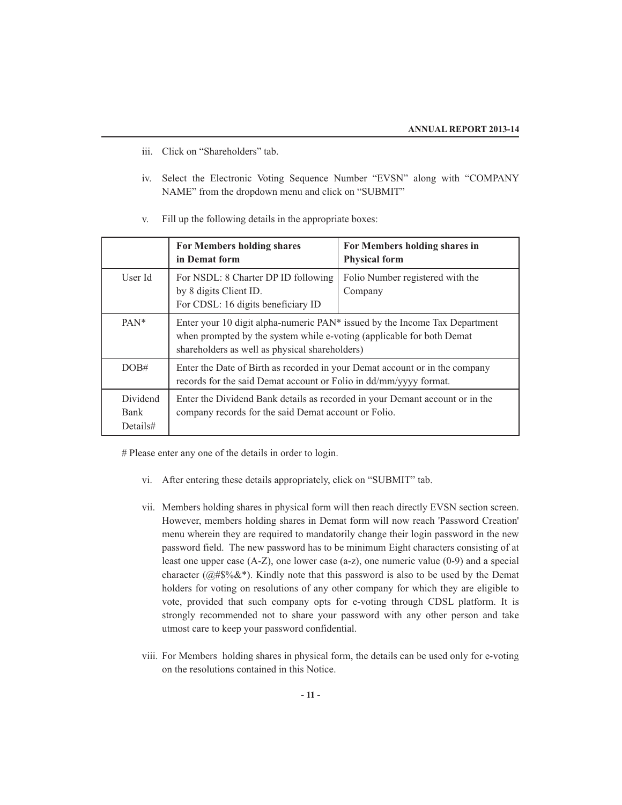- iii. Click on "Shareholders" tab.
- iv. Select the Electronic Voting Sequence Number "EVSN" along with "COMPANY NAME" from the dropdown menu and click on "SUBMIT"
- For Members holding shares **For Members holding shares in in Demat form Physical form** User Id For NSDL: 8 Charter DP ID following Folio Number registered with the by 8 digits Client ID. Company For CDSL: 16 digits beneficiary ID PAN<sup>\*</sup> Enter your 10 digit alpha-numeric PAN<sup>\*</sup> issued by the Income Tax Department when prompted by the system while e-voting (applicable for both Demat shareholders as well as physical shareholders) DOB# Enter the Date of Birth as recorded in your Demat account or in the company records for the said Demat account or Folio in dd/mm/yyyy format. Dividend Enter the Dividend Bank details as recorded in your Demant account or in the Bank company records for the said Demat account or Folio. Details#
- v. Fill up the following details in the appropriate boxes:

# Please enter any one of the details in order to login.

- vi. After entering these details appropriately, click on "SUBMIT" tab.
- vii. Members holding shares in physical form will then reach directly EVSN section screen. However, members holding shares in Demat form will now reach 'Password Creation' menu wherein they are required to mandatorily change their login password in the new password field. The new password has to be minimum Eight characters consisting of at least one upper case (A-Z), one lower case (a-z), one numeric value (0-9) and a special character ( $@#\$%$ &\*). Kindly note that this password is also to be used by the Demat holders for voting on resolutions of any other company for which they are eligible to vote, provided that such company opts for e-voting through CDSL platform. It is strongly recommended not to share your password with any other person and take utmost care to keep your password confidential.
- viii. For Members holding shares in physical form, the details can be used only for e-voting on the resolutions contained in this Notice.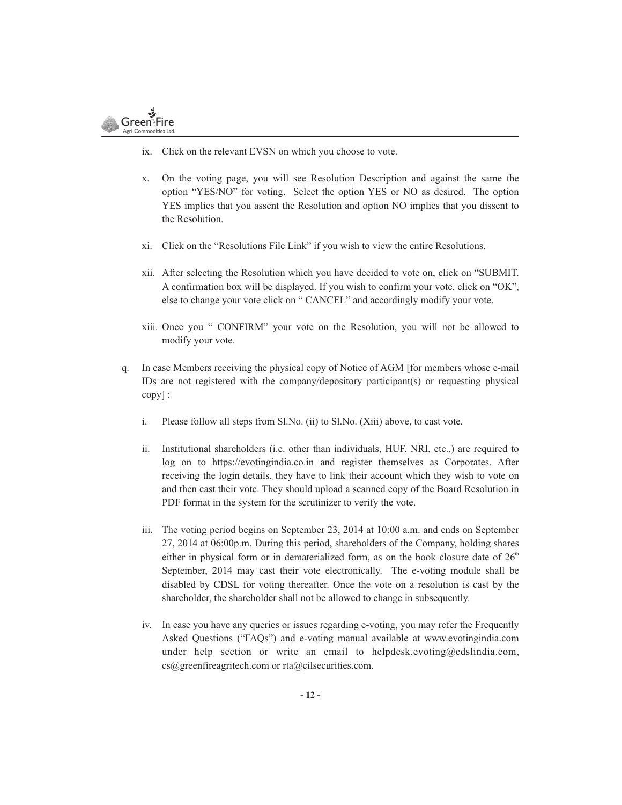

- ix. Click on the relevant EVSN on which you choose to vote.
- x. On the voting page, you will see Resolution Description and against the same the option "YES/NO" for voting. Select the option YES or NO as desired. The option YES implies that you assent the Resolution and option NO implies that you dissent to the Resolution.
- xi. Click on the "Resolutions File Link" if you wish to view the entire Resolutions.
- xii. After selecting the Resolution which you have decided to vote on, click on "SUBMIT. A confirmation box will be displayed. If you wish to confirm your vote, click on "OK", else to change your vote click on " CANCEL" and accordingly modify your vote.
- xiii. Once you " CONFIRM" your vote on the Resolution, you will not be allowed to modify your vote.
- q. In case Members receiving the physical copy of Notice of AGM [for members whose e-mail IDs are not registered with the company/depository participant(s) or requesting physical copy] :
	- i. Please follow all steps from Sl.No. (ii) to Sl.No. (Xiii) above, to cast vote.
	- ii. Institutional shareholders (i.e. other than individuals, HUF, NRI, etc.,) are required to log on to https://evotingindia.co.in and register themselves as Corporates. After receiving the login details, they have to link their account which they wish to vote on and then cast their vote. They should upload a scanned copy of the Board Resolution in PDF format in the system for the scrutinizer to verify the vote.
	- iii. The voting period begins on September 23, 2014 at 10:00 a.m. and ends on September 27, 2014 at 06:00p.m. During this period, shareholders of the Company, holding shares either in physical form or in dematerialized form, as on the book closure date of  $26<sup>th</sup>$ September, 2014 may cast their vote electronically. The e-voting module shall be disabled by CDSL for voting thereafter. Once the vote on a resolution is cast by the shareholder, the shareholder shall not be allowed to change in subsequently.
	- iv. In case you have any queries or issues regarding e-voting, you may refer the Frequently Asked Questions ("FAQs") and e-voting manual available at www.evotingindia.com under help section or write an email to helpdesk.evoting@cdslindia.com, cs@greenfireagritech.com or rta@cilsecurities.com.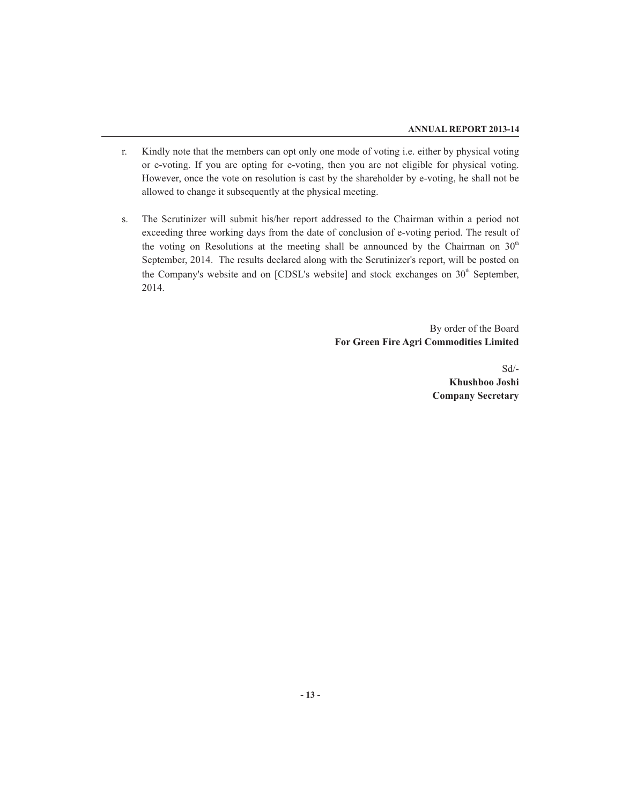- r. Kindly note that the members can opt only one mode of voting i.e. either by physical voting or e-voting. If you are opting for e-voting, then you are not eligible for physical voting. However, once the vote on resolution is cast by the shareholder by e-voting, he shall not be allowed to change it subsequently at the physical meeting.
- s. The Scrutinizer will submit his/her report addressed to the Chairman within a period not exceeding three working days from the date of conclusion of e-voting period. The result of the voting on Resolutions at the meeting shall be announced by the Chairman on  $30<sup>th</sup>$ September, 2014. The results declared along with the Scrutinizer's report, will be posted on the Company's website and on  $[CDSL]$ 's website] and stock exchanges on  $30<sup>th</sup>$  September, 2014.

By order of the Board **For Green Fire Agri Commodities Limited**

 Sd/- **Khushboo Joshi Company Secretary**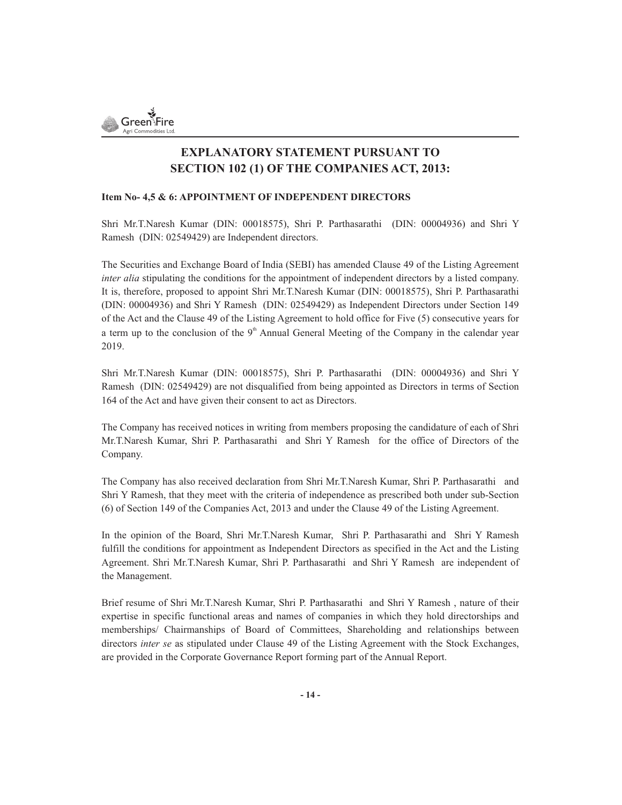

## **EXPLANATORY STATEMENT PURSUANT TO SECTION 102 (1) OF THE COMPANIES ACT, 2013:**

### **Item No- 4,5 & 6: APPOINTMENT OF INDEPENDENT DIRECTORS**

Shri Mr.T.Naresh Kumar (DIN: 00018575), Shri P. Parthasarathi (DIN: 00004936) and Shri Y Ramesh (DIN: 02549429) are Independent directors.

The Securities and Exchange Board of India (SEBI) has amended Clause 49 of the Listing Agreement *inter alia* stipulating the conditions for the appointment of independent directors by a listed company. It is, therefore, proposed to appoint Shri Mr.T.Naresh Kumar (DIN: 00018575), Shri P. Parthasarathi (DIN: 00004936) and Shri Y Ramesh (DIN: 02549429) as Independent Directors under Section 149 of the Act and the Clause 49 of the Listing Agreement to hold office for Five (5) consecutive years for a term up to the conclusion of the  $9<sup>th</sup>$  Annual General Meeting of the Company in the calendar year 2019.

Shri Mr.T.Naresh Kumar (DIN: 00018575), Shri P. Parthasarathi (DIN: 00004936) and Shri Y Ramesh (DIN: 02549429) are not disqualified from being appointed as Directors in terms of Section 164 of the Act and have given their consent to act as Directors.

The Company has received notices in writing from members proposing the candidature of each of Shri Mr.T.Naresh Kumar, Shri P. Parthasarathi and Shri Y Ramesh for the office of Directors of the Company.

The Company has also received declaration from Shri Mr.T.Naresh Kumar, Shri P. Parthasarathi and Shri Y Ramesh, that they meet with the criteria of independence as prescribed both under sub-Section (6) of Section 149 of the Companies Act, 2013 and under the Clause 49 of the Listing Agreement.

In the opinion of the Board, Shri Mr.T.Naresh Kumar, Shri P. Parthasarathi and Shri Y Ramesh fulfill the conditions for appointment as Independent Directors as specified in the Act and the Listing Agreement. Shri Mr.T.Naresh Kumar, Shri P. Parthasarathi and Shri Y Ramesh are independent of the Management.

Brief resume of Shri Mr.T.Naresh Kumar, Shri P. Parthasarathi and Shri Y Ramesh , nature of their expertise in specific functional areas and names of companies in which they hold directorships and memberships/ Chairmanships of Board of Committees, Shareholding and relationships between directors *inter se* as stipulated under Clause 49 of the Listing Agreement with the Stock Exchanges, are provided in the Corporate Governance Report forming part of the Annual Report.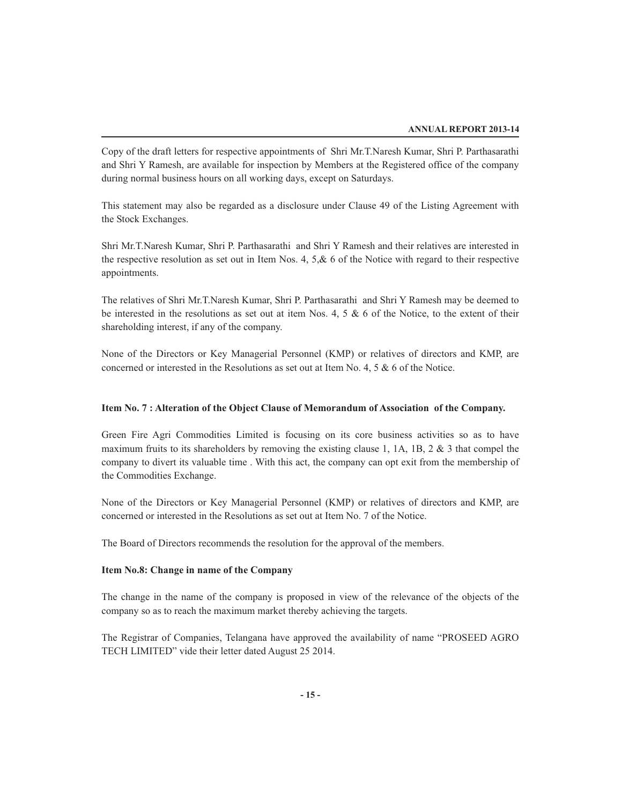Copy of the draft letters for respective appointments of Shri Mr.T.Naresh Kumar, Shri P. Parthasarathi and Shri Y Ramesh, are available for inspection by Members at the Registered office of the company during normal business hours on all working days, except on Saturdays.

This statement may also be regarded as a disclosure under Clause 49 of the Listing Agreement with the Stock Exchanges.

Shri Mr.T.Naresh Kumar, Shri P. Parthasarathi and Shri Y Ramesh and their relatives are interested in the respective resolution as set out in Item Nos. 4,  $5, & 6$  of the Notice with regard to their respective appointments.

The relatives of Shri Mr.T.Naresh Kumar, Shri P. Parthasarathi and Shri Y Ramesh may be deemed to be interested in the resolutions as set out at item Nos. 4, 5 & 6 of the Notice, to the extent of their shareholding interest, if any of the company.

None of the Directors or Key Managerial Personnel (KMP) or relatives of directors and KMP, are concerned or interested in the Resolutions as set out at Item No. 4, 5 & 6 of the Notice.

### **Item No. 7 : Alteration of the Object Clause of Memorandum of Association of the Company.**

Green Fire Agri Commodities Limited is focusing on its core business activities so as to have maximum fruits to its shareholders by removing the existing clause 1, 1A, 1B, 2  $\&$  3 that compel the company to divert its valuable time . With this act, the company can opt exit from the membership of the Commodities Exchange.

None of the Directors or Key Managerial Personnel (KMP) or relatives of directors and KMP, are concerned or interested in the Resolutions as set out at Item No. 7 of the Notice.

The Board of Directors recommends the resolution for the approval of the members.

### **Item No.8: Change in name of the Company**

The change in the name of the company is proposed in view of the relevance of the objects of the company so as to reach the maximum market thereby achieving the targets.

The Registrar of Companies, Telangana have approved the availability of name "PROSEED AGRO TECH LIMITED" vide their letter dated August 25 2014.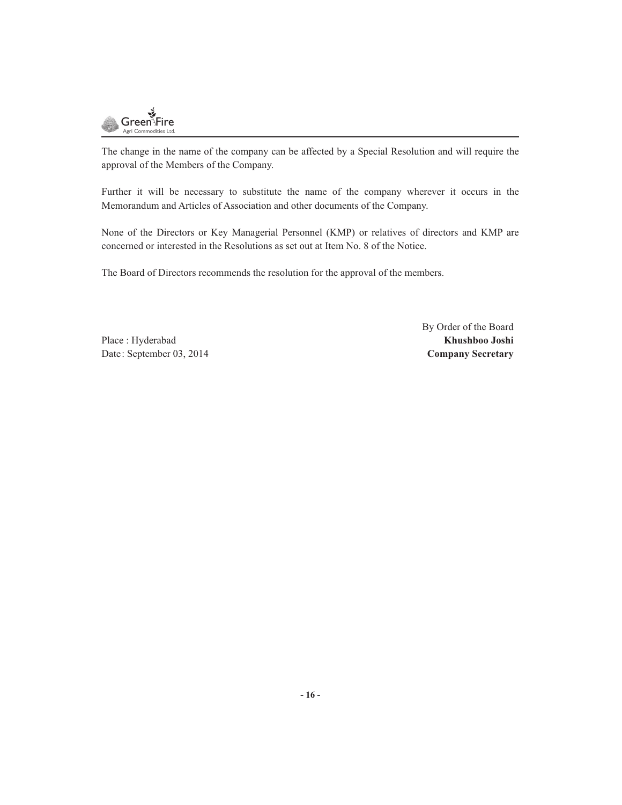

The change in the name of the company can be affected by a Special Resolution and will require the approval of the Members of the Company.

Further it will be necessary to substitute the name of the company wherever it occurs in the Memorandum and Articles of Association and other documents of the Company.

None of the Directors or Key Managerial Personnel (KMP) or relatives of directors and KMP are concerned or interested in the Resolutions as set out at Item No. 8 of the Notice.

The Board of Directors recommends the resolution for the approval of the members.

Place : Hyderabad **Khushboo Joshi** Date: September 03, 2014 **Company Secretary**

By Order of the Board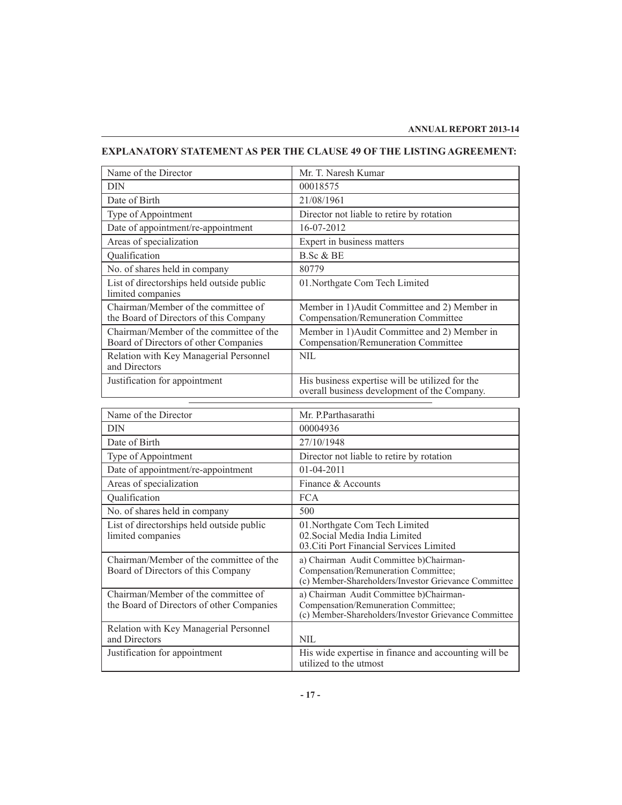### **EXPLANATORY STATEMENT AS PER THE CLAUSE 49 OF THE LISTING AGREEMENT:**

| Name of the Director                                                             | Mr. T. Naresh Kumar                                                                             |
|----------------------------------------------------------------------------------|-------------------------------------------------------------------------------------------------|
| DIN                                                                              | 00018575                                                                                        |
| Date of Birth                                                                    | 21/08/1961                                                                                      |
| Type of Appointment                                                              | Director not liable to retire by rotation                                                       |
| Date of appointment/re-appointment                                               | 16-07-2012                                                                                      |
| Areas of specialization                                                          | Expert in business matters                                                                      |
| Qualification                                                                    | B.Sc & BE                                                                                       |
| No. of shares held in company                                                    | 80779                                                                                           |
| List of directorships held outside public<br>limited companies                   | 01. Northgate Com Tech Limited                                                                  |
| Chairman/Member of the committee of<br>the Board of Directors of this Company    | Member in 1) Audit Committee and 2) Member in<br>Compensation/Remuneration Committee            |
| Chairman/Member of the committee of the<br>Board of Directors of other Companies | Member in 1) Audit Committee and 2) Member in<br>Compensation/Remuneration Committee            |
| Relation with Key Managerial Personnel<br>and Directors                          | <b>NIL</b>                                                                                      |
| Justification for appointment                                                    | His business expertise will be utilized for the<br>overall business development of the Company. |

| Name of the Director                                                             | Mr. P.Parthasarathi                                                                                                                      |
|----------------------------------------------------------------------------------|------------------------------------------------------------------------------------------------------------------------------------------|
| <b>DIN</b>                                                                       | 00004936                                                                                                                                 |
| Date of Birth                                                                    | 27/10/1948                                                                                                                               |
| Type of Appointment                                                              | Director not liable to retire by rotation                                                                                                |
| Date of appointment/re-appointment                                               | 01-04-2011                                                                                                                               |
| Areas of specialization                                                          | Finance & Accounts                                                                                                                       |
| Qualification                                                                    | <b>FCA</b>                                                                                                                               |
| No. of shares held in company                                                    | 500                                                                                                                                      |
| List of directorships held outside public<br>limited companies                   | 01. Northgate Com Tech Limited<br>02. Social Media India Limited<br>03. Citi Port Financial Services Limited                             |
| Chairman/Member of the committee of the<br>Board of Directors of this Company    | a) Chairman Audit Committee b) Chairman-<br>Compensation/Remuneration Committee;<br>(c) Member-Shareholders/Investor Grievance Committee |
| Chairman/Member of the committee of<br>the Board of Directors of other Companies | a) Chairman Audit Committee b)Chairman-<br>Compensation/Remuneration Committee;<br>(c) Member-Shareholders/Investor Grievance Committee  |
| Relation with Key Managerial Personnel<br>and Directors                          | <b>NIL</b>                                                                                                                               |
| Justification for appointment                                                    | His wide expertise in finance and accounting will be<br>utilized to the utmost                                                           |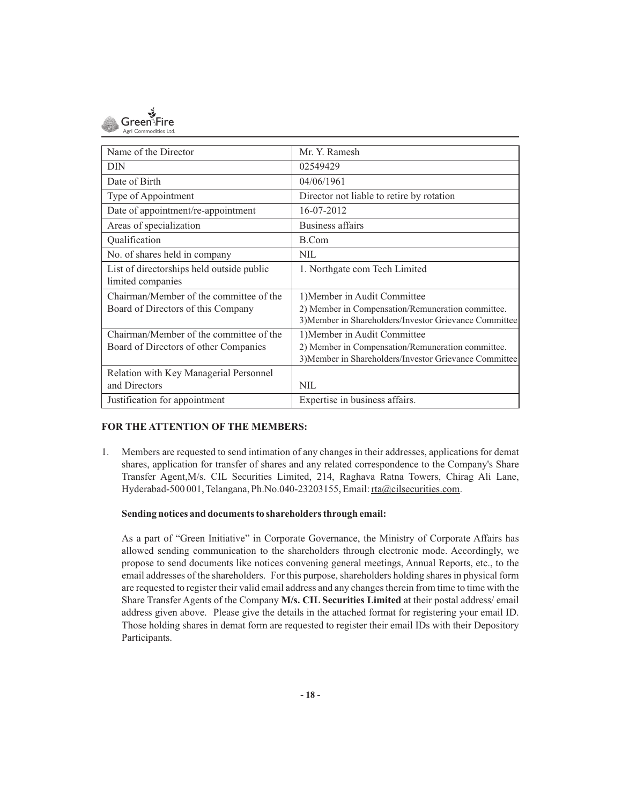

| Name of the Director                      | Mr. Y. Ramesh                                          |
|-------------------------------------------|--------------------------------------------------------|
| <b>DIN</b>                                | 02549429                                               |
| Date of Birth                             | 04/06/1961                                             |
| Type of Appointment                       | Director not liable to retire by rotation              |
| Date of appointment/re-appointment        | 16-07-2012                                             |
| Areas of specialization                   | Business affairs                                       |
| Qualification                             | B.Com                                                  |
| No. of shares held in company             | <b>NIL</b>                                             |
| List of directorships held outside public | 1. Northgate com Tech Limited                          |
| limited companies                         |                                                        |
| Chairman/Member of the committee of the   | 1) Member in Audit Committee                           |
| Board of Directors of this Company        | 2) Member in Compensation/Remuneration committee.      |
|                                           | 3) Member in Shareholders/Investor Grievance Committee |
| Chairman/Member of the committee of the   | 1) Member in Audit Committee                           |
| Board of Directors of other Companies     | 2) Member in Compensation/Remuneration committee.      |
|                                           | 3) Member in Shareholders/Investor Grievance Committee |
| Relation with Key Managerial Personnel    |                                                        |
| and Directors                             | <b>NIL</b>                                             |
| Justification for appointment             | Expertise in business affairs.                         |

### **FOR THE ATTENTION OF THE MEMBERS:**

1. Members are requested to send intimation of any changes in their addresses, applications for demat shares, application for transfer of shares and any related correspondence to the Company's Share Transfer Agent,M/s. CIL Securities Limited, 214, Raghava Ratna Towers, Chirag Ali Lane, Hyderabad-500 001, Telangana, Ph.No.040-23203155, Email: rta@cilsecurities.com.

### **Sending notices and documents to shareholders through email:**

As a part of "Green Initiative" in Corporate Governance, the Ministry of Corporate Affairs has allowed sending communication to the shareholders through electronic mode. Accordingly, we propose to send documents like notices convening general meetings, Annual Reports, etc., to the email addresses of the shareholders. For this purpose, shareholders holding shares in physical form are requested to register their valid email address and any changes therein from time to time with the Share Transfer Agents of the Company **M/s. CIL Securities Limited** at their postal address/ email address given above. Please give the details in the attached format for registering your email ID. Those holding shares in demat form are requested to register their email IDs with their Depository Participants.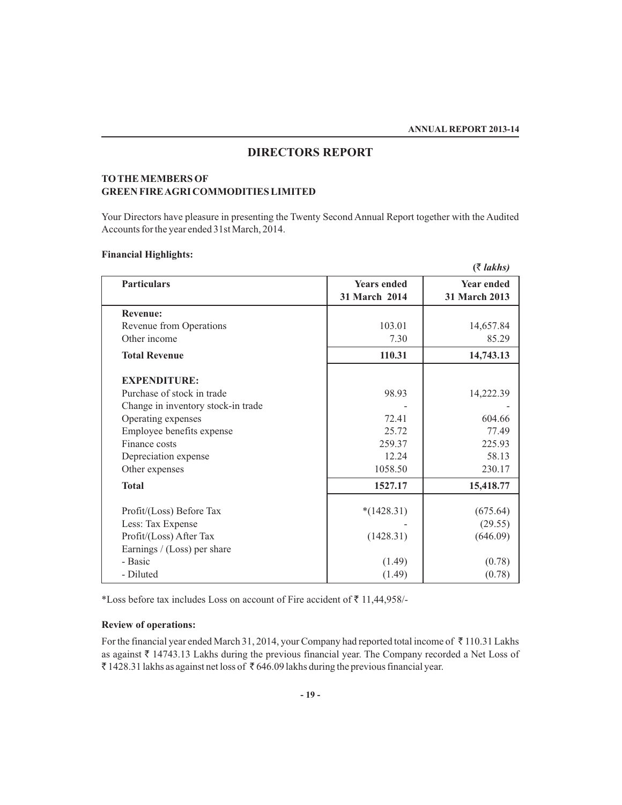### **DIRECTORS REPORT**

### **TO THE MEMBERS OF GREEN FIRE AGRI COMMODITIES LIMITED**

Your Directors have pleasure in presenting the Twenty Second Annual Report together with the Audited Accounts for the year ended 31st March, 2014.

### **Financial Highlights:**

|                                    |                                     | $($ ₹ lakhs)                       |
|------------------------------------|-------------------------------------|------------------------------------|
| <b>Particulars</b>                 | <b>Years ended</b><br>31 March 2014 | <b>Year ended</b><br>31 March 2013 |
| <b>Revenue:</b>                    |                                     |                                    |
| Revenue from Operations            | 103.01                              | 14,657.84                          |
| Other income                       | 7.30                                | 85.29                              |
| <b>Total Revenue</b>               | 110.31                              | 14,743.13                          |
| <b>EXPENDITURE:</b>                |                                     |                                    |
| Purchase of stock in trade         | 98.93                               | 14,222.39                          |
| Change in inventory stock-in trade |                                     |                                    |
| Operating expenses                 | 72.41                               | 604.66                             |
| Employee benefits expense          | 25.72                               | 77.49                              |
| Finance costs                      | 259.37                              | 225.93                             |
| Depreciation expense               | 12.24                               | 58.13                              |
| Other expenses                     | 1058.50                             | 230.17                             |
| <b>Total</b>                       | 1527.17                             | 15,418.77                          |
| Profit/(Loss) Before Tax           | $*(1428.31)$                        | (675.64)                           |
| Less: Tax Expense                  |                                     | (29.55)                            |
| Profit/(Loss) After Tax            | (1428.31)                           | (646.09)                           |
| Earnings / (Loss) per share        |                                     |                                    |
| - Basic                            | (1.49)                              | (0.78)                             |
| - Diluted                          | (1.49)                              | (0.78)                             |

\*Loss before tax includes Loss on account of Fire accident of  $\bar{z}$  11,44,958/-

### **Review of operations:**

For the financial year ended March 31, 2014, your Company had reported total income of ₹110.31 Lakhs as against  $\bar{\tau}$  14743.13 Lakhs during the previous financial year. The Company recorded a Net Loss of  $\bar{\tau}$  1428.31 lakhs as against net loss of  $\bar{\tau}$  646.09 lakhs during the previous financial year.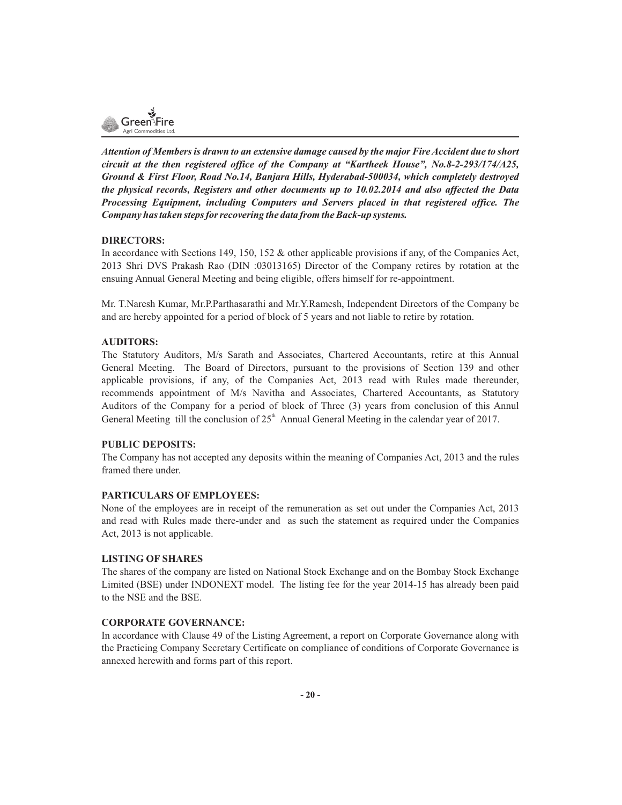

*Attention of Members is drawn to an extensive damage caused by the major Fire Accident due to short circuit at the then registered office of the Company at "Kartheek House", No.8-2-293/174/A25, Ground & First Floor, Road No.14, Banjara Hills, Hyderabad-500034, which completely destroyed the physical records, Registers and other documents up to 10.02.2014 and also affected the Data Processing Equipment, including Computers and Servers placed in that registered office. The Company has taken steps for recovering the data from the Back-up systems.*

### **DIRECTORS:**

In accordance with Sections 149, 150, 152 & other applicable provisions if any, of the Companies Act, 2013 Shri DVS Prakash Rao (DIN :03013165) Director of the Company retires by rotation at the ensuing Annual General Meeting and being eligible, offers himself for re-appointment.

Mr. T.Naresh Kumar, Mr.P.Parthasarathi and Mr.Y.Ramesh, Independent Directors of the Company be and are hereby appointed for a period of block of 5 years and not liable to retire by rotation.

### **AUDITORS:**

The Statutory Auditors, M/s Sarath and Associates, Chartered Accountants, retire at this Annual General Meeting. The Board of Directors, pursuant to the provisions of Section 139 and other applicable provisions, if any, of the Companies Act, 2013 read with Rules made thereunder, recommends appointment of M/s Navitha and Associates, Chartered Accountants, as Statutory Auditors of the Company for a period of block of Three (3) years from conclusion of this Annul General Meeting till the conclusion of  $25<sup>th</sup>$  Annual General Meeting in the calendar year of 2017.

### **PUBLIC DEPOSITS:**

The Company has not accepted any deposits within the meaning of Companies Act, 2013 and the rules framed there under.

### **PARTICULARS OF EMPLOYEES:**

None of the employees are in receipt of the remuneration as set out under the Companies Act, 2013 and read with Rules made there-under and as such the statement as required under the Companies Act, 2013 is not applicable.

### **LISTING OF SHARES**

The shares of the company are listed on National Stock Exchange and on the Bombay Stock Exchange Limited (BSE) under INDONEXT model. The listing fee for the year 2014-15 has already been paid to the NSE and the BSE.

### **CORPORATE GOVERNANCE:**

In accordance with Clause 49 of the Listing Agreement, a report on Corporate Governance along with the Practicing Company Secretary Certificate on compliance of conditions of Corporate Governance is annexed herewith and forms part of this report.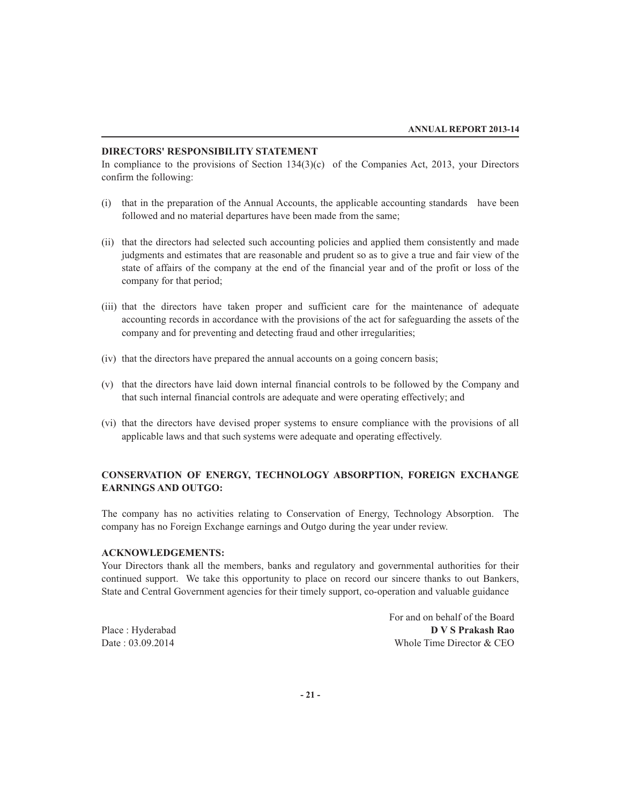### **DIRECTORS' RESPONSIBILITY STATEMENT**

In compliance to the provisions of Section  $134(3)(c)$  of the Companies Act, 2013, your Directors confirm the following:

- (i) that in the preparation of the Annual Accounts, the applicable accounting standards have been followed and no material departures have been made from the same;
- (ii) that the directors had selected such accounting policies and applied them consistently and made judgments and estimates that are reasonable and prudent so as to give a true and fair view of the state of affairs of the company at the end of the financial year and of the profit or loss of the company for that period;
- (iii) that the directors have taken proper and sufficient care for the maintenance of adequate accounting records in accordance with the provisions of the act for safeguarding the assets of the company and for preventing and detecting fraud and other irregularities;
- (iv) that the directors have prepared the annual accounts on a going concern basis;
- (v) that the directors have laid down internal financial controls to be followed by the Company and that such internal financial controls are adequate and were operating effectively; and
- (vi) that the directors have devised proper systems to ensure compliance with the provisions of all applicable laws and that such systems were adequate and operating effectively.

### **CONSERVATION OF ENERGY, TECHNOLOGY ABSORPTION, FOREIGN EXCHANGE EARNINGS AND OUTGO:**

The company has no activities relating to Conservation of Energy, Technology Absorption. The company has no Foreign Exchange earnings and Outgo during the year under review.

### **ACKNOWLEDGEMENTS:**

Your Directors thank all the members, banks and regulatory and governmental authorities for their continued support. We take this opportunity to place on record our sincere thanks to out Bankers, State and Central Government agencies for their timely support, co-operation and valuable guidance

For and on behalf of the Board Place : Hyderabad **D V S Prakash Rao** Date : 03.09.2014 Whole Time Director & CEO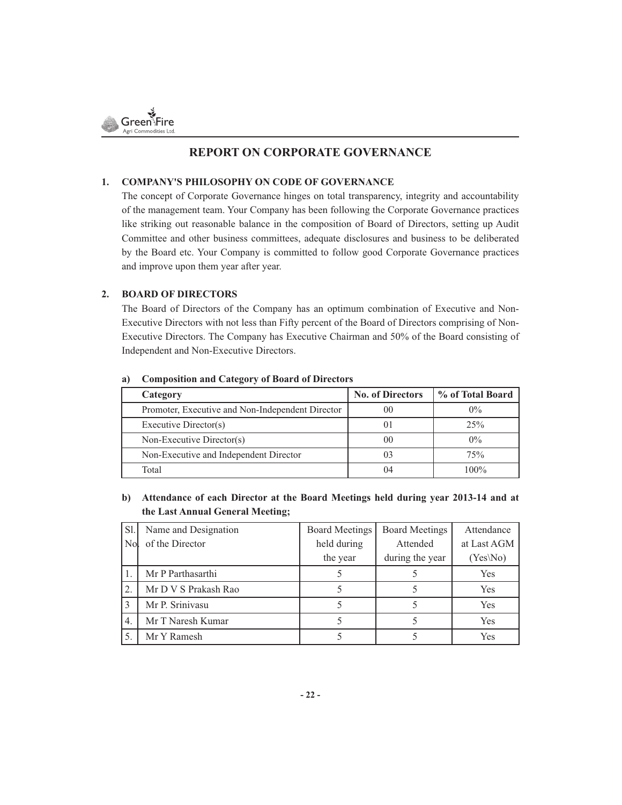

### **REPORT ON CORPORATE GOVERNANCE**

### **1. COMPANY'S PHILOSOPHY ON CODE OF GOVERNANCE**

The concept of Corporate Governance hinges on total transparency, integrity and accountability of the management team. Your Company has been following the Corporate Governance practices like striking out reasonable balance in the composition of Board of Directors, setting up Audit Committee and other business committees, adequate disclosures and business to be deliberated by the Board etc. Your Company is committed to follow good Corporate Governance practices and improve upon them year after year.

### **2. BOARD OF DIRECTORS**

The Board of Directors of the Company has an optimum combination of Executive and Non-Executive Directors with not less than Fifty percent of the Board of Directors comprising of Non-Executive Directors. The Company has Executive Chairman and 50% of the Board consisting of Independent and Non-Executive Directors.

| Category                                         | <b>No. of Directors</b> | % of Total Board |
|--------------------------------------------------|-------------------------|------------------|
| Promoter, Executive and Non-Independent Director | 00                      | $0\%$            |
| Executive Director(s)                            | $_{01}$                 | 25%              |
| Non-Executive Director(s)                        | 00                      | $0\%$            |
| Non-Executive and Independent Director           | 03                      | 75%              |
| Total                                            | 04                      | $100\%$          |

### **a) Composition and Category of Board of Directors**

### **b) Attendance of each Director at the Board Meetings held during year 2013-14 and at the Last Annual General Meeting;**

| Sl.              | Name and Designation | <b>Board Meetings</b> | <b>Board Meetings</b> | Attendance  |
|------------------|----------------------|-----------------------|-----------------------|-------------|
| N <sub>o</sub>   | of the Director      | held during           | Attended              | at Last AGM |
|                  |                      | the year              | during the year       | $(Yes\No)$  |
|                  | Mr P Parthasarthi    |                       |                       | Yes         |
| 2.               | Mr D V S Prakash Rao |                       |                       | Yes         |
| 3                | Mr P. Srinivasu      |                       |                       | Yes         |
| $\overline{4}$ . | Mr T Naresh Kumar    |                       |                       | <b>Yes</b>  |
| 5.               | Mr Y Ramesh          |                       |                       | <b>Yes</b>  |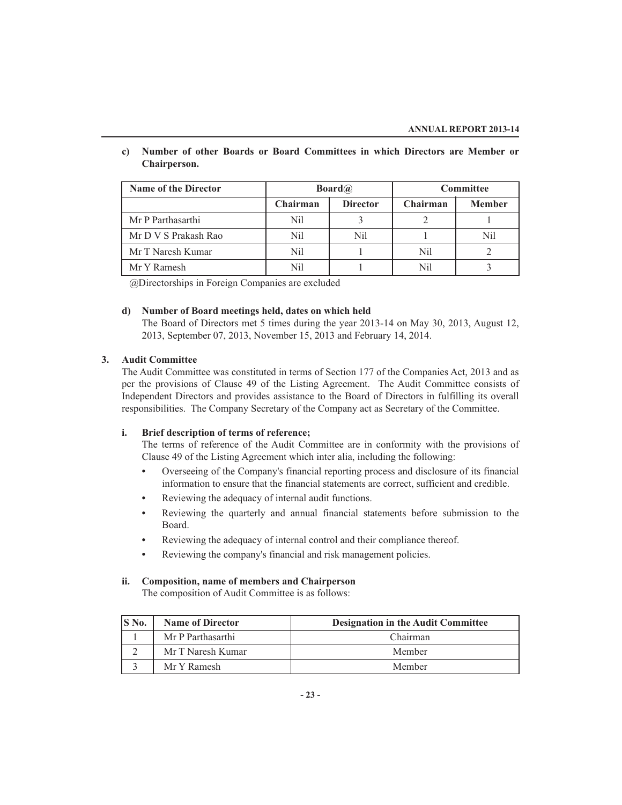- **Name of the Director Committee Board Committee Chairman Director Chairman Member** Mr P Parthasarthi Nil 3 2 1 Mr D V S Prakash Rao  $N$ il  $N$ il 1 Nil Nil Nil Mr T Naresh Kumar Nil Nil 1 Nil 2 Mr Y Ramesh Nil 1 Nil 3
- **c) Number of other Boards or Board Committees in which Directors are Member or Chairperson.**

@Directorships in Foreign Companies are excluded

### **d) Number of Board meetings held, dates on which held**

The Board of Directors met 5 times during the year 2013-14 on May 30, 2013, August 12, 2013, September 07, 2013, November 15, 2013 and February 14, 2014.

### **3. Audit Committee**

The Audit Committee was constituted in terms of Section 177 of the Companies Act, 2013 and as per the provisions of Clause 49 of the Listing Agreement. The Audit Committee consists of Independent Directors and provides assistance to the Board of Directors in fulfilling its overall responsibilities. The Company Secretary of the Company act as Secretary of the Committee.

### **i. Brief description of terms of reference;**

The terms of reference of the Audit Committee are in conformity with the provisions of Clause 49 of the Listing Agreement which inter alia, including the following:

- **•** Overseeing of the Company's financial reporting process and disclosure of its financial information to ensure that the financial statements are correct, sufficient and credible.
- **•** Reviewing the adequacy of internal audit functions.
- **•** Reviewing the quarterly and annual financial statements before submission to the Board.
- **•** Reviewing the adequacy of internal control and their compliance thereof.
- **•** Reviewing the company's financial and risk management policies.

### **ii. Composition, name of members and Chairperson**

The composition of Audit Committee is as follows:

| IS No. | <b>Name of Director</b> | <b>Designation in the Audit Committee</b> |
|--------|-------------------------|-------------------------------------------|
|        | Mr P Parthasarthi       | Chairman                                  |
|        | Mr T Naresh Kumar       | Member                                    |
|        | Mr Y Ramesh             | Member                                    |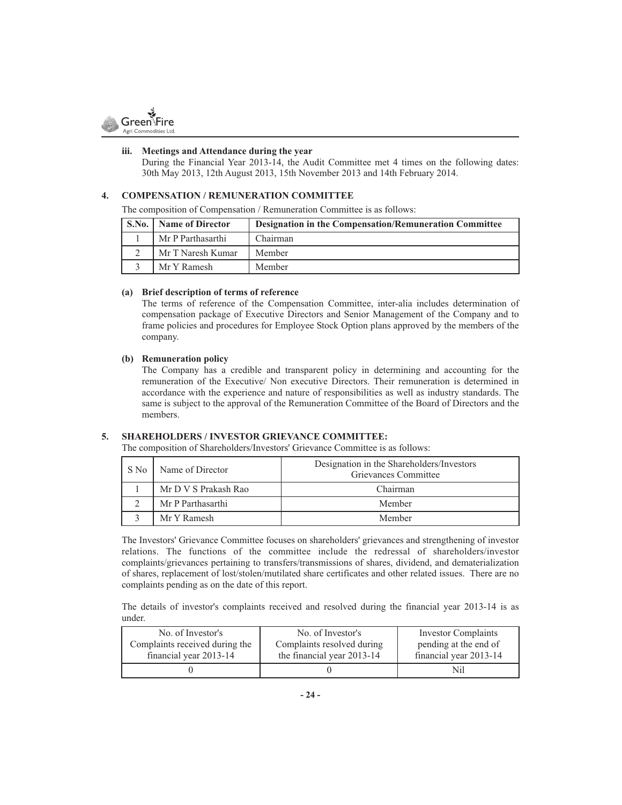

### **iii. Meetings and Attendance during the year**

During the Financial Year 2013-14, the Audit Committee met 4 times on the following dates: 30th May 2013, 12th August 2013, 15th November 2013 and 14th February 2014.

### **4. COMPENSATION / REMUNERATION COMMITTEE**

The composition of Compensation / Remuneration Committee is as follows:

| S.No.   Name of Director | <b>Designation in the Compensation/Remuneration Committee</b> |
|--------------------------|---------------------------------------------------------------|
| Mr P Parthasarthi        | Chairman                                                      |
| Mr T Naresh Kumar        | Member                                                        |
| Mr Y Ramesh              | Member                                                        |

### **(a) Brief description of terms of reference**

The terms of reference of the Compensation Committee, inter-alia includes determination of compensation package of Executive Directors and Senior Management of the Company and to frame policies and procedures for Employee Stock Option plans approved by the members of the company.

### **(b) Remuneration policy**

The Company has a credible and transparent policy in determining and accounting for the remuneration of the Executive/ Non executive Directors. Their remuneration is determined in accordance with the experience and nature of responsibilities as well as industry standards. The same is subject to the approval of the Remuneration Committee of the Board of Directors and the members.

### **5. SHAREHOLDERS / INVESTOR GRIEVANCE COMMITTEE:**

The composition of Shareholders/Investors' Grievance Committee is as follows:

| S No | Name of Director     | Designation in the Shareholders/Investors<br>Grievances Committee |
|------|----------------------|-------------------------------------------------------------------|
|      | Mr D V S Prakash Rao | Chairman                                                          |
|      | Mr P Parthasarthi    | Member                                                            |
|      | Mr Y Ramesh          | Member                                                            |

The Investors' Grievance Committee focuses on shareholders' grievances and strengthening of investor relations. The functions of the committee include the redressal of shareholders/investor complaints/grievances pertaining to transfers/transmissions of shares, dividend, and dematerialization of shares, replacement of lost/stolen/mutilated share certificates and other related issues. There are no complaints pending as on the date of this report.

The details of investor's complaints received and resolved during the financial year 2013-14 is as under.

| No. of Investor's              | No. of Investor's          | <b>Investor Complaints</b> |
|--------------------------------|----------------------------|----------------------------|
| Complaints received during the | Complaints resolved during | pending at the end of      |
| financial year 2013-14         | the financial year 2013-14 | financial year 2013-14     |
|                                |                            | Nil                        |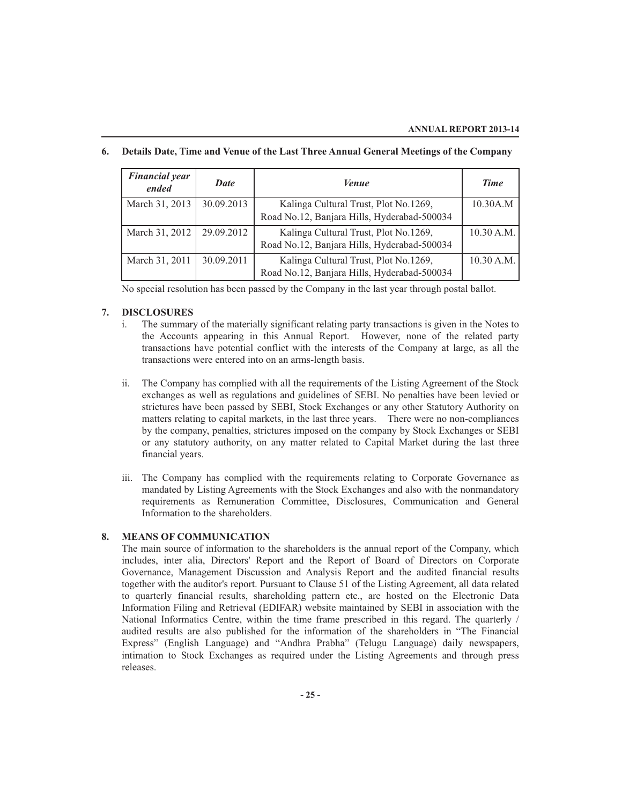| <b>Financial year</b><br>ended | Date       | <i>Venue</i>                                                                         | <b>Time</b> |
|--------------------------------|------------|--------------------------------------------------------------------------------------|-------------|
| March 31, 2013                 | 30.09.2013 | Kalinga Cultural Trust, Plot No.1269,<br>Road No.12, Banjara Hills, Hyderabad-500034 | 10.30A.M    |
| March 31, 2012                 | 29.09.2012 | Kalinga Cultural Trust, Plot No.1269,<br>Road No.12, Banjara Hills, Hyderabad-500034 | 10.30 A.M.  |
| March 31, 2011                 | 30.09.2011 | Kalinga Cultural Trust, Plot No.1269,<br>Road No.12, Banjara Hills, Hyderabad-500034 | 10.30 A.M.  |

### **6. Details Date, Time and Venue of the Last Three Annual General Meetings of the Company**

No special resolution has been passed by the Company in the last year through postal ballot.

### **7. DISCLOSURES**

- i. The summary of the materially significant relating party transactions is given in the Notes to the Accounts appearing in this Annual Report. However, none of the related party transactions have potential conflict with the interests of the Company at large, as all the transactions were entered into on an arms-length basis.
- ii. The Company has complied with all the requirements of the Listing Agreement of the Stock exchanges as well as regulations and guidelines of SEBI. No penalties have been levied or strictures have been passed by SEBI, Stock Exchanges or any other Statutory Authority on matters relating to capital markets, in the last three years. There were no non-compliances by the company, penalties, strictures imposed on the company by Stock Exchanges or SEBI or any statutory authority, on any matter related to Capital Market during the last three financial years.
- iii. The Company has complied with the requirements relating to Corporate Governance as mandated by Listing Agreements with the Stock Exchanges and also with the nonmandatory requirements as Remuneration Committee, Disclosures, Communication and General Information to the shareholders.

### **8. MEANS OF COMMUNICATION**

The main source of information to the shareholders is the annual report of the Company, which includes, inter alia, Directors' Report and the Report of Board of Directors on Corporate Governance, Management Discussion and Analysis Report and the audited financial results together with the auditor's report. Pursuant to Clause 51 of the Listing Agreement, all data related to quarterly financial results, shareholding pattern etc., are hosted on the Electronic Data Information Filing and Retrieval (EDIFAR) website maintained by SEBI in association with the National Informatics Centre, within the time frame prescribed in this regard. The quarterly / audited results are also published for the information of the shareholders in "The Financial Express" (English Language) and "Andhra Prabha" (Telugu Language) daily newspapers, intimation to Stock Exchanges as required under the Listing Agreements and through press releases.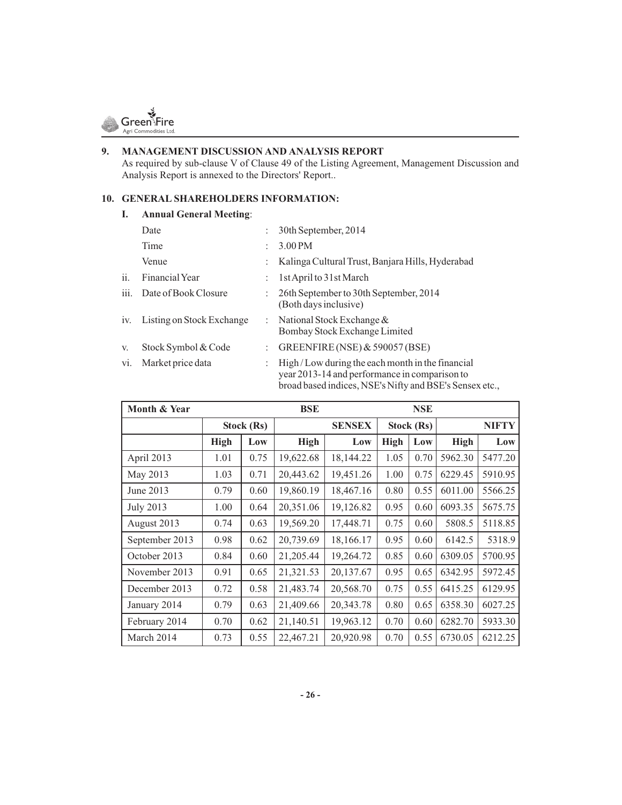

# **9. MANAGEMENT DISCUSSION AND ANALYSIS REPORT**

As required by sub-clause V of Clause 49 of the Listing Agreement, Management Discussion and Analysis Report is annexed to the Directors' Report..

### **10. GENERAL SHAREHOLDERS INFORMATION:**

### **I. Annual General Meeting**:

|      | Date                      | 30th September, 2014                                                                                                                                        |
|------|---------------------------|-------------------------------------------------------------------------------------------------------------------------------------------------------------|
|      | Time                      | 3.00 PM                                                                                                                                                     |
|      | Venue                     | Kalinga Cultural Trust, Banjara Hills, Hyderabad                                                                                                            |
| ii.  | Financial Year            | 1st April to 31st March                                                                                                                                     |
| iii. | Date of Book Closure      | 26th September to 30th September, 2014<br>(Both days inclusive)                                                                                             |
| iv.  | Listing on Stock Exchange | : National Stock Exchange $&$<br>Bombay Stock Exchange Limited                                                                                              |
| V.   | Stock Symbol & Code       | GREENFIRE (NSE) & 590057 (BSE)                                                                                                                              |
| vi.  | Market price data         | High/Low during the each month in the financial<br>year 2013-14 and performance in comparison to<br>broad based indices, NSE's Nifty and BSE's Sensex etc., |

| Month & Year     |             |            | <b>BSE</b>  |               |             | <b>NSE</b> |              |         |
|------------------|-------------|------------|-------------|---------------|-------------|------------|--------------|---------|
|                  |             | Stock (Rs) |             | <b>SENSEX</b> | Stock (Rs)  |            | <b>NIFTY</b> |         |
|                  | <b>High</b> | Low        | <b>High</b> | Low           | <b>High</b> | Low        | <b>High</b>  | Low     |
| April 2013       | 1.01        | 0.75       | 19,622.68   | 18,144.22     | 1.05        | 0.70       | 5962.30      | 5477.20 |
| May 2013         | 1.03        | 0.71       | 20,443.62   | 19,451.26     | 1.00        | 0.75       | 6229.45      | 5910.95 |
| June 2013        | 0.79        | 0.60       | 19,860.19   | 18,467.16     | 0.80        | 0.55       | 6011.00      | 5566.25 |
| <b>July 2013</b> | 1.00        | 0.64       | 20,351.06   | 19,126.82     | 0.95        | 0.60       | 6093.35      | 5675.75 |
| August 2013      | 0.74        | 0.63       | 19,569.20   | 17,448.71     | 0.75        | 0.60       | 5808.5       | 5118.85 |
| September 2013   | 0.98        | 0.62       | 20,739.69   | 18,166.17     | 0.95        | 0.60       | 6142.5       | 5318.9  |
| October 2013     | 0.84        | 0.60       | 21,205.44   | 19,264.72     | 0.85        | 0.60       | 6309.05      | 5700.95 |
| November 2013    | 0.91        | 0.65       | 21,321.53   | 20,137.67     | 0.95        | 0.65       | 6342.95      | 5972.45 |
| December 2013    | 0.72        | 0.58       | 21,483.74   | 20,568.70     | 0.75        | 0.55       | 6415.25      | 6129.95 |
| January 2014     | 0.79        | 0.63       | 21,409.66   | 20,343.78     | 0.80        | 0.65       | 6358.30      | 6027.25 |
| February 2014    | 0.70        | 0.62       | 21,140.51   | 19,963.12     | 0.70        | 0.60       | 6282.70      | 5933.30 |
| March 2014       | 0.73        | 0.55       | 22,467.21   | 20,920.98     | 0.70        | 0.55       | 6730.05      | 6212.25 |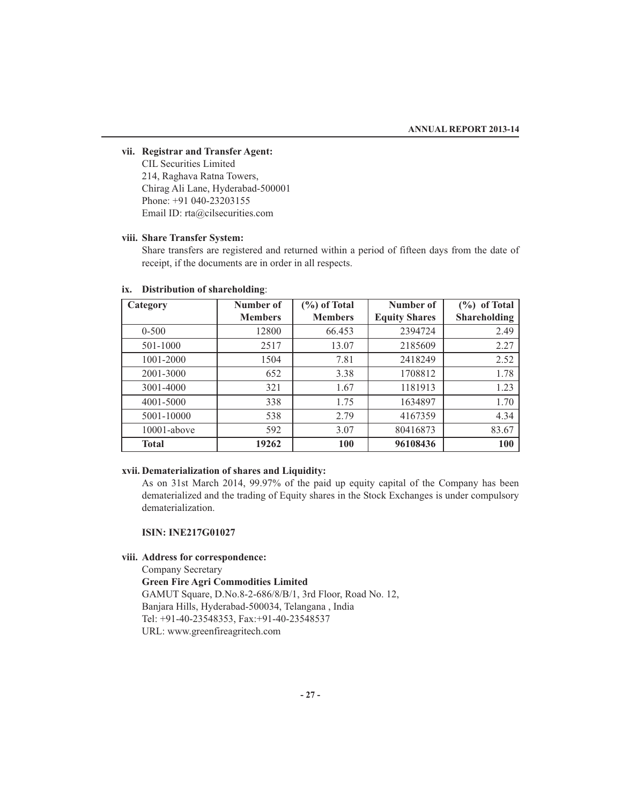### **vii. Registrar and Transfer Agent:**

CIL Securities Limited 214, Raghava Ratna Towers, Chirag Ali Lane, Hyderabad-500001 Phone: +91 040-23203155 Email ID: rta@cilsecurities.com

### **viii. Share Transfer System:**

Share transfers are registered and returned within a period of fifteen days from the date of receipt, if the documents are in order in all respects.

| Category       | Number of      | $(\%)$ of Total | Number of            | $(\%)$ of Total     |
|----------------|----------------|-----------------|----------------------|---------------------|
|                | <b>Members</b> | <b>Members</b>  | <b>Equity Shares</b> | <b>Shareholding</b> |
| $0 - 500$      | 12800          | 66.453          | 2394724              | 2.49                |
| 501-1000       | 2517           | 13.07           | 2185609              | 2.27                |
| 1001-2000      | 1504           | 7.81            | 2418249              | 2.52                |
| 2001-3000      | 652            | 3.38            | 1708812              | 1.78                |
| 3001-4000      | 321            | 1.67            | 1181913              | 1.23                |
| 4001-5000      | 338            | 1.75            | 1634897              | 1.70                |
| 5001-10000     | 538            | 2.79            | 4167359              | 4.34                |
| $10001$ -above | 592            | 3.07            | 80416873             | 83.67               |
| <b>Total</b>   | 19262          | 100             | 96108436             | 100                 |

### **ix. Distribution of shareholding**:

### **xvii. Dematerialization of shares and Liquidity:**

As on 31st March 2014, 99.97% of the paid up equity capital of the Company has been dematerialized and the trading of Equity shares in the Stock Exchanges is under compulsory dematerialization.

### **ISIN: INE217G01027**

### **viii. Address for correspondence:**

Company Secretary **Green Fire Agri Commodities Limited** GAMUT Square, D.No.8-2-686/8/B/1, 3rd Floor, Road No. 12, Banjara Hills, Hyderabad-500034, Telangana , India Tel: +91-40-23548353, Fax:+91-40-23548537 URL: www.greenfireagritech.com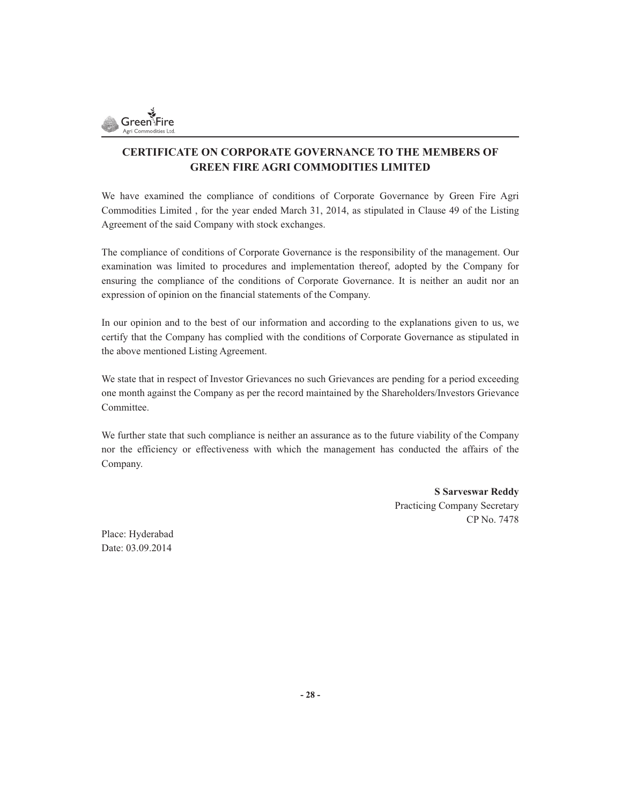

### **CERTIFICATE ON CORPORATE GOVERNANCE TO THE MEMBERS OF GREEN FIRE AGRI COMMODITIES LIMITED**

We have examined the compliance of conditions of Corporate Governance by Green Fire Agri Commodities Limited , for the year ended March 31, 2014, as stipulated in Clause 49 of the Listing Agreement of the said Company with stock exchanges.

The compliance of conditions of Corporate Governance is the responsibility of the management. Our examination was limited to procedures and implementation thereof, adopted by the Company for ensuring the compliance of the conditions of Corporate Governance. It is neither an audit nor an expression of opinion on the financial statements of the Company.

In our opinion and to the best of our information and according to the explanations given to us, we certify that the Company has complied with the conditions of Corporate Governance as stipulated in the above mentioned Listing Agreement.

We state that in respect of Investor Grievances no such Grievances are pending for a period exceeding one month against the Company as per the record maintained by the Shareholders/Investors Grievance Committee.

We further state that such compliance is neither an assurance as to the future viability of the Company nor the efficiency or effectiveness with which the management has conducted the affairs of the Company.

> **S Sarveswar Reddy** Practicing Company Secretary CP No. 7478

Place: Hyderabad Date: 03.09.2014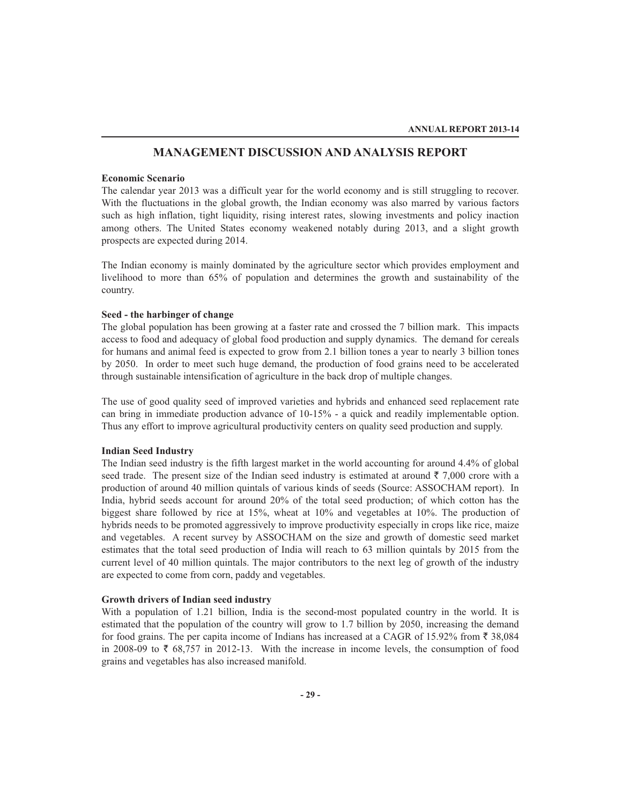### **MANAGEMENT DISCUSSION AND ANALYSIS REPORT**

### **Economic Scenario**

The calendar year 2013 was a difficult year for the world economy and is still struggling to recover. With the fluctuations in the global growth, the Indian economy was also marred by various factors such as high inflation, tight liquidity, rising interest rates, slowing investments and policy inaction among others. The United States economy weakened notably during 2013, and a slight growth prospects are expected during 2014.

The Indian economy is mainly dominated by the agriculture sector which provides employment and livelihood to more than 65% of population and determines the growth and sustainability of the country.

### **Seed - the harbinger of change**

The global population has been growing at a faster rate and crossed the 7 billion mark. This impacts access to food and adequacy of global food production and supply dynamics. The demand for cereals for humans and animal feed is expected to grow from 2.1 billion tones a year to nearly 3 billion tones by 2050. In order to meet such huge demand, the production of food grains need to be accelerated through sustainable intensification of agriculture in the back drop of multiple changes.

The use of good quality seed of improved varieties and hybrids and enhanced seed replacement rate can bring in immediate production advance of 10-15% - a quick and readily implementable option. Thus any effort to improve agricultural productivity centers on quality seed production and supply.

### **Indian Seed Industry**

The Indian seed industry is the fifth largest market in the world accounting for around 4.4% of global seed trade. The present size of the Indian seed industry is estimated at around  $\bar{\tau}$  7,000 crore with a production of around 40 million quintals of various kinds of seeds (Source: ASSOCHAM report). In India, hybrid seeds account for around 20% of the total seed production; of which cotton has the biggest share followed by rice at 15%, wheat at 10% and vegetables at 10%. The production of hybrids needs to be promoted aggressively to improve productivity especially in crops like rice, maize and vegetables. A recent survey by ASSOCHAM on the size and growth of domestic seed market estimates that the total seed production of India will reach to 63 million quintals by 2015 from the current level of 40 million quintals. The major contributors to the next leg of growth of the industry are expected to come from corn, paddy and vegetables.

### **Growth drivers of Indian seed industry**

With a population of 1.21 billion, India is the second-most populated country in the world. It is estimated that the population of the country will grow to 1.7 billion by 2050, increasing the demand for food grains. The per capita income of Indians has increased at a CAGR of 15.92% from  $\bar{\tau}$  38,084 in 2008-09 to  $\bar{\tau}$  68,757 in 2012-13. With the increase in income levels, the consumption of food grains and vegetables has also increased manifold.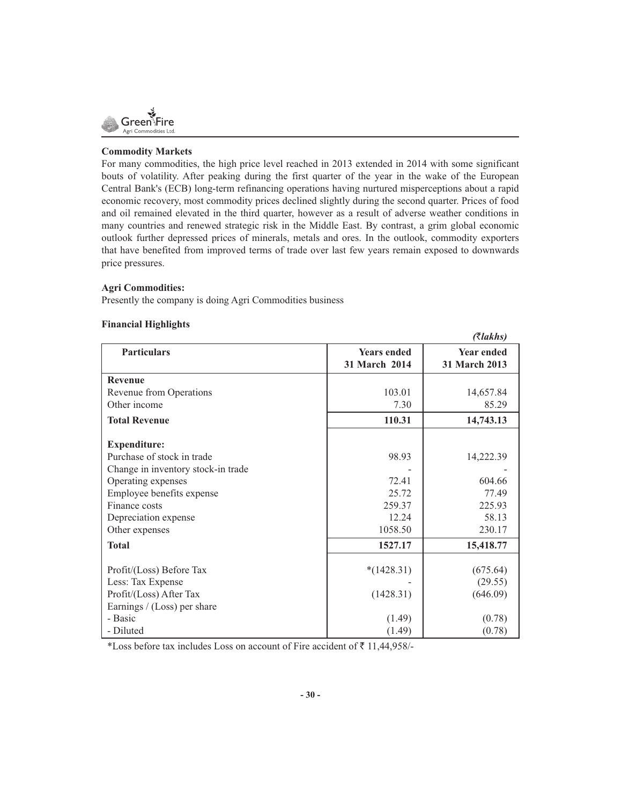

### **Commodity Markets**

For many commodities, the high price level reached in 2013 extended in 2014 with some significant bouts of volatility. After peaking during the first quarter of the year in the wake of the European Central Bank's (ECB) long-term refinancing operations having nurtured misperceptions about a rapid economic recovery, most commodity prices declined slightly during the second quarter. Prices of food and oil remained elevated in the third quarter, however as a result of adverse weather conditions in many countries and renewed strategic risk in the Middle East. By contrast, a grim global economic outlook further depressed prices of minerals, metals and ores. In the outlook, commodity exporters that have benefited from improved terms of trade over last few years remain exposed to downwards price pressures.

 $(7l_aL_a)$ 

### **Agri Commodities:**

Presently the company is doing Agri Commodities business

### **Financial Highlights**

|                                    |                                     | $( \alpha$ anns)                   |
|------------------------------------|-------------------------------------|------------------------------------|
| <b>Particulars</b>                 | <b>Years ended</b><br>31 March 2014 | <b>Year ended</b><br>31 March 2013 |
| <b>Revenue</b>                     |                                     |                                    |
| Revenue from Operations            | 103.01                              | 14,657.84                          |
| Other income                       | 7.30                                | 85.29                              |
| <b>Total Revenue</b>               | 110.31                              | 14,743.13                          |
| <b>Expenditure:</b>                |                                     |                                    |
| Purchase of stock in trade         | 98.93                               | 14,222.39                          |
| Change in inventory stock-in trade |                                     |                                    |
| Operating expenses                 | 72.41                               | 604.66                             |
| Employee benefits expense          | 25.72                               | 77.49                              |
| Finance costs                      | 259.37                              | 225.93                             |
| Depreciation expense               | 12.24                               | 58.13                              |
| Other expenses                     | 1058.50                             | 230.17                             |
| <b>Total</b>                       | 1527.17                             | 15,418.77                          |
| Profit/(Loss) Before Tax           | $*(1428.31)$                        | (675.64)                           |
| Less: Tax Expense                  |                                     | (29.55)                            |
| Profit/(Loss) After Tax            | (1428.31)                           | (646.09)                           |
| Earnings / (Loss) per share        |                                     |                                    |
|                                    |                                     |                                    |
|                                    |                                     |                                    |
| - Basic<br>- Diluted               | (1.49)<br>(1.49)                    | (0.78)<br>(0.78)                   |

\*Loss before tax includes Loss on account of Fire accident of  $\bar{z}$  11,44,958/-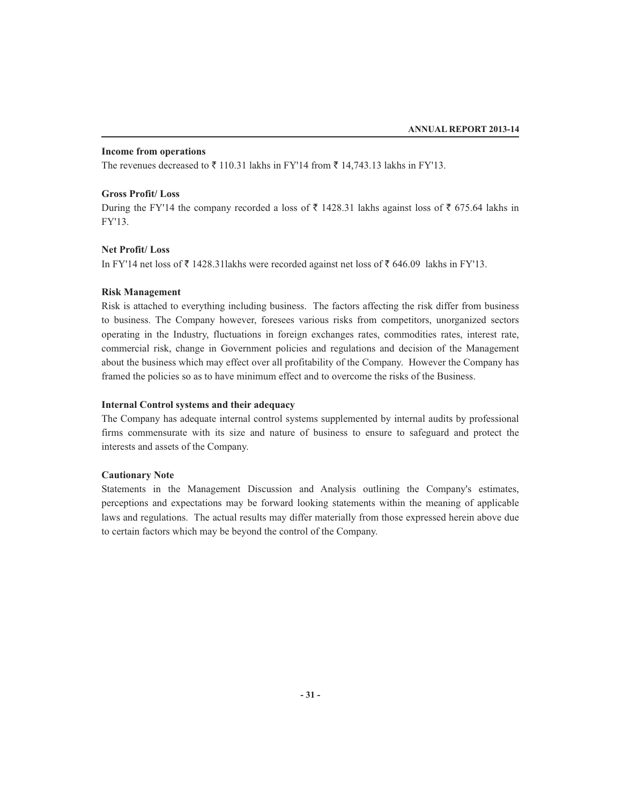### **Income from operations**

The revenues decreased to  $\bar{\tau}$  110.31 lakhs in FY'14 from  $\bar{\tau}$  14,743.13 lakhs in FY'13.

### **Gross Profit/ Loss**

During the FY'14 the company recorded a loss of  $\bar{\tau}$  1428.31 lakhs against loss of  $\bar{\tau}$  675.64 lakhs in FY'13.

### **Net Profit/ Loss**

In FY'14 net loss of  $\bar{\tau}$  1428.31 lakhs were recorded against net loss of  $\bar{\tau}$  646.09 lakhs in FY'13.

### **Risk Management**

Risk is attached to everything including business. The factors affecting the risk differ from business to business. The Company however, foresees various risks from competitors, unorganized sectors operating in the Industry, fluctuations in foreign exchanges rates, commodities rates, interest rate, commercial risk, change in Government policies and regulations and decision of the Management about the business which may effect over all profitability of the Company. However the Company has framed the policies so as to have minimum effect and to overcome the risks of the Business.

### **Internal Control systems and their adequacy**

The Company has adequate internal control systems supplemented by internal audits by professional firms commensurate with its size and nature of business to ensure to safeguard and protect the interests and assets of the Company.

### **Cautionary Note**

Statements in the Management Discussion and Analysis outlining the Company's estimates, perceptions and expectations may be forward looking statements within the meaning of applicable laws and regulations. The actual results may differ materially from those expressed herein above due to certain factors which may be beyond the control of the Company.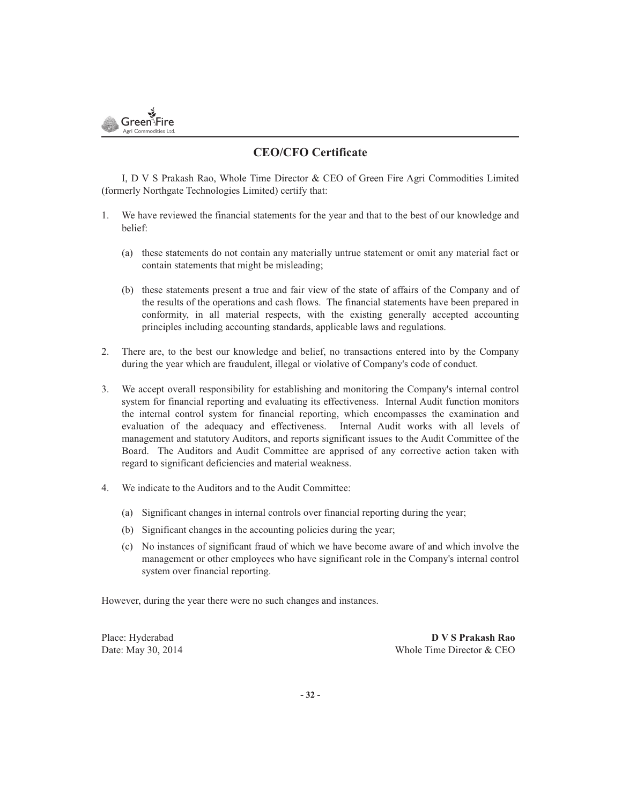

### **CEO/CFO Certificate**

I, D V S Prakash Rao, Whole Time Director & CEO of Green Fire Agri Commodities Limited (formerly Northgate Technologies Limited) certify that:

- 1. We have reviewed the financial statements for the year and that to the best of our knowledge and belief:
	- (a) these statements do not contain any materially untrue statement or omit any material fact or contain statements that might be misleading;
	- (b) these statements present a true and fair view of the state of affairs of the Company and of the results of the operations and cash flows. The financial statements have been prepared in conformity, in all material respects, with the existing generally accepted accounting principles including accounting standards, applicable laws and regulations.
- 2. There are, to the best our knowledge and belief, no transactions entered into by the Company during the year which are fraudulent, illegal or violative of Company's code of conduct.
- 3. We accept overall responsibility for establishing and monitoring the Company's internal control system for financial reporting and evaluating its effectiveness. Internal Audit function monitors the internal control system for financial reporting, which encompasses the examination and evaluation of the adequacy and effectiveness. Internal Audit works with all levels of management and statutory Auditors, and reports significant issues to the Audit Committee of the Board. The Auditors and Audit Committee are apprised of any corrective action taken with regard to significant deficiencies and material weakness.
- 4. We indicate to the Auditors and to the Audit Committee:
	- (a) Significant changes in internal controls over financial reporting during the year;
	- (b) Significant changes in the accounting policies during the year;
	- (c) No instances of significant fraud of which we have become aware of and which involve the management or other employees who have significant role in the Company's internal control system over financial reporting.

However, during the year there were no such changes and instances.

Place: Hyderabad **D V S Prakash Rao** Date: May 30, 2014 Whole Time Director & CEO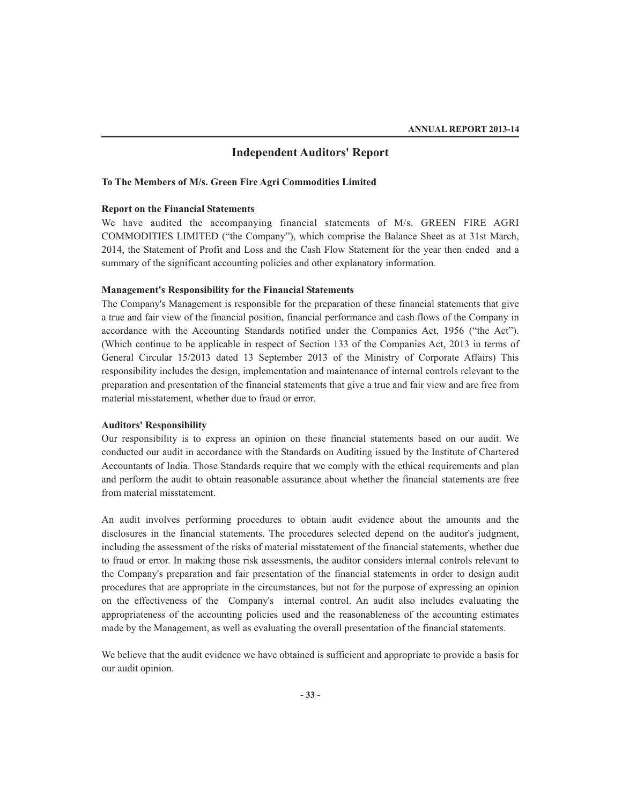### **Independent Auditors' Report**

### **To The Members of M/s. Green Fire Agri Commodities Limited**

### **Report on the Financial Statements**

We have audited the accompanying financial statements of M/s. GREEN FIRE AGRI COMMODITIES LIMITED ("the Company"), which comprise the Balance Sheet as at 31st March, 2014, the Statement of Profit and Loss and the Cash Flow Statement for the year then ended and a summary of the significant accounting policies and other explanatory information.

### **Management's Responsibility for the Financial Statements**

The Company's Management is responsible for the preparation of these financial statements that give a true and fair view of the financial position, financial performance and cash flows of the Company in accordance with the Accounting Standards notified under the Companies Act, 1956 ("the Act"). (Which continue to be applicable in respect of Section 133 of the Companies Act, 2013 in terms of General Circular 15/2013 dated 13 September 2013 of the Ministry of Corporate Affairs) This responsibility includes the design, implementation and maintenance of internal controls relevant to the preparation and presentation of the financial statements that give a true and fair view and are free from material misstatement, whether due to fraud or error.

### **Auditors' Responsibility**

Our responsibility is to express an opinion on these financial statements based on our audit. We conducted our audit in accordance with the Standards on Auditing issued by the Institute of Chartered Accountants of India. Those Standards require that we comply with the ethical requirements and plan and perform the audit to obtain reasonable assurance about whether the financial statements are free from material misstatement.

An audit involves performing procedures to obtain audit evidence about the amounts and the disclosures in the financial statements. The procedures selected depend on the auditor's judgment, including the assessment of the risks of material misstatement of the financial statements, whether due to fraud or error. In making those risk assessments, the auditor considers internal controls relevant to the Company's preparation and fair presentation of the financial statements in order to design audit procedures that are appropriate in the circumstances, but not for the purpose of expressing an opinion on the effectiveness of the Company's internal control. An audit also includes evaluating the appropriateness of the accounting policies used and the reasonableness of the accounting estimates made by the Management, as well as evaluating the overall presentation of the financial statements.

We believe that the audit evidence we have obtained is sufficient and appropriate to provide a basis for our audit opinion.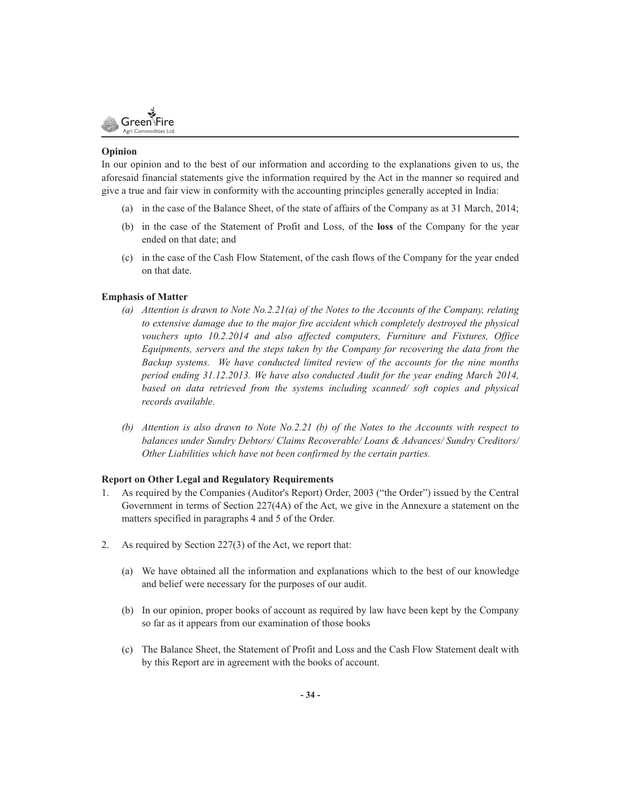

### **Opinion**

In our opinion and to the best of our information and according to the explanations given to us, the aforesaid financial statements give the information required by the Act in the manner so required and give a true and fair view in conformity with the accounting principles generally accepted in India:

- (a) in the case of the Balance Sheet, of the state of affairs of the Company as at 31 March, 2014;
- (b) in the case of the Statement of Profit and Loss, of the **loss** of the Company for the year ended on that date; and
- (c) in the case of the Cash Flow Statement, of the cash flows of the Company for the year ended on that date.

### **Emphasis of Matter**

- *(a) Attention is drawn to Note No.2.21(a) of the Notes to the Accounts of the Company, relating to extensive damage due to the major fire accident which completely destroyed the physical vouchers upto 10.2.2014 and also affected computers, Furniture and Fixtures, Office Equipments, servers and the steps taken by the Company for recovering the data from the Backup systems. We have conducted limited review of the accounts for the nine months period ending 31.12.2013. We have also conducted Audit for the year ending March 2014, based on data retrieved from the systems including scanned/ soft copies and physical records available.*
- *(b) Attention is also drawn to Note No.2.21 (b) of the Notes to the Accounts with respect to balances under Sundry Debtors/ Claims Recoverable/ Loans & Advances/ Sundry Creditors/ Other Liabilities which have not been confirmed by the certain parties.*

### **Report on Other Legal and Regulatory Requirements**

- 1. As required by the Companies (Auditor's Report) Order, 2003 ("the Order") issued by the Central Government in terms of Section 227(4A) of the Act, we give in the Annexure a statement on the matters specified in paragraphs 4 and 5 of the Order.
- 2. As required by Section 227(3) of the Act, we report that:
	- (a) We have obtained all the information and explanations which to the best of our knowledge and belief were necessary for the purposes of our audit.
	- (b) In our opinion, proper books of account as required by law have been kept by the Company so far as it appears from our examination of those books
	- (c) The Balance Sheet, the Statement of Profit and Loss and the Cash Flow Statement dealt with by this Report are in agreement with the books of account.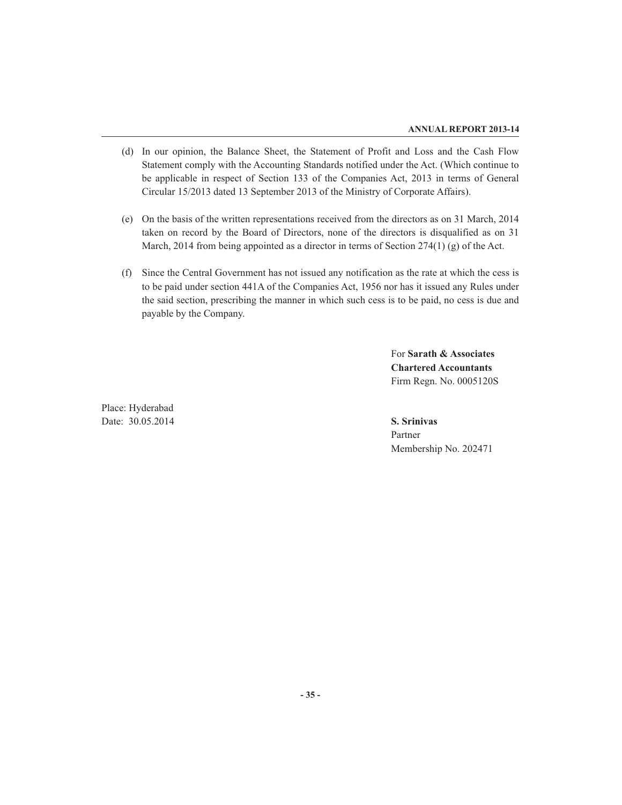- (d) In our opinion, the Balance Sheet, the Statement of Profit and Loss and the Cash Flow Statement comply with the Accounting Standards notified under the Act. (Which continue to be applicable in respect of Section 133 of the Companies Act, 2013 in terms of General Circular 15/2013 dated 13 September 2013 of the Ministry of Corporate Affairs).
- (e) On the basis of the written representations received from the directors as on 31 March, 2014 taken on record by the Board of Directors, none of the directors is disqualified as on 31 March, 2014 from being appointed as a director in terms of Section 274(1) (g) of the Act.
- (f) Since the Central Government has not issued any notification as the rate at which the cess is to be paid under section 441A of the Companies Act, 1956 nor has it issued any Rules under the said section, prescribing the manner in which such cess is to be paid, no cess is due and payable by the Company.

For **Sarath & Associates Chartered Accountants** Firm Regn. No. 0005120S

Place: Hyderabad Date: 30.05.2014 **S. Srinivas**

Partner Membership No. 202471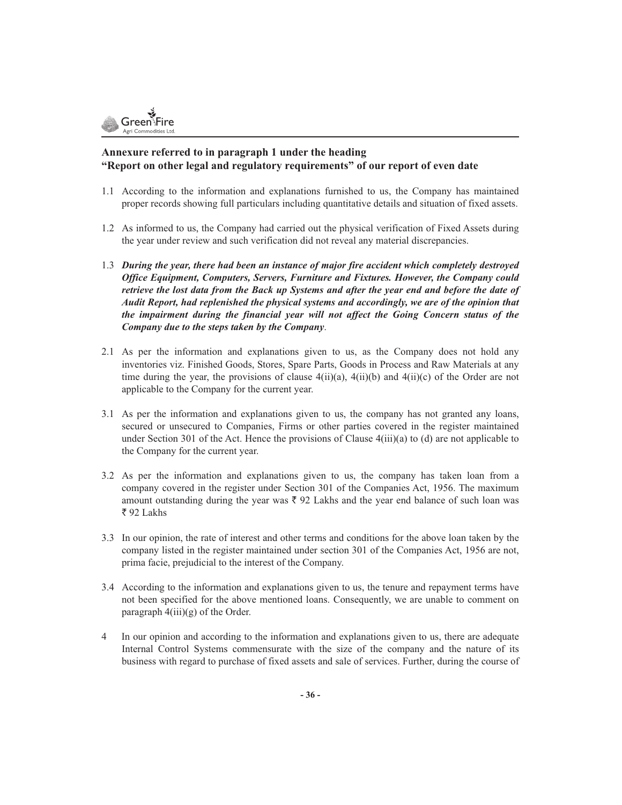

### **Annexure referred to in paragraph 1 under the heading "Report on other legal and regulatory requirements" of our report of even date**

- 1.1 According to the information and explanations furnished to us, the Company has maintained proper records showing full particulars including quantitative details and situation of fixed assets.
- 1.2 As informed to us, the Company had carried out the physical verification of Fixed Assets during the year under review and such verification did not reveal any material discrepancies.
- 1.3 *During the year, there had been an instance of major fire accident which completely destroyed Office Equipment, Computers, Servers, Furniture and Fixtures. However, the Company could retrieve the lost data from the Back up Systems and after the year end and before the date of Audit Report, had replenished the physical systems and accordingly, we are of the opinion that the impairment during the financial year will not affect the Going Concern status of the Company due to the steps taken by the Company*.
- 2.1 As per the information and explanations given to us, as the Company does not hold any inventories viz. Finished Goods, Stores, Spare Parts, Goods in Process and Raw Materials at any time during the year, the provisions of clause  $4(ii)(a)$ ,  $4(ii)(b)$  and  $4(ii)(c)$  of the Order are not applicable to the Company for the current year.
- 3.1 As per the information and explanations given to us, the company has not granted any loans, secured or unsecured to Companies, Firms or other parties covered in the register maintained under Section 301 of the Act. Hence the provisions of Clause  $4(iii)(a)$  to (d) are not applicable to the Company for the current year.
- 3.2 As per the information and explanations given to us, the company has taken loan from a company covered in the register under Section 301 of the Companies Act, 1956. The maximum amount outstanding during the year was  $\bar{\tau}$  92 Lakhs and the year end balance of such loan was ₹92 Lakhs
- 3.3 In our opinion, the rate of interest and other terms and conditions for the above loan taken by the company listed in the register maintained under section 301 of the Companies Act, 1956 are not, prima facie, prejudicial to the interest of the Company.
- 3.4 According to the information and explanations given to us, the tenure and repayment terms have not been specified for the above mentioned loans. Consequently, we are unable to comment on paragraph  $4(iii)(g)$  of the Order.
- 4 In our opinion and according to the information and explanations given to us, there are adequate Internal Control Systems commensurate with the size of the company and the nature of its business with regard to purchase of fixed assets and sale of services. Further, during the course of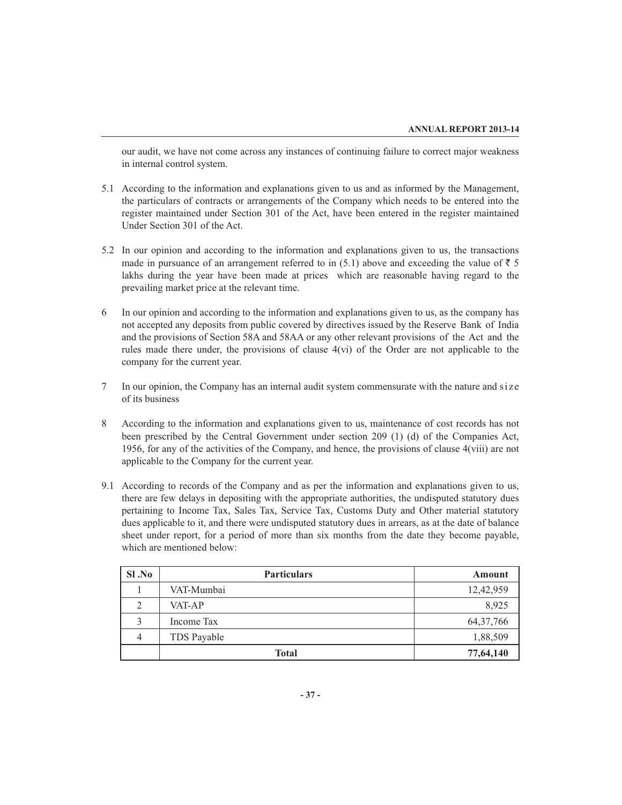our audit, we have not come across any instances of continuing failure to correct major weakness in internal control system.

- 5.1 According to the information and explanations given to us and as informed by the Management, the particulars of contracts or arrangements of the Company which needs to be entered into the register maintained under Section 301 of the Act, have been entered in the register maintained Under Section 301 of the Act.
- 5.2 In our opinion and according to the information and explanations given to us, the transactions made in pursuance of an arrangement referred to in (5.1) above and exceeding the value of  $\bar{z}$  5 lakhs during the year have been made at prices which are reasonable having regard to the prevailing market price at the relevant time.
- 6 In our opinion and according to the information and explanations given to us, as the company has not accepted any deposits from public covered by directives issued by the Reserve Bank of India and the provisions of Section 58A and 58AA or any other relevant provisions of the Act and the rules made there under, the provisions of clause 4(vi) of the Order are not applicable to the company for the current year.
- 7 In our opinion, the Company has an internal audit system commensurate with the nature and size of its business
- 8 According to the information and explanations given to us, maintenance of cost records has not been prescribed by the Central Government under section 209 (1) (d) of the Companies Act, 1956, for any of the activities of the Company, and hence, the provisions of clause 4(viii) are not applicable to the Company for the current year.
- 9.1 According to records of the Company and as per the information and explanations given to us, there are few delays in depositing with the appropriate authorities, the undisputed statutory dues pertaining to Income Tax, Sales Tax, Service Tax, Customs Duty and Other material statutory dues applicable to it, and there were undisputed statutory dues in arrears, as at the date of balance sheet under report, for a period of more than six months from the date they become payable, which are mentioned below:

| SI.No          | <b>Particulars</b> | Amount      |
|----------------|--------------------|-------------|
|                | VAT-Mumbai         | 12,42,959   |
| 2              | VAT-AP             | 8,925       |
| 3              | Income Tax         | 64, 37, 766 |
| $\overline{4}$ | TDS Payable        | 1,88,509    |
|                | <b>Total</b>       | 77,64,140   |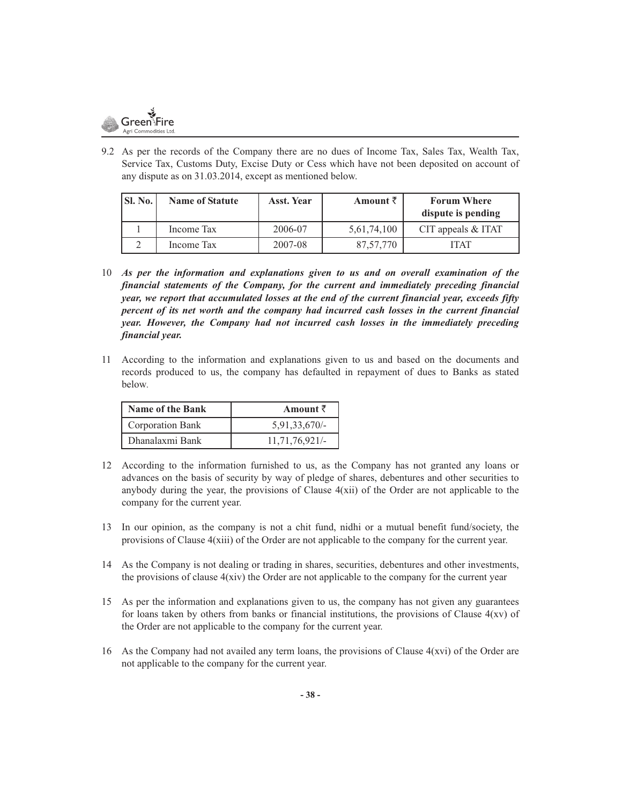

9.2 As per the records of the Company there are no dues of Income Tax, Sales Tax, Wealth Tax, Service Tax, Customs Duty, Excise Duty or Cess which have not been deposited on account of any dispute as on 31.03.2014, except as mentioned below.

| SI. No. | <b>Name of Statute</b> | <b>Asst. Year</b> | Amount $\bar{z}$ | <b>Forum Where</b><br>dispute is pending |
|---------|------------------------|-------------------|------------------|------------------------------------------|
|         | Income Tax             | 2006-07           | 5,61,74,100      | CIT appeals $&$ ITAT                     |
|         | Income Tax             | 2007-08           | 87,57,770        | ITAT                                     |

- 10 *As per the information and explanations given to us and on overall examination of the financial statements of the Company, for the current and immediately preceding financial year, we report that accumulated losses at the end of the current financial year, exceeds fifty percent of its net worth and the company had incurred cash losses in the current financial year. However, the Company had not incurred cash losses in the immediately preceding financial year.*
- 11 According to the information and explanations given to us and based on the documents and records produced to us, the company has defaulted in repayment of dues to Banks as stated below*.*

| <b>Name of the Bank</b> | Amount $\bar{z}$ |
|-------------------------|------------------|
| Corporation Bank        | $5,91,33,670/-$  |
| Dhanalaxmi Bank         | 11,71,76,921/    |

- 12 According to the information furnished to us, as the Company has not granted any loans or advances on the basis of security by way of pledge of shares, debentures and other securities to anybody during the year, the provisions of Clause  $4(xii)$  of the Order are not applicable to the company for the current year.
- 13 In our opinion, as the company is not a chit fund, nidhi or a mutual benefit fund/society, the provisions of Clause 4(xiii) of the Order are not applicable to the company for the current year.
- 14 As the Company is not dealing or trading in shares, securities, debentures and other investments, the provisions of clause  $4(xiv)$  the Order are not applicable to the company for the current year
- 15 As per the information and explanations given to us, the company has not given any guarantees for loans taken by others from banks or financial institutions, the provisions of Clause  $4(xy)$  of the Order are not applicable to the company for the current year.
- 16 As the Company had not availed any term loans, the provisions of Clause  $4(xvi)$  of the Order are not applicable to the company for the current year.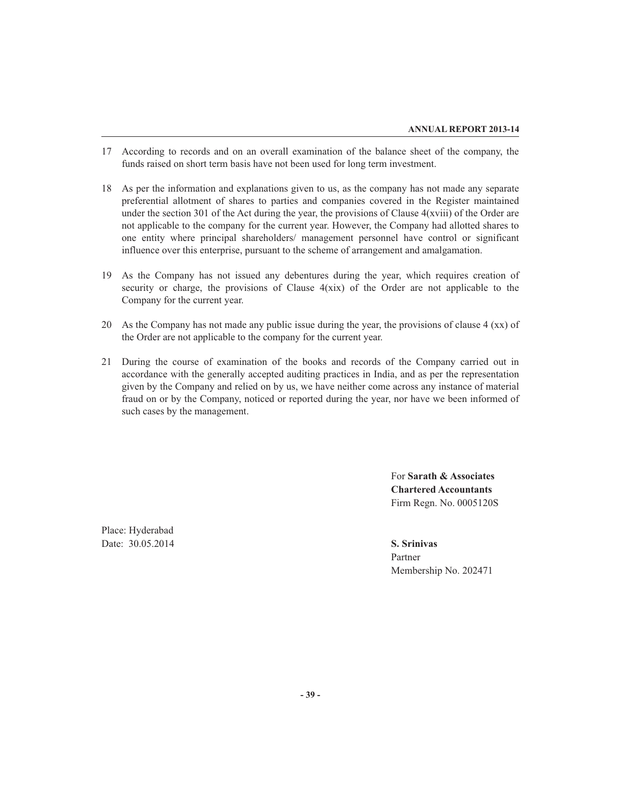- 17 According to records and on an overall examination of the balance sheet of the company, the funds raised on short term basis have not been used for long term investment.
- 18 As per the information and explanations given to us, as the company has not made any separate preferential allotment of shares to parties and companies covered in the Register maintained under the section 301 of the Act during the year, the provisions of Clause 4(xviii) of the Order are not applicable to the company for the current year. However, the Company had allotted shares to one entity where principal shareholders/ management personnel have control or significant influence over this enterprise, pursuant to the scheme of arrangement and amalgamation.
- 19 As the Company has not issued any debentures during the year, which requires creation of security or charge, the provisions of Clause  $4(xix)$  of the Order are not applicable to the Company for the current year.
- 20 As the Company has not made any public issue during the year, the provisions of clause 4 (xx) of the Order are not applicable to the company for the current year.
- 21 During the course of examination of the books and records of the Company carried out in accordance with the generally accepted auditing practices in India, and as per the representation given by the Company and relied on by us, we have neither come across any instance of material fraud on or by the Company, noticed or reported during the year, nor have we been informed of such cases by the management.

For **Sarath & Associates Chartered Accountants** Firm Regn. No. 0005120S

Place: Hyderabad Date: 30.05.2014 **S. Srinivas**

Partner Membership No. 202471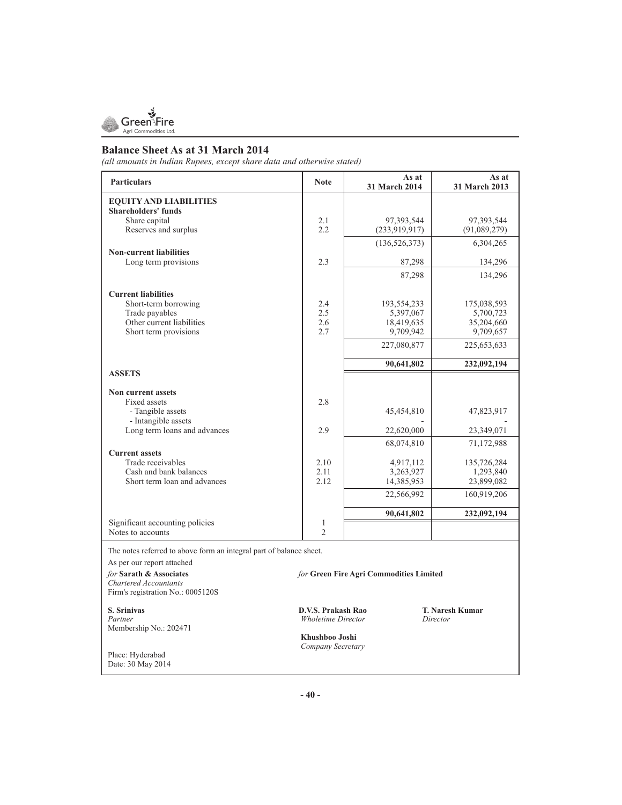

### **Balance Sheet As at 31 March 2014**

*(all amounts in Indian Rupees, except share data and otherwise stated)*

| <b>Particulars</b>                                                                                 | <b>Note</b>    | As at<br>31 March 2014 | As at<br><b>31 March 2013</b> |  |  |  |
|----------------------------------------------------------------------------------------------------|----------------|------------------------|-------------------------------|--|--|--|
| <b>EQUITY AND LIABILITIES</b><br><b>Shareholders' funds</b>                                        |                |                        |                               |  |  |  |
| Share capital                                                                                      | 2.1            | 97,393,544             | 97,393,544                    |  |  |  |
| Reserves and surplus                                                                               | 2.2            | (233,919,917)          | (91,089,279)                  |  |  |  |
|                                                                                                    |                | (136, 526, 373)        | 6,304,265                     |  |  |  |
| <b>Non-current liabilities</b><br>Long term provisions                                             | 2.3            |                        | 134,296                       |  |  |  |
|                                                                                                    |                | 87,298                 |                               |  |  |  |
|                                                                                                    |                | 87,298                 | 134,296                       |  |  |  |
| <b>Current liabilities</b>                                                                         |                |                        |                               |  |  |  |
| Short-term borrowing                                                                               | 2.4            | 193,554,233            | 175,038,593                   |  |  |  |
| Trade payables                                                                                     | 2.5            | 5,397,067              | 5,700,723                     |  |  |  |
| Other current liabilities                                                                          | 2.6            | 18,419,635             | 35,204,660                    |  |  |  |
| Short term provisions                                                                              | 2.7            | 9,709,942              | 9,709,657                     |  |  |  |
|                                                                                                    |                | 227,080,877            | 225,653,633                   |  |  |  |
|                                                                                                    |                | 90,641,802             | 232,092,194                   |  |  |  |
| <b>ASSETS</b>                                                                                      |                |                        |                               |  |  |  |
| Non current assets                                                                                 |                |                        |                               |  |  |  |
| Fixed assets                                                                                       | 2.8            |                        |                               |  |  |  |
| - Tangible assets                                                                                  |                | 45,454,810             | 47,823,917                    |  |  |  |
| - Intangible assets                                                                                |                |                        |                               |  |  |  |
| Long term loans and advances                                                                       | 2.9            | 22,620,000             | 23,349,071                    |  |  |  |
|                                                                                                    |                | 68,074,810             | 71,172,988                    |  |  |  |
| <b>Current assets</b>                                                                              |                |                        |                               |  |  |  |
| Trade receivables                                                                                  | 2.10           | 4,917,112              | 135,726,284                   |  |  |  |
| Cash and bank balances                                                                             | 2.11           | 3,263,927              | 1,293,840                     |  |  |  |
| Short term loan and advances                                                                       | 2.12           | 14,385,953             | 23,899,082                    |  |  |  |
|                                                                                                    |                | 22,566,992             | 160,919,206                   |  |  |  |
|                                                                                                    |                | 90,641,802             | 232,092,194                   |  |  |  |
| Significant accounting policies                                                                    | 1              |                        |                               |  |  |  |
| Notes to accounts                                                                                  | $\overline{2}$ |                        |                               |  |  |  |
| The notes referred to above form an integral part of balance sheet.                                |                |                        |                               |  |  |  |
| As per our report attached                                                                         |                |                        |                               |  |  |  |
| for Sarath & Associates<br>for Green Fire Agri Commodities Limited<br><b>Chartered Accountants</b> |                |                        |                               |  |  |  |

**S. Srinivas D.V.S. Prakash Rao T. Naresh Kumar**  Membership No.: 202471

Firm's registration No.: 0005120S

 $Whole time Director$ 

 **Khushboo Joshi**   *Company Secretary* 

Place: Hyderabad Date: 30 May 2014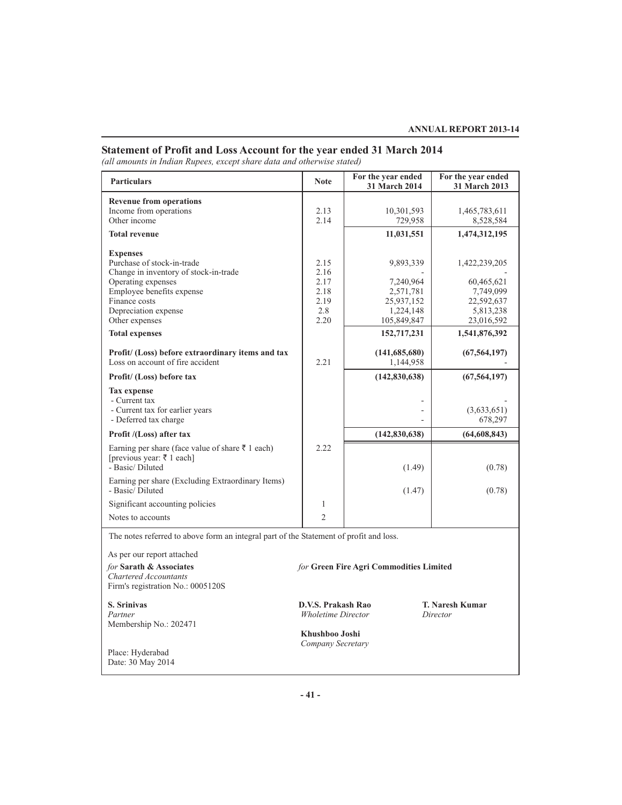### **Statement of Profit and Loss Account for the year ended 31 March 2014**

*(all amounts in Indian Rupees, except share data and otherwise stated)*

| <b>Particulars</b>                                                                                                                                                                 | <b>Note</b>                                         | For the year ended<br>31 March 2014                            | For the year ended<br>31 March 2013                                 |
|------------------------------------------------------------------------------------------------------------------------------------------------------------------------------------|-----------------------------------------------------|----------------------------------------------------------------|---------------------------------------------------------------------|
| <b>Revenue from operations</b><br>Income from operations<br>Other income                                                                                                           | 2.13<br>2.14                                        | 10,301,593<br>729,958                                          | 1,465,783,611<br>8,528,584                                          |
| <b>Total revenue</b>                                                                                                                                                               |                                                     | 11,031,551                                                     | 1,474,312,195                                                       |
| <b>Expenses</b><br>Purchase of stock-in-trade<br>Change in inventory of stock-in-trade<br>Operating expenses<br>Employee benefits expense<br>Finance costs<br>Depreciation expense | 2.15<br>2.16<br>2.17<br>2.18<br>2.19<br>2.8<br>2.20 | 9,893,339<br>7,240,964<br>2,571,781<br>25,937,152<br>1,224,148 | 1,422,239,205<br>60,465,621<br>7,749,099<br>22,592,637<br>5,813,238 |
| Other expenses                                                                                                                                                                     |                                                     | 105,849,847                                                    | 23,016,592                                                          |
| <b>Total expenses</b>                                                                                                                                                              |                                                     | 152,717,231                                                    | 1,541,876,392                                                       |
| Profit/ (Loss) before extraordinary items and tax<br>Loss on account of fire accident                                                                                              | 2.21                                                | (141, 685, 680)<br>1,144,958                                   | (67, 564, 197)                                                      |
| Profit/ (Loss) before tax                                                                                                                                                          |                                                     | (142,830,638)                                                  | (67, 564, 197)                                                      |
| <b>Tax</b> expense<br>- Current tax<br>- Current tax for earlier years<br>- Deferred tax charge                                                                                    |                                                     |                                                                | (3,633,651)<br>678,297                                              |
| Profit /(Loss) after tax                                                                                                                                                           |                                                     | (142, 830, 638)                                                | (64, 608, 843)                                                      |
| Earning per share (face value of share $\bar{z}$ 1 each)<br>[previous year: ₹ 1 each]<br>- Basic/Diluted                                                                           | 2.22                                                | (1.49)                                                         | (0.78)                                                              |
| Earning per share (Excluding Extraordinary Items)<br>- Basic/Diluted                                                                                                               |                                                     | (1.47)                                                         | (0.78)                                                              |
| Significant accounting policies                                                                                                                                                    | 1                                                   |                                                                |                                                                     |
| Notes to accounts                                                                                                                                                                  | $\overline{c}$                                      |                                                                |                                                                     |
| The notes referred to above form an integral part of the Statement of profit and loss.                                                                                             |                                                     |                                                                |                                                                     |
| As per our report attached                                                                                                                                                         |                                                     |                                                                |                                                                     |

*for* **Sarath & Associates** *for* **Green Fire Agri Commodities Limited** *Chartered Accountants* Firm's registration No.: 0005120S

**S. Srinivas D.V.S. Prakash Rao T. Naresh Kumar**  Membership No.: 202471

Place: Hyderabad Date: 30 May 2014 *Wholetime Director* 

 **Khushboo Joshi**   *Company Secretary*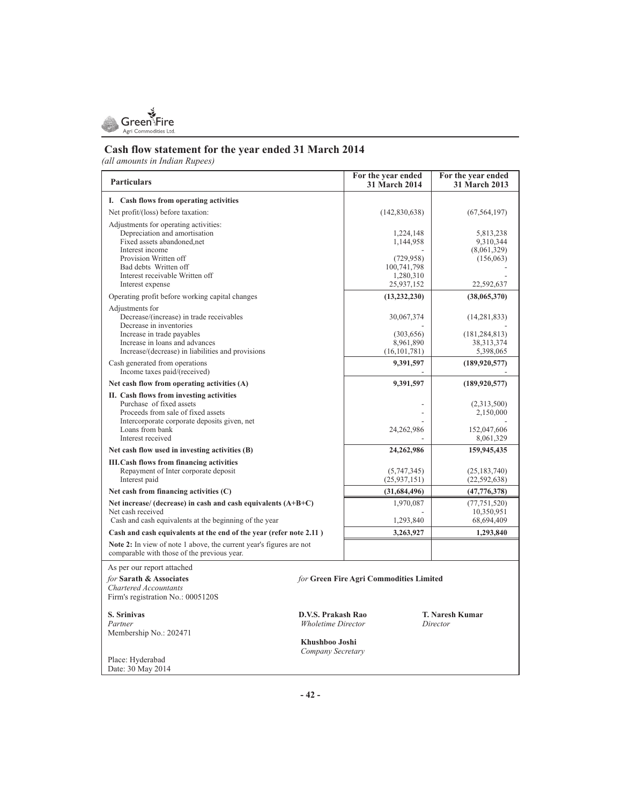

### **Cash flow statement for the year ended 31 March 2014**

*(all amounts in Indian Rupees)*

| <b>Particulars</b>                                                                                                 |                           | For the year ended<br><b>31 March 2014</b> | For the year ended<br>31 March 2013 |
|--------------------------------------------------------------------------------------------------------------------|---------------------------|--------------------------------------------|-------------------------------------|
| I. Cash flows from operating activities                                                                            |                           |                                            |                                     |
| Net profit/(loss) before taxation:                                                                                 |                           | (142, 830, 638)                            | (67, 564, 197)                      |
| Adjustments for operating activities:                                                                              |                           |                                            |                                     |
| Depreciation and amortisation                                                                                      |                           | 1,224,148                                  | 5,813,238                           |
| Fixed assets abandoned, net<br>Interest income                                                                     |                           | 1,144,958                                  | 9,310,344                           |
| Provision Written off                                                                                              |                           | (729, 958)                                 | (8,061,329)<br>(156,063)            |
| Bad debts Written off                                                                                              |                           | 100,741,798                                |                                     |
| Interest receivable Written off                                                                                    |                           | 1,280,310                                  |                                     |
| Interest expense                                                                                                   |                           | 25,937,152                                 | 22,592,637                          |
| Operating profit before working capital changes                                                                    |                           | (13, 232, 230)                             | (38,065,370)                        |
| Adjustments for                                                                                                    |                           |                                            |                                     |
| Decrease/(increase) in trade receivables                                                                           |                           | 30,067,374                                 | (14, 281, 833)                      |
| Decrease in inventories<br>Increase in trade payables                                                              |                           |                                            |                                     |
| Increase in loans and advances                                                                                     |                           | (303, 656)<br>8,961,890                    | (181, 284, 813)<br>38, 313, 374     |
| Increase/(decrease) in liabilities and provisions                                                                  |                           | (16, 101, 781)                             | 5,398,065                           |
| Cash generated from operations                                                                                     |                           | 9,391,597                                  | (189, 920, 577)                     |
| Income taxes paid/(received)                                                                                       |                           |                                            |                                     |
| Net cash flow from operating activities (A)                                                                        |                           | 9,391,597                                  | (189, 920, 577)                     |
| II. Cash flows from investing activities                                                                           |                           |                                            |                                     |
| Purchase of fixed assets                                                                                           |                           |                                            | (2,313,500)                         |
| Proceeds from sale of fixed assets<br>Intercorporate corporate deposits given, net                                 |                           |                                            | 2,150,000                           |
| Loans from bank                                                                                                    |                           | 24,262,986                                 | 152,047,606                         |
| Interest received                                                                                                  |                           |                                            | 8,061,329                           |
| Net cash flow used in investing activities (B)                                                                     |                           | 24,262,986                                 | 159,945,435                         |
| <b>III.Cash flows from financing activities</b>                                                                    |                           |                                            |                                     |
| Repayment of Inter corporate deposit                                                                               |                           | (5,747,345)                                | (25, 183, 740)                      |
| Interest paid                                                                                                      |                           | (25, 937, 151)                             | (22, 592, 638)                      |
| Net cash from financing activities $(C)$                                                                           |                           | (31,684,496)                               | (47, 776, 378)                      |
| Net increase/ (decrease) in cash and cash equivalents $(A+B+C)$                                                    |                           | 1,970,087                                  | (77, 751, 520)                      |
| Net cash received<br>Cash and cash equivalents at the beginning of the year                                        |                           | 1,293,840                                  | 10,350,951<br>68,694,409            |
|                                                                                                                    |                           |                                            |                                     |
| Cash and cash equivalents at the end of the year (refer note 2.11)                                                 |                           | 3,263,927                                  | 1,293,840                           |
| Note 2: In view of note 1 above, the current year's figures are not<br>comparable with those of the previous year. |                           |                                            |                                     |
| As per our report attached                                                                                         |                           |                                            |                                     |
| for Sarath & Associates                                                                                            |                           | for Green Fire Agri Commodities Limited    |                                     |
| Chartered Accountants                                                                                              |                           |                                            |                                     |
| Firm's registration No.: 0005120S                                                                                  |                           |                                            |                                     |
| S. Srinivas                                                                                                        | D.V.S. Prakash Rao        |                                            | <b>T. Naresh Kumar</b>              |
| Partner                                                                                                            | <b>Wholetime Director</b> |                                            | Director                            |
| Membership No.: 202471                                                                                             |                           |                                            |                                     |
|                                                                                                                    | Khushboo Joshi            |                                            |                                     |
|                                                                                                                    | Company Secretary         |                                            |                                     |
| Place: Hyderabad<br>Date: 30 May 2014                                                                              |                           |                                            |                                     |
|                                                                                                                    |                           |                                            |                                     |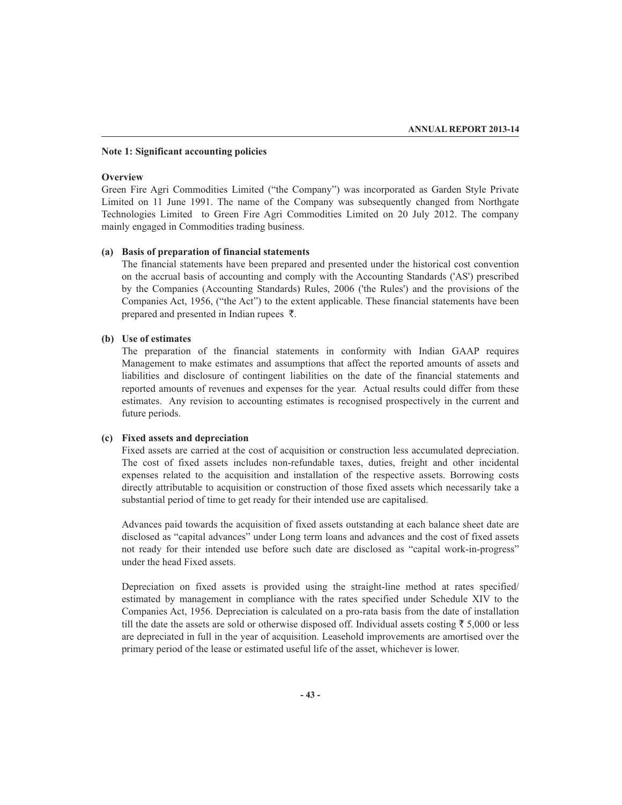### **Note 1: Significant accounting policies**

### **Overview**

Green Fire Agri Commodities Limited ("the Company") was incorporated as Garden Style Private Limited on 11 June 1991. The name of the Company was subsequently changed from Northgate Technologies Limited to Green Fire Agri Commodities Limited on 20 July 2012. The company mainly engaged in Commodities trading business.

### **(a) Basis of preparation of financial statements**

The financial statements have been prepared and presented under the historical cost convention on the accrual basis of accounting and comply with the Accounting Standards ('AS') prescribed by the Companies (Accounting Standards) Rules, 2006 ('the Rules') and the provisions of the Companies Act, 1956, ("the Act") to the extent applicable. These financial statements have been prepared and presented in Indian rupees  $\bar{\tau}$ .

### **(b) Use of estimates**

The preparation of the financial statements in conformity with Indian GAAP requires Management to make estimates and assumptions that affect the reported amounts of assets and liabilities and disclosure of contingent liabilities on the date of the financial statements and reported amounts of revenues and expenses for the year. Actual results could differ from these estimates. Any revision to accounting estimates is recognised prospectively in the current and future periods.

### **(c) Fixed assets and depreciation**

Fixed assets are carried at the cost of acquisition or construction less accumulated depreciation. The cost of fixed assets includes non-refundable taxes, duties, freight and other incidental expenses related to the acquisition and installation of the respective assets. Borrowing costs directly attributable to acquisition or construction of those fixed assets which necessarily take a substantial period of time to get ready for their intended use are capitalised.

Advances paid towards the acquisition of fixed assets outstanding at each balance sheet date are disclosed as "capital advances" under Long term loans and advances and the cost of fixed assets not ready for their intended use before such date are disclosed as "capital work-in-progress" under the head Fixed assets.

Depreciation on fixed assets is provided using the straight-line method at rates specified/ estimated by management in compliance with the rates specified under Schedule XIV to the Companies Act, 1956. Depreciation is calculated on a pro-rata basis from the date of installation till the date the assets are sold or otherwise disposed off. Individual assets costing  $\bar{\tau}$  5,000 or less are depreciated in full in the year of acquisition. Leasehold improvements are amortised over the primary period of the lease or estimated useful life of the asset, whichever is lower.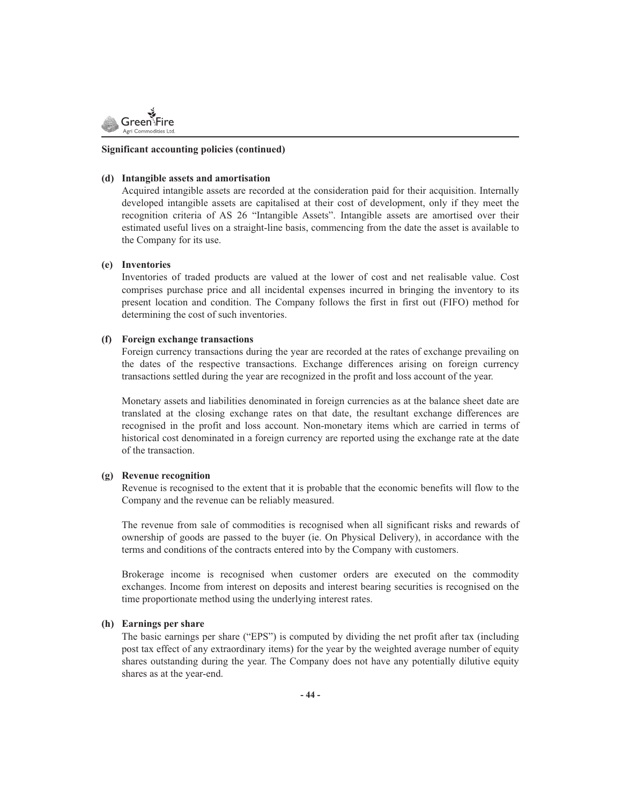

### **Significant accounting policies (continued)**

### **(d) Intangible assets and amortisation**

Acquired intangible assets are recorded at the consideration paid for their acquisition. Internally developed intangible assets are capitalised at their cost of development, only if they meet the recognition criteria of AS 26 "Intangible Assets". Intangible assets are amortised over their estimated useful lives on a straight-line basis, commencing from the date the asset is available to the Company for its use.

### **(e) Inventories**

Inventories of traded products are valued at the lower of cost and net realisable value. Cost comprises purchase price and all incidental expenses incurred in bringing the inventory to its present location and condition. The Company follows the first in first out (FIFO) method for determining the cost of such inventories.

### **(f) Foreign exchange transactions**

Foreign currency transactions during the year are recorded at the rates of exchange prevailing on the dates of the respective transactions. Exchange differences arising on foreign currency transactions settled during the year are recognized in the profit and loss account of the year.

Monetary assets and liabilities denominated in foreign currencies as at the balance sheet date are translated at the closing exchange rates on that date, the resultant exchange differences are recognised in the profit and loss account. Non-monetary items which are carried in terms of historical cost denominated in a foreign currency are reported using the exchange rate at the date of the transaction.

### **(g) Revenue recognition**

Revenue is recognised to the extent that it is probable that the economic benefits will flow to the Company and the revenue can be reliably measured.

The revenue from sale of commodities is recognised when all significant risks and rewards of ownership of goods are passed to the buyer (ie. On Physical Delivery), in accordance with the terms and conditions of the contracts entered into by the Company with customers.

Brokerage income is recognised when customer orders are executed on the commodity exchanges. Income from interest on deposits and interest bearing securities is recognised on the time proportionate method using the underlying interest rates.

### **(h) Earnings per share**

The basic earnings per share ("EPS") is computed by dividing the net profit after tax (including post tax effect of any extraordinary items) for the year by the weighted average number of equity shares outstanding during the year. The Company does not have any potentially dilutive equity shares as at the year-end.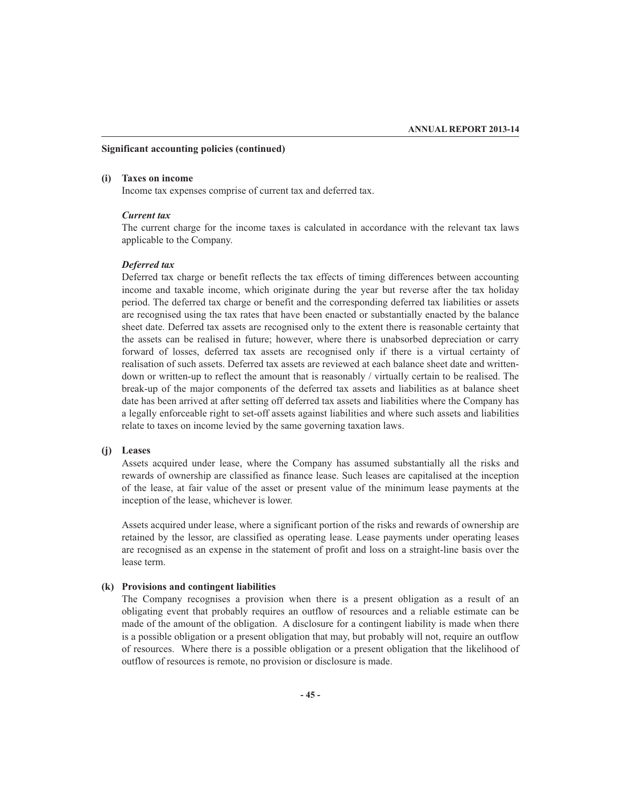### **Significant accounting policies (continued)**

### **(i) Taxes on income**

Income tax expenses comprise of current tax and deferred tax.

### *Current tax*

The current charge for the income taxes is calculated in accordance with the relevant tax laws applicable to the Company.

### *Deferred tax*

Deferred tax charge or benefit reflects the tax effects of timing differences between accounting income and taxable income, which originate during the year but reverse after the tax holiday period. The deferred tax charge or benefit and the corresponding deferred tax liabilities or assets are recognised using the tax rates that have been enacted or substantially enacted by the balance sheet date. Deferred tax assets are recognised only to the extent there is reasonable certainty that the assets can be realised in future; however, where there is unabsorbed depreciation or carry forward of losses, deferred tax assets are recognised only if there is a virtual certainty of realisation of such assets. Deferred tax assets are reviewed at each balance sheet date and writtendown or written-up to reflect the amount that is reasonably / virtually certain to be realised. The break-up of the major components of the deferred tax assets and liabilities as at balance sheet date has been arrived at after setting off deferred tax assets and liabilities where the Company has a legally enforceable right to set-off assets against liabilities and where such assets and liabilities relate to taxes on income levied by the same governing taxation laws.

### **(j) Leases**

Assets acquired under lease, where the Company has assumed substantially all the risks and rewards of ownership are classified as finance lease. Such leases are capitalised at the inception of the lease, at fair value of the asset or present value of the minimum lease payments at the inception of the lease, whichever is lower.

Assets acquired under lease, where a significant portion of the risks and rewards of ownership are retained by the lessor, are classified as operating lease. Lease payments under operating leases are recognised as an expense in the statement of profit and loss on a straight-line basis over the lease term.

### **(k) Provisions and contingent liabilities**

The Company recognises a provision when there is a present obligation as a result of an obligating event that probably requires an outflow of resources and a reliable estimate can be made of the amount of the obligation. A disclosure for a contingent liability is made when there is a possible obligation or a present obligation that may, but probably will not, require an outflow of resources. Where there is a possible obligation or a present obligation that the likelihood of outflow of resources is remote, no provision or disclosure is made.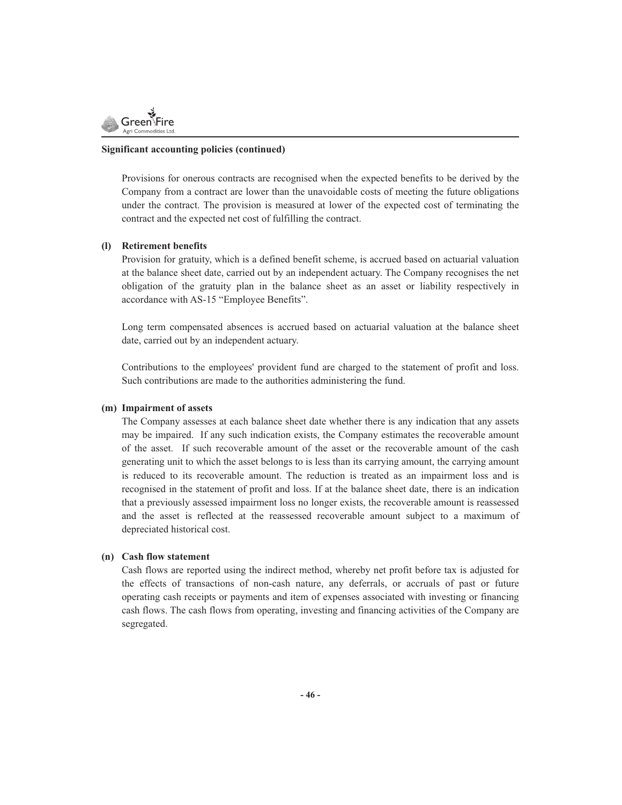

### **Significant accounting policies (continued)**

Provisions for onerous contracts are recognised when the expected benefits to be derived by the Company from a contract are lower than the unavoidable costs of meeting the future obligations under the contract. The provision is measured at lower of the expected cost of terminating the contract and the expected net cost of fulfilling the contract.

### **(l) Retirement benefits**

Provision for gratuity, which is a defined benefit scheme, is accrued based on actuarial valuation at the balance sheet date, carried out by an independent actuary. The Company recognises the net obligation of the gratuity plan in the balance sheet as an asset or liability respectively in accordance with AS-15 "Employee Benefits".

Long term compensated absences is accrued based on actuarial valuation at the balance sheet date, carried out by an independent actuary.

Contributions to the employees' provident fund are charged to the statement of profit and loss. Such contributions are made to the authorities administering the fund.

### **(m) Impairment of assets**

The Company assesses at each balance sheet date whether there is any indication that any assets may be impaired. If any such indication exists, the Company estimates the recoverable amount of the asset. If such recoverable amount of the asset or the recoverable amount of the cash generating unit to which the asset belongs to is less than its carrying amount, the carrying amount is reduced to its recoverable amount. The reduction is treated as an impairment loss and is recognised in the statement of profit and loss. If at the balance sheet date, there is an indication that a previously assessed impairment loss no longer exists, the recoverable amount is reassessed and the asset is reflected at the reassessed recoverable amount subject to a maximum of depreciated historical cost.

### **(n) Cash flow statement**

Cash flows are reported using the indirect method, whereby net profit before tax is adjusted for the effects of transactions of non-cash nature, any deferrals, or accruals of past or future operating cash receipts or payments and item of expenses associated with investing or financing cash flows. The cash flows from operating, investing and financing activities of the Company are segregated.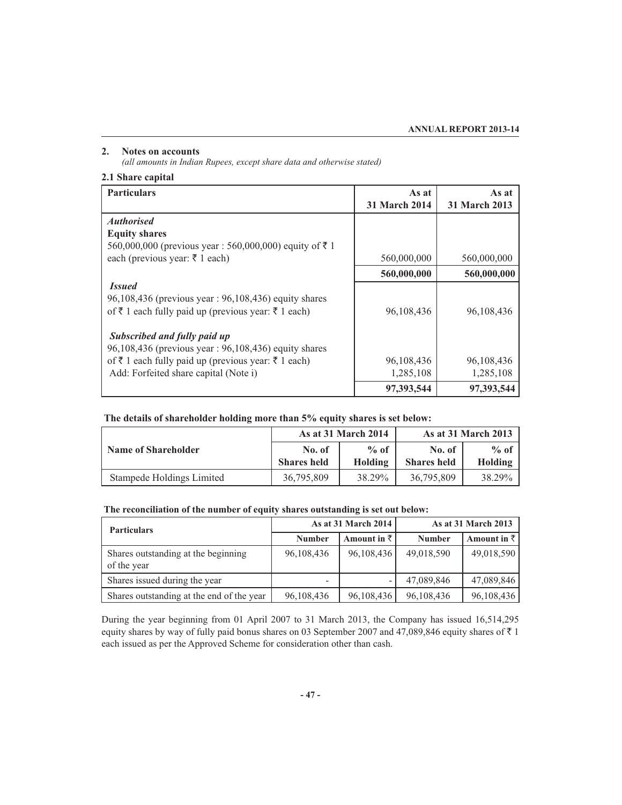### **2. Notes on accounts**

*(all amounts in Indian Rupees, except share data and otherwise stated)*

### **2.1 Share capital**

| <b>Particulars</b>                                      | As at                | As at                |
|---------------------------------------------------------|----------------------|----------------------|
|                                                         | <b>31 March 2014</b> | <b>31 March 2013</b> |
| <b>Authorised</b>                                       |                      |                      |
| <b>Equity shares</b>                                    |                      |                      |
| 560,000,000 (previous year : 560,000,000) equity of ₹ 1 |                      |                      |
| each (previous year: ₹ 1 each)                          | 560,000,000          | 560,000,000          |
|                                                         | 560,000,000          | 560,000,000          |
| <i>Issued</i>                                           |                      |                      |
| 96,108,436 (previous year: 96,108,436) equity shares    |                      |                      |
| of ₹ 1 each fully paid up (previous year: ₹ 1 each)     | 96,108,436           | 96,108,436           |
| Subscribed and fully paid up                            |                      |                      |
| 96,108,436 (previous year: 96,108,436) equity shares    |                      |                      |
| of ₹ 1 each fully paid up (previous year: ₹ 1 each)     | 96,108,436           | 96,108,436           |
| Add: Forfeited share capital (Note i)                   | 1,285,108            | 1,285,108            |
|                                                         | 97,393,544           | 97,393,544           |

### **The details of shareholder holding more than 5% equity shares is set below:**

|                            |                    | As at 31 March 2014 |                    | <b>As at 31 March 2013</b> |
|----------------------------|--------------------|---------------------|--------------------|----------------------------|
| <b>Name of Shareholder</b> | No. of             | $\%$ of             | No. of             | $%$ of                     |
|                            | <b>Shares held</b> | Holding             | <b>Shares held</b> | <b>Holding</b>             |
| Stampede Holdings Limited  | 36,795,809         | 38.29%              | 36,795,809         | 38.29%                     |

### **The reconciliation of the number of equity shares outstanding is set out below:**

| <b>Particulars</b>                                 |                          | As at 31 March 2014 |               | As at 31 March 2013 |
|----------------------------------------------------|--------------------------|---------------------|---------------|---------------------|
|                                                    | <b>Number</b>            | Amount in $\bar{z}$ | <b>Number</b> | Amount in $\bar{z}$ |
| Shares outstanding at the beginning<br>of the year | 96,108,436               | 96,108,436          | 49,018,590    | 49,018,590          |
| Shares issued during the year                      | $\overline{\phantom{0}}$ |                     | 47,089,846    | 47,089,846          |
| Shares outstanding at the end of the year          | 96,108,436               | 96,108,436          | 96,108,436    | 96,108,436          |

During the year beginning from 01 April 2007 to 31 March 2013, the Company has issued 16,514,295 equity shares by way of fully paid bonus shares on 03 September 2007 and 47,089,846 equity shares of  $\bar{\tau}$  1 each issued as per the Approved Scheme for consideration other than cash.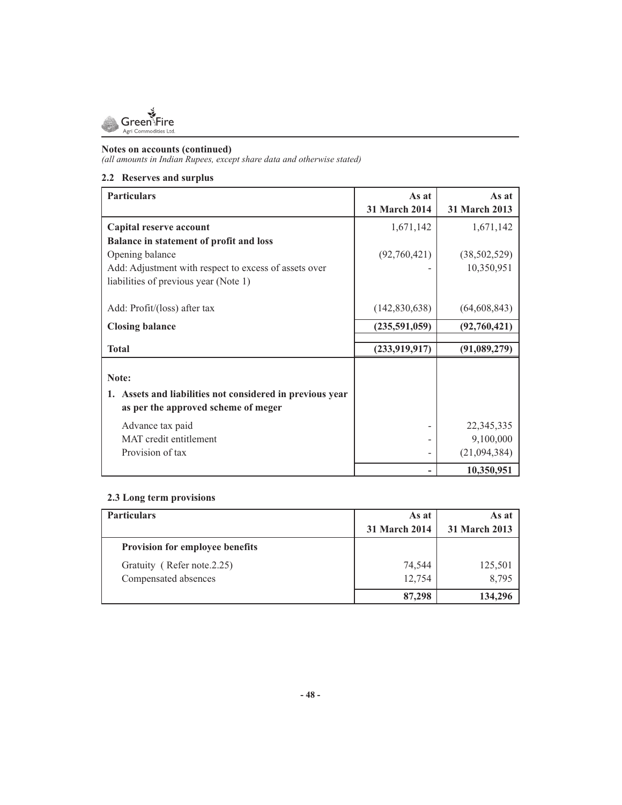

*(all amounts in Indian Rupees, except share data and otherwise stated)*

### **2.2 Reserves and surplus**

| <b>Particulars</b>                                        | As at<br><b>31 March 2014</b> | As at<br><b>31 March 2013</b> |
|-----------------------------------------------------------|-------------------------------|-------------------------------|
| Capital reserve account                                   | 1,671,142                     | 1,671,142                     |
| Balance in statement of profit and loss                   |                               |                               |
| Opening balance                                           | (92,760,421)                  | (38, 502, 529)                |
| Add: Adjustment with respect to excess of assets over     |                               | 10,350,951                    |
| liabilities of previous year (Note 1)                     |                               |                               |
|                                                           |                               |                               |
| Add: Profit/(loss) after tax                              | (142, 830, 638)               | (64, 608, 843)                |
| <b>Closing balance</b>                                    | (235,591,059)                 | (92,760,421)                  |
| <b>Total</b>                                              | (233, 919, 917)               | (91,089,279)                  |
|                                                           |                               |                               |
| Note:                                                     |                               |                               |
| 1. Assets and liabilities not considered in previous year |                               |                               |
| as per the approved scheme of meger                       |                               |                               |
| Advance tax paid                                          |                               | 22,345,335                    |
| MAT credit entitlement                                    |                               | 9,100,000                     |
| Provision of tax                                          |                               | (21,094,384)                  |
|                                                           |                               | 10,350,951                    |

### **2.3 Long term provisions**

| <b>Particulars</b>              | As at         | As at         |
|---------------------------------|---------------|---------------|
|                                 | 31 March 2014 | 31 March 2013 |
| Provision for employee benefits |               |               |
| Gratuity (Refer note.2.25)      | 74,544        | 125,501       |
| Compensated absences            | 12,754        | 8,795         |
|                                 | 87,298        | 134,296       |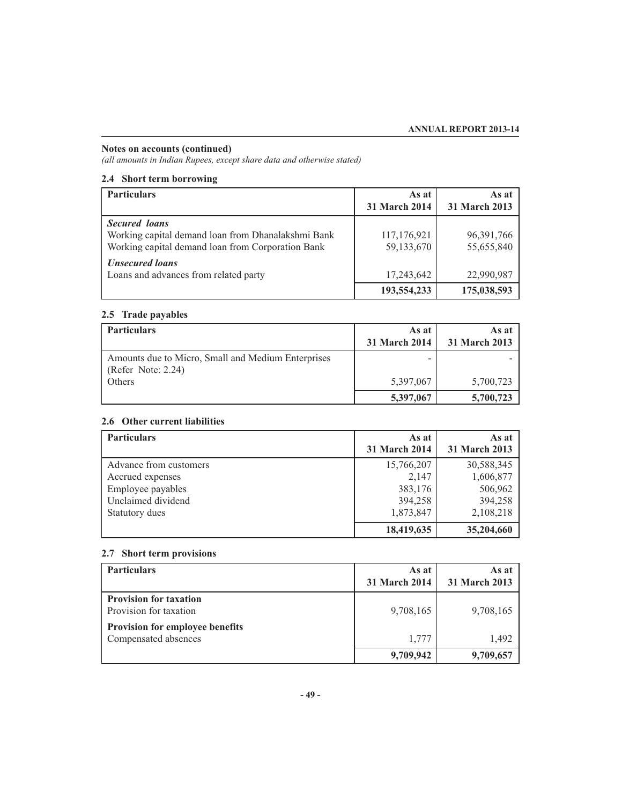*(all amounts in Indian Rupees, except share data and otherwise stated)*

### **2.4 Short term borrowing**

| <b>Particulars</b>                                 | As at                | As at                |
|----------------------------------------------------|----------------------|----------------------|
|                                                    | <b>31 March 2014</b> | <b>31 March 2013</b> |
| <b>Secured</b> loans                               |                      |                      |
| Working capital demand loan from Dhanalakshmi Bank | 117,176,921          | 96,391,766           |
| Working capital demand loan from Corporation Bank  | 59,133,670           | 55,655,840           |
| <b>Unsecured loans</b>                             |                      |                      |
| Loans and advances from related party              | 17,243,642           | 22,990,987           |
|                                                    | 193,554,233          | 175,038,593          |

### **2.5 Trade payables**

| <b>Particulars</b>                                                       | As at<br><b>31 March 2014</b> | As at<br>31 March 2013 |
|--------------------------------------------------------------------------|-------------------------------|------------------------|
| Amounts due to Micro, Small and Medium Enterprises<br>(Refer Note: 2.24) |                               |                        |
| Others                                                                   | 5,397,067                     | 5,700,723              |
|                                                                          | 5,397,067                     | 5,700,723              |

### **2.6 Other current liabilities**

| <b>Particulars</b>     | As at                | As at                |
|------------------------|----------------------|----------------------|
|                        | <b>31 March 2014</b> | <b>31 March 2013</b> |
| Advance from customers | 15,766,207           | 30,588,345           |
| Accrued expenses       | 2.147                | 1,606,877            |
| Employee payables      | 383,176              | 506,962              |
| Unclaimed dividend     | 394,258              | 394,258              |
| Statutory dues         | 1,873,847            | 2,108,218            |
|                        | 18,419,635           | 35,204,660           |

### **2.7 Short term provisions**

| <b>Particulars</b>                                             | As at<br>31 March 2014 | As at<br>31 March 2013 |
|----------------------------------------------------------------|------------------------|------------------------|
| <b>Provision for taxation</b><br>Provision for taxation        | 9,708,165              | 9,708,165              |
| <b>Provision for employee benefits</b><br>Compensated absences | 1,777                  | 1.492                  |
|                                                                | 9,709,942              | 9,709,657              |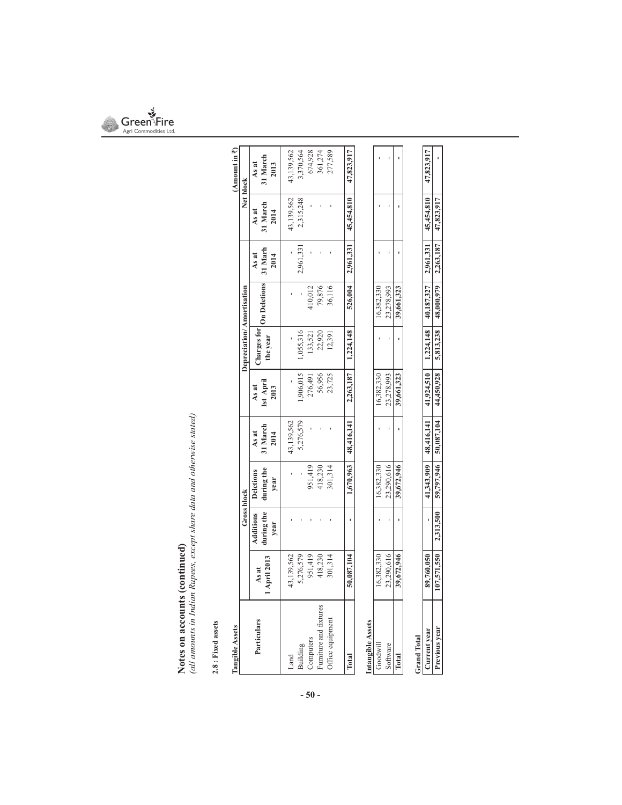

**Notes on accounts (continued)**<br>(all amounts in Indian Rupees, except share data and otherwise stated) *(all amounts in Indian Rupees, except share data and otherwise stated)*

# $2.8$  : Fixed assets **2.8 : Fixed assets**

| Tangible Assets                     |                       |                                 |                                        |                           |                            |                           |                     |                          |                           | (Amount in 7)             |
|-------------------------------------|-----------------------|---------------------------------|----------------------------------------|---------------------------|----------------------------|---------------------------|---------------------|--------------------------|---------------------------|---------------------------|
|                                     |                       | <b>Gross block</b>              |                                        |                           |                            | Depreciation/Amortisation |                     |                          | Net block                 |                           |
| Particulars                         | 1 April 2013<br>As at | during the<br>Additions<br>year | during the<br><b>Deletions</b><br>year | 31 March<br>As at<br>2014 | 1st April<br>As at<br>2013 | Charges for<br>the year   | <b>On Deletions</b> | 31 Marh<br>As at<br>2014 | 31 March<br>As at<br>2014 | 31 March<br>As at<br>2013 |
| Land                                | 43,139,562            |                                 |                                        | 43,139,562                |                            |                           |                     |                          | 13,139,562                | 43,139,562                |
| Building                            | 5,276,579             |                                 |                                        | 5,276,579                 | ,906,015                   | ,055,316                  |                     | 2,961,331                | 2,315,248                 | 3,370,564                 |
|                                     | 951,419               |                                 | 951,419                                |                           | 276,491                    | 133,521                   | 410,012             |                          |                           | 674,928                   |
| Computers<br>Furniture and fixtures | 418,230               |                                 | 418,230                                |                           | 56,956                     | 22,920                    | 79,876              |                          |                           | 361,274                   |
| Office equipment                    | 301,314               |                                 | 301,314                                |                           | 23,725                     | 12,391                    | 36,116              |                          |                           | 277,589                   |
| Total                               | 50,087,104            |                                 | 1,670,963                              | 48,416,141                | 2,263,187                  | 1,224,148                 | 526,004             | 2,961,331                | 45,454,810                | 47,823,917                |
| ntangible Assets                    |                       |                                 |                                        |                           |                            |                           |                     |                          |                           |                           |
| Goodwill                            | 16,382,330            |                                 | 16,382,330                             |                           | 16,382,330                 |                           | 16,382,330          |                          |                           |                           |
| Software                            | 23,290,616            |                                 | 23,290,616                             |                           | 23,278,993                 |                           | 23,278,993          |                          |                           |                           |
| Total                               | 39,672,946            |                                 | 39,672,946                             |                           | 39,661,323                 |                           | 39,661,323          |                          |                           |                           |

|             | 43,490,010                | 23,290,010 | 23,218,993                                                                                                          | 23.210.993 |  |  |
|-------------|---------------------------|------------|---------------------------------------------------------------------------------------------------------------------|------------|--|--|
|             | 39,672,946                | 19,672,946 | 39,661,323                                                                                                          | 39,661,323 |  |  |
| Grand Total |                           |            |                                                                                                                     |            |  |  |
| urrent year | 89,760,050                |            | $41,343,909$   $48,416,141$   $41,924,510$   $1,224,148$   $40,187,327$   $2,961,331$   $45,454,810$   $47,823,917$ |            |  |  |
|             | $107,571,550$ $2,313,500$ |            |                                                                                                                     |            |  |  |
|             |                           |            |                                                                                                                     |            |  |  |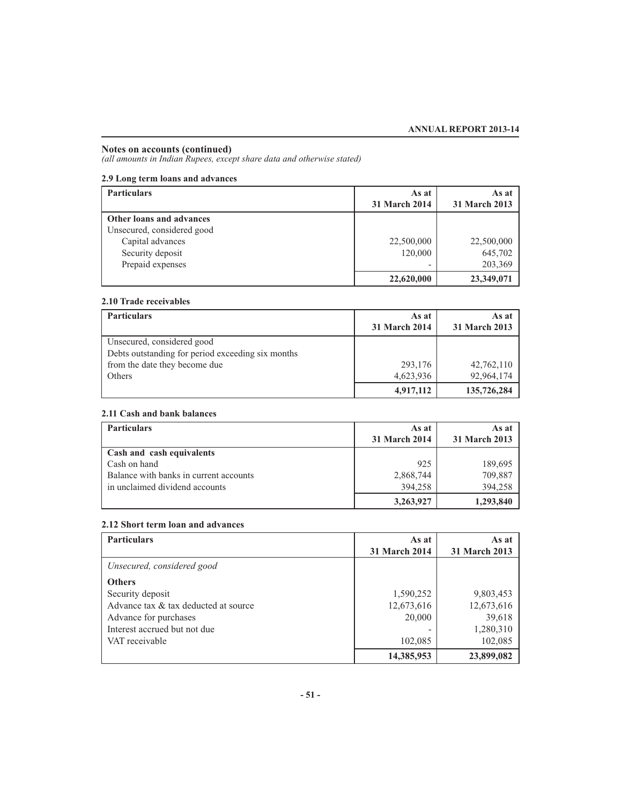*(all amounts in Indian Rupees, except share data and otherwise stated)*

### **2.9 Long term loans and advances**

| <b>Particulars</b>         | As at         | As at         |
|----------------------------|---------------|---------------|
|                            | 31 March 2014 | 31 March 2013 |
| Other loans and advances   |               |               |
| Unsecured, considered good |               |               |
| Capital advances           | 22,500,000    | 22,500,000    |
| Security deposit           | 120,000       | 645,702       |
| Prepaid expenses           |               | 203,369       |
|                            | 22,620,000    | 23,349,071    |

### **2.10 Trade receivables**

| <b>Particulars</b>                                | As at<br>31 March 2014 | As at<br><b>31 March 2013</b> |
|---------------------------------------------------|------------------------|-------------------------------|
|                                                   |                        |                               |
| Unsecured, considered good                        |                        |                               |
| Debts outstanding for period exceeding six months |                        |                               |
| from the date they become due                     | 293,176                | 42,762,110                    |
| Others                                            | 4,623,936              | 92,964,174                    |
|                                                   | 4,917,112              | 135,726,284                   |

### **2.11 Cash and bank balances**

| <b>Particulars</b>                     | As at         | As at         |
|----------------------------------------|---------------|---------------|
|                                        | 31 March 2014 | 31 March 2013 |
| Cash and cash equivalents              |               |               |
| Cash on hand                           | 925           | 189,695       |
| Balance with banks in current accounts | 2,868,744     | 709,887       |
| in unclaimed dividend accounts         | 394,258       | 394,258       |
|                                        | 3,263,927     | 1,293,840     |

### **2.12 Short term loan and advances**

| <b>Particulars</b>                   | As at                | As at                |
|--------------------------------------|----------------------|----------------------|
|                                      | <b>31 March 2014</b> | <b>31 March 2013</b> |
| Unsecured, considered good           |                      |                      |
| <b>Others</b>                        |                      |                      |
| Security deposit                     | 1,590,252            | 9,803,453            |
| Advance tax & tax deducted at source | 12,673,616           | 12,673,616           |
| Advance for purchases                | 20,000               | 39,618               |
| Interest accrued but not due         |                      | 1,280,310            |
| VAT receivable                       | 102,085              | 102,085              |
|                                      | 14,385,953           | 23,899,082           |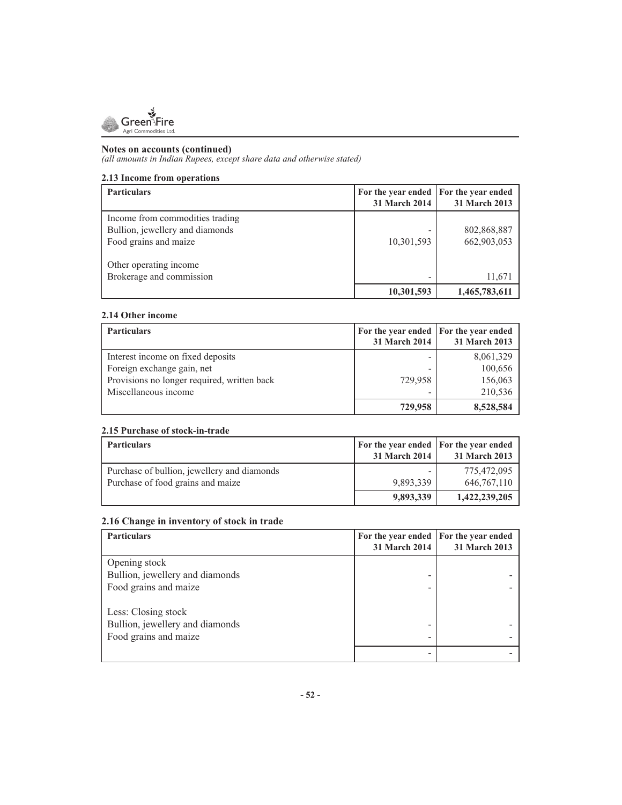

*(all amounts in Indian Rupees, except share data and otherwise stated)*

### **2.13 Income from operations**

| 10,301,593 | 802,868,887<br>662,903,053 |
|------------|----------------------------|
|            | 11,671<br>1,465,783,611    |
|            | 10,301,593                 |

### **2.14 Other income**

| <b>Particulars</b>                          | For the year ended For the year ended<br><b>31 March 2014</b> | 31 March 2013 |
|---------------------------------------------|---------------------------------------------------------------|---------------|
| Interest income on fixed deposits           |                                                               | 8,061,329     |
| Foreign exchange gain, net                  |                                                               | 100,656       |
| Provisions no longer required, written back | 729,958                                                       | 156,063       |
| Miscellaneous income                        |                                                               | 210,536       |
|                                             | 729,958                                                       | 8,528,584     |

### **2.15 Purchase of stock-in-trade**

| <b>Particulars</b>                          | For the year ended   For the year ended<br><b>31 March 2014</b> | 31 March 2013 |
|---------------------------------------------|-----------------------------------------------------------------|---------------|
| Purchase of bullion, jewellery and diamonds |                                                                 | 775,472,095   |
| Purchase of food grains and maize           | 9.893.339                                                       | 646, 767, 110 |
|                                             | 9,893,339                                                       | 1,422,239,205 |

### **2.16 Change in inventory of stock in trade**

| <b>Particulars</b>              | 31 March 2014 | For the year ended For the year ended<br>31 March 2013 |
|---------------------------------|---------------|--------------------------------------------------------|
| Opening stock                   |               |                                                        |
| Bullion, jewellery and diamonds |               |                                                        |
| Food grains and maize           |               |                                                        |
| Less: Closing stock             |               |                                                        |
| Bullion, jewellery and diamonds |               |                                                        |
| Food grains and maize           |               |                                                        |
|                                 |               |                                                        |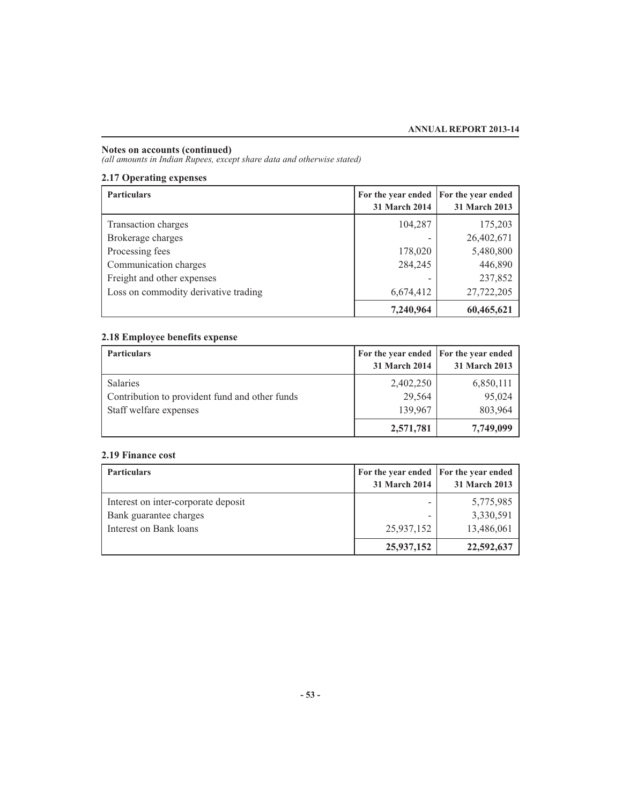*(all amounts in Indian Rupees, except share data and otherwise stated)*

### **2.17 Operating expenses**

| <b>Particulars</b>                   | For the year ended<br>31 March 2014 | <b>For the year ended</b><br>31 March 2013 |
|--------------------------------------|-------------------------------------|--------------------------------------------|
| Transaction charges                  | 104,287                             | 175,203                                    |
| Brokerage charges                    |                                     | 26,402,671                                 |
| Processing fees                      | 178,020                             | 5,480,800                                  |
| Communication charges                | 284,245                             | 446,890                                    |
| Freight and other expenses           |                                     | 237,852                                    |
| Loss on commodity derivative trading | 6,674,412                           | 27,722,205                                 |
|                                      | 7,240,964                           | 60,465,621                                 |

### **2.18 Employee benefits expense**

| <b>Particulars</b>                                                                          | For the year ended For the year ended<br><b>31 March 2014</b> | 31 March 2013                  |
|---------------------------------------------------------------------------------------------|---------------------------------------------------------------|--------------------------------|
| <b>Salaries</b><br>Contribution to provident fund and other funds<br>Staff welfare expenses | 2,402,250<br>29,564<br>139,967                                | 6,850,111<br>95,024<br>803,964 |
|                                                                                             | 2,571,781                                                     | 7,749,099                      |

### **2.19 Finance cost**

| <b>Particulars</b>                  | For the year ended   For the year ended<br><b>31 March 2014</b> | 31 March 2013 |
|-------------------------------------|-----------------------------------------------------------------|---------------|
| Interest on inter-corporate deposit |                                                                 | 5,775,985     |
| Bank guarantee charges              |                                                                 | 3,330,591     |
| Interest on Bank loans              | 25,937,152                                                      | 13,486,061    |
|                                     | 25,937,152                                                      | 22,592,637    |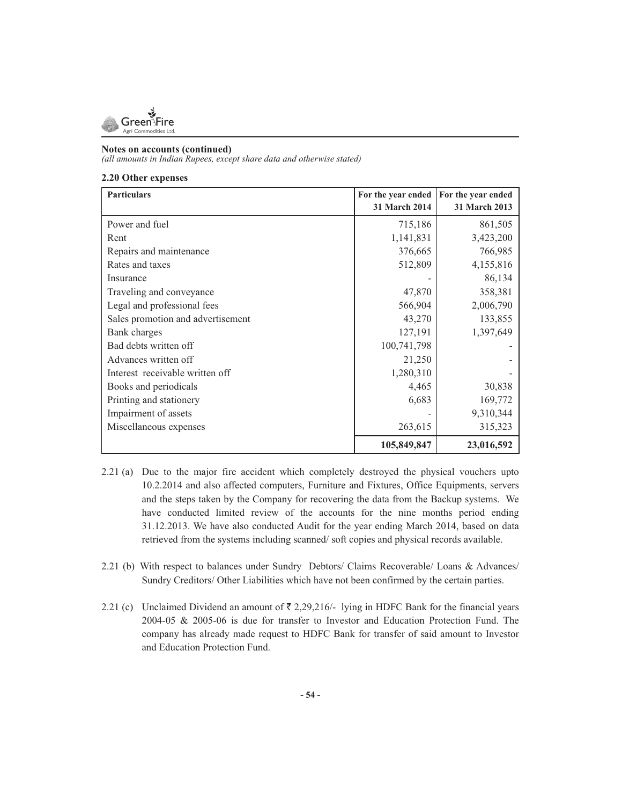

*(all amounts in Indian Rupees, except share data and otherwise stated)*

### **2.20 Other expenses**

| <b>Particulars</b>                | For the year ended | For the year ended |
|-----------------------------------|--------------------|--------------------|
|                                   | 31 March 2014      | 31 March 2013      |
| Power and fuel                    | 715,186            | 861,505            |
| Rent                              | 1,141,831          | 3,423,200          |
| Repairs and maintenance           | 376,665            | 766,985            |
| Rates and taxes                   | 512,809            | 4,155,816          |
| Insurance                         |                    | 86,134             |
| Traveling and conveyance          | 47,870             | 358,381            |
| Legal and professional fees       | 566,904            | 2,006,790          |
| Sales promotion and advertisement | 43,270             | 133,855            |
| Bank charges                      | 127,191            | 1,397,649          |
| Bad debts written off             | 100,741,798        |                    |
| Advances written off              | 21,250             |                    |
| Interest receivable written off   | 1,280,310          |                    |
| Books and periodicals             | 4,465              | 30,838             |
| Printing and stationery           | 6,683              | 169,772            |
| Impairment of assets              |                    | 9,310,344          |
| Miscellaneous expenses            | 263,615            | 315,323            |
|                                   | 105,849,847        | 23,016,592         |

- 2.21 (a) Due to the major fire accident which completely destroyed the physical vouchers upto 10.2.2014 and also affected computers, Furniture and Fixtures, Office Equipments, servers and the steps taken by the Company for recovering the data from the Backup systems. We have conducted limited review of the accounts for the nine months period ending 31.12.2013. We have also conducted Audit for the year ending March 2014, based on data retrieved from the systems including scanned/ soft copies and physical records available.
- 2.21 (b) With respect to balances under Sundry Debtors/ Claims Recoverable/ Loans & Advances/ Sundry Creditors/ Other Liabilities which have not been confirmed by the certain parties.
- 2.21 (c) Unclaimed Dividend an amount of  $\bar{\tau}$  2,29,216/- lying in HDFC Bank for the financial years 2004-05 & 2005-06 is due for transfer to Investor and Education Protection Fund. The company has already made request to HDFC Bank for transfer of said amount to Investor and Education Protection Fund.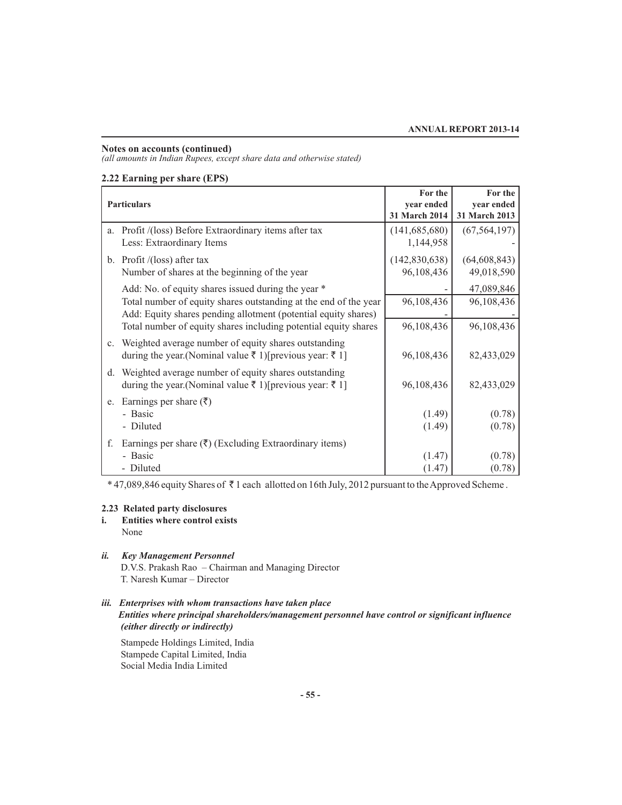*(all amounts in Indian Rupees, except share data and otherwise stated)*

### **2.22 Earning per share (EPS)**

|    | <b>Particulars</b>                                                                                                                 | For the<br>year ended<br>31 March 2014 | For the<br>year ended<br>31 March 2013 |
|----|------------------------------------------------------------------------------------------------------------------------------------|----------------------------------------|----------------------------------------|
|    | a. Profit /(loss) Before Extraordinary items after tax<br>Less: Extraordinary Items                                                | (141, 685, 680)<br>1,144,958           | (67, 564, 197)                         |
|    | b. Profit $/$ (loss) after tax<br>Number of shares at the beginning of the year                                                    | (142,830,638)<br>96,108,436            | (64, 608, 843)<br>49,018,590           |
|    | Add: No. of equity shares issued during the year *                                                                                 |                                        | 47,089,846                             |
|    | Total number of equity shares outstanding at the end of the year<br>Add: Equity shares pending allotment (potential equity shares) | 96,108,436                             | 96,108,436                             |
|    | Total number of equity shares including potential equity shares                                                                    | 96,108,436                             | 96,108,436                             |
|    | c. Weighted average number of equity shares outstanding<br>during the year. (Nominal value ₹ 1) [previous year: ₹ 1]               | 96,108,436                             | 82,433,029                             |
| d. | Weighted average number of equity shares outstanding<br>during the year. (Nominal value ₹ 1) [previous year: ₹ 1]                  | 96,108,436                             | 82,433,029                             |
|    | e. Earnings per share $(\bar{\zeta})$<br>- Basic<br>- Diluted                                                                      | (1.49)<br>(1.49)                       | (0.78)<br>(0.78)                       |
|    |                                                                                                                                    |                                        |                                        |
| f. | Earnings per share $(\bar{\tau})$ (Excluding Extraordinary items)<br>- Basic<br>- Diluted                                          | (1.47)<br>(1.47)                       | (0.78)<br>(0.78)                       |

\* 47,089,846 equity Shares of ₹1 each allotted on 16th July, 2012 pursuant to the Approved Scheme .

### **2.23 Related party disclosures**

- **i. Entities where control exists** None
- *ii. Key Management Personnel*

 D.V.S. Prakash Rao – Chairman and Managing Director T. Naresh Kumar – Director

### *iii. Enterprises with whom transactions have taken place Entities where principal shareholders/management personnel have control or significant influence (either directly or indirectly)*

 Stampede Holdings Limited, India Stampede Capital Limited, India Social Media India Limited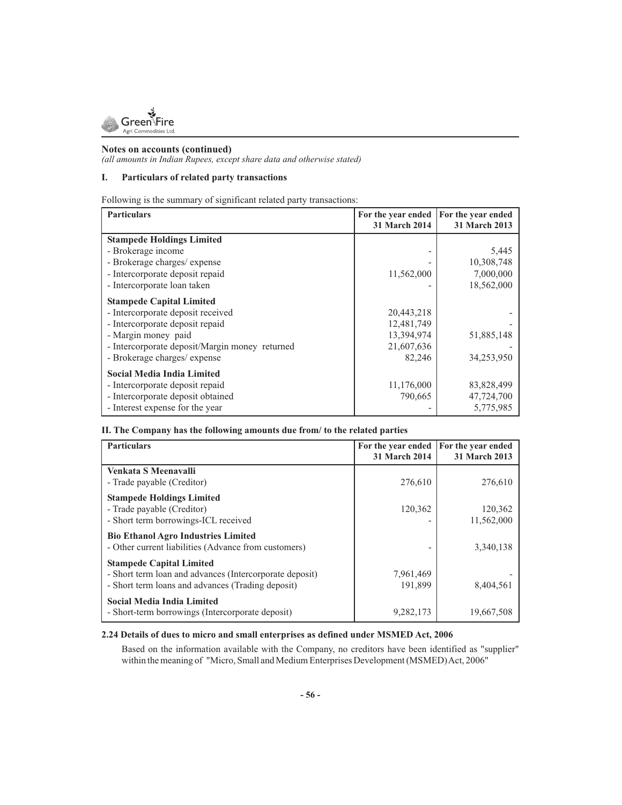

*(all amounts in Indian Rupees, except share data and otherwise stated)*

### **I. Particulars of related party transactions**

Following is the summary of significant related party transactions:

| <b>Particulars</b>                             | For the year ended<br>31 March 2014 | For the year ended<br><b>31 March 2013</b> |
|------------------------------------------------|-------------------------------------|--------------------------------------------|
| <b>Stampede Holdings Limited</b>               |                                     |                                            |
| - Brokerage income                             |                                     | 5,445                                      |
| - Brokerage charges/ expense                   |                                     | 10,308,748                                 |
| - Intercorporate deposit repaid                | 11,562,000                          | 7,000,000                                  |
| - Intercorporate loan taken                    |                                     | 18,562,000                                 |
| <b>Stampede Capital Limited</b>                |                                     |                                            |
| - Intercorporate deposit received              | 20,443,218                          |                                            |
| - Intercorporate deposit repaid                | 12,481,749                          |                                            |
| - Margin money paid                            | 13,394,974                          | 51,885,148                                 |
| - Intercorporate deposit/Margin money returned | 21,607,636                          |                                            |
| - Brokerage charges/ expense                   | 82,246                              | 34,253,950                                 |
| <b>Social Media India Limited</b>              |                                     |                                            |
| - Intercorporate deposit repaid                | 11,176,000                          | 83,828,499                                 |
| - Intercorporate deposit obtained              | 790,665                             | 47,724,700                                 |
| - Interest expense for the year                |                                     | 5,775,985                                  |

### **II. The Company has the following amounts due from/ to the related parties**

| <b>Particulars</b>                                                                                                                              | For the year ended<br><b>31 March 2014</b> | For the year ended<br><b>31 March 2013</b> |
|-------------------------------------------------------------------------------------------------------------------------------------------------|--------------------------------------------|--------------------------------------------|
| Venkata S Meenavalli<br>- Trade payable (Creditor)                                                                                              | 276,610                                    | 276,610                                    |
| <b>Stampede Holdings Limited</b><br>- Trade payable (Creditor)<br>- Short term borrowings-ICL received                                          | 120,362                                    | 120,362<br>11,562,000                      |
| <b>Bio Ethanol Agro Industries Limited</b><br>- Other current liabilities (Advance from customers)                                              |                                            | 3,340,138                                  |
| <b>Stampede Capital Limited</b><br>- Short term loan and advances (Intercorporate deposit)<br>- Short term loans and advances (Trading deposit) | 7,961,469<br>191,899                       | 8,404,561                                  |
| <b>Social Media India Limited</b><br>- Short-term borrowings (Intercorporate deposit)                                                           | 9,282,173                                  | 19,667,508                                 |

### **2.24 Details of dues to micro and small enterprises as defined under MSMED Act, 2006**

Based on the information available with the Company, no creditors have been identified as "supplier" within the meaning of "Micro, Small and Medium Enterprises Development (MSMED) Act, 2006"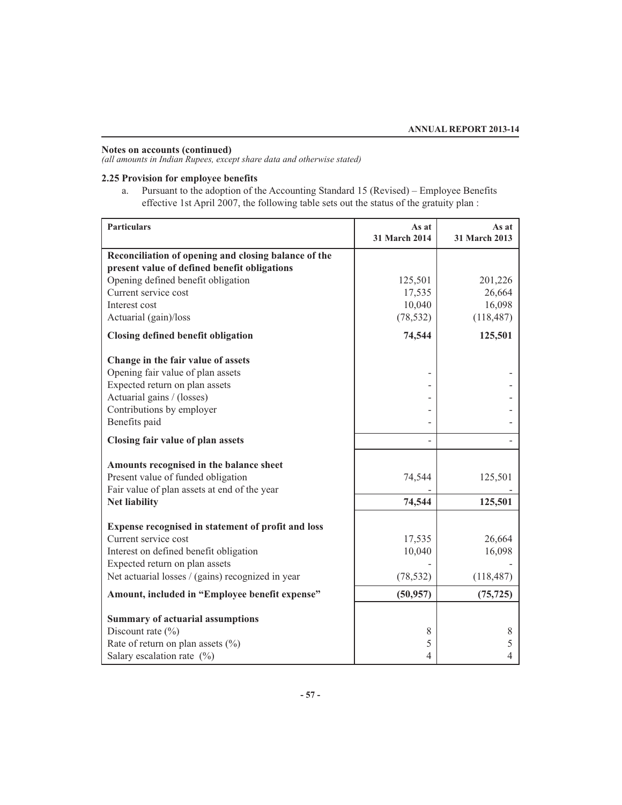*(all amounts in Indian Rupees, except share data and otherwise stated)*

### **2.25 Provision for employee benefits**

a. Pursuant to the adoption of the Accounting Standard 15 (Revised) – Employee Benefits effective 1st April 2007, the following table sets out the status of the gratuity plan :

| <b>Particulars</b>                                                                                                                                                                                          | As at<br>31 March 2014                   | As at<br>31 March 2013                    |
|-------------------------------------------------------------------------------------------------------------------------------------------------------------------------------------------------------------|------------------------------------------|-------------------------------------------|
| Reconciliation of opening and closing balance of the<br>present value of defined benefit obligations                                                                                                        |                                          |                                           |
| Opening defined benefit obligation<br>Current service cost<br>Interest cost<br>Actuarial (gain)/loss                                                                                                        | 125,501<br>17,535<br>10,040<br>(78, 532) | 201,226<br>26,664<br>16,098<br>(118, 487) |
| Closing defined benefit obligation                                                                                                                                                                          | 74,544                                   | 125,501                                   |
| Change in the fair value of assets<br>Opening fair value of plan assets<br>Expected return on plan assets<br>Actuarial gains / (losses)<br>Contributions by employer<br>Benefits paid                       |                                          |                                           |
| Closing fair value of plan assets                                                                                                                                                                           |                                          |                                           |
| Amounts recognised in the balance sheet<br>Present value of funded obligation<br>Fair value of plan assets at end of the year<br><b>Net liability</b>                                                       | 74,544<br>74,544                         | 125,501<br>125,501                        |
| Expense recognised in statement of profit and loss<br>Current service cost<br>Interest on defined benefit obligation<br>Expected return on plan assets<br>Net actuarial losses / (gains) recognized in year | 17,535<br>10,040<br>(78, 532)            | 26,664<br>16,098<br>(118, 487)            |
| Amount, included in "Employee benefit expense"                                                                                                                                                              | (50, 957)                                | (75, 725)                                 |
| <b>Summary of actuarial assumptions</b><br>Discount rate $(\% )$<br>Rate of return on plan assets $(\% )$<br>Salary escalation rate $(\%)$                                                                  | 8<br>5<br>4                              | 8<br>5<br>4                               |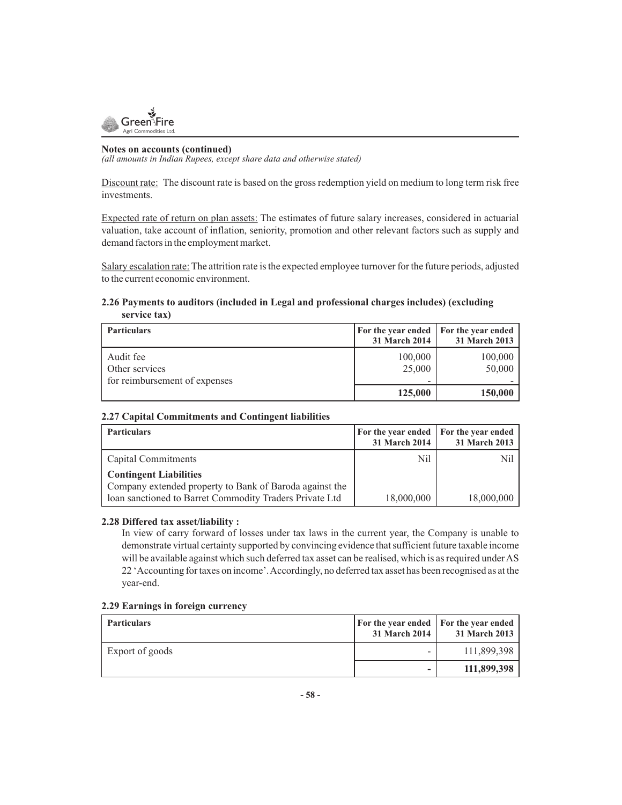

*(all amounts in Indian Rupees, except share data and otherwise stated)*

Discount rate: The discount rate is based on the gross redemption yield on medium to long term risk free investments.

Expected rate of return on plan assets: The estimates of future salary increases, considered in actuarial valuation, take account of inflation, seniority, promotion and other relevant factors such as supply and demand factors in the employment market.

Salary escalation rate: The attrition rate is the expected employee turnover for the future periods, adjusted to the current economic environment.

### **2.26 Payments to auditors (included in Legal and professional charges includes) (excluding service tax)**

| <b>Particulars</b>                                           | For the year ended   For the year ended<br><b>31 March 2014</b> | 31 March 2013     |
|--------------------------------------------------------------|-----------------------------------------------------------------|-------------------|
| Audit fee<br>Other services<br>for reimbursement of expenses | 100,000<br>25,000                                               | 100,000<br>50,000 |
|                                                              | 125,000                                                         | 150,000           |

### **2.27 Capital Commitments and Contingent liabilities**

| <b>Particulars</b>                                                                       | For the year ended   For the year ended<br><b>31 March 2014</b> | 31 March 2013 |
|------------------------------------------------------------------------------------------|-----------------------------------------------------------------|---------------|
| Capital Commitments                                                                      | Nil                                                             | Nil           |
| <b>Contingent Liabilities</b><br>Company extended property to Bank of Baroda against the |                                                                 |               |
| loan sanctioned to Barret Commodity Traders Private Ltd                                  | 18,000,000                                                      | 18,000,000    |

### **2.28 Differed tax asset/liability :**

In view of carry forward of losses under tax laws in the current year, the Company is unable to demonstrate virtual certainty supported by convincing evidence that sufficient future taxable income will be available against which such deferred tax asset can be realised, which is as required under AS 22 'Accounting for taxes on income'. Accordingly, no deferred tax asset has been recognised as at the year-end.

### **2.29 Earnings in foreign currency**

| <b>Particulars</b> | <b>For the year ended For the year ended</b><br>31 March 2014 | 31 March 2013 |
|--------------------|---------------------------------------------------------------|---------------|
| Export of goods    | -                                                             | 111,899,398   |
|                    | ۰                                                             | 111,899,398   |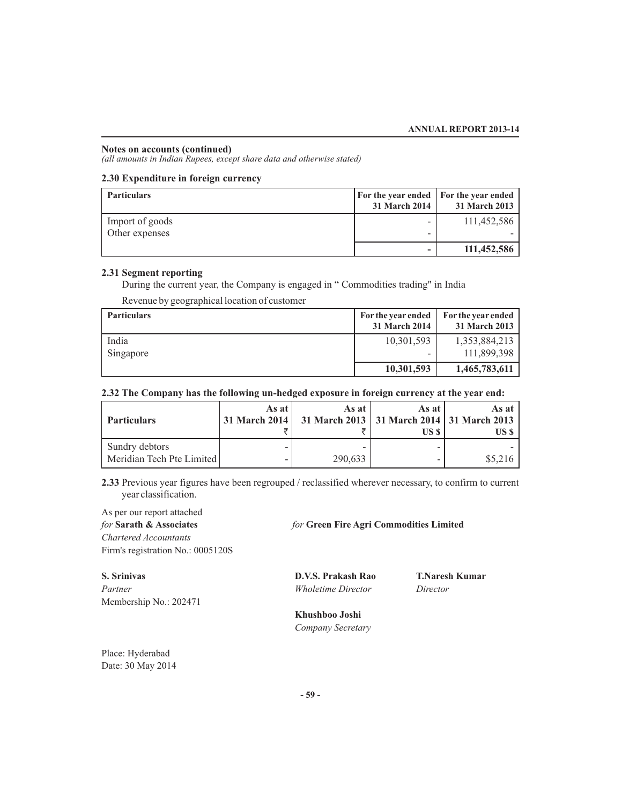*(all amounts in Indian Rupees, except share data and otherwise stated)*

### **2.30 Expenditure in foreign currency**

| <b>Particulars</b> | <b>For the year ended For the year ended</b><br>31 March 2014 | 31 March 2013 |
|--------------------|---------------------------------------------------------------|---------------|
| Import of goods    | -                                                             | 111,452,586   |
| Other expenses     | -                                                             |               |
|                    | -                                                             | 111,452,586   |

### **2.31 Segment reporting**

During the current year, the Company is engaged in " Commodities trading" in India

Revenue by geographical location of customer

| <b>Particulars</b> | For the year ended<br>31 March 2014 | For the year ended<br>31 March 2013 |
|--------------------|-------------------------------------|-------------------------------------|
| India<br>Singapore | 10,301,593<br>-                     | 1,353,884,213<br>111,899,398        |
|                    | 10,301,593                          | 1,465,783,611                       |

### **2.32 The Company has the following un-hedged exposure in foreign currency at the year end:**

| <b>Particulars</b>                          | As at | As at<br>  31 March 2014   31 March 2013   31 March 2014   31 March 2013 | As at<br>US \$ | As at 1<br>US \$ |
|---------------------------------------------|-------|--------------------------------------------------------------------------|----------------|------------------|
| Sundry debtors<br>Meridian Tech Pte Limited |       | 290,633                                                                  | -              | \$5,216          |

**2.33** Previous year figures have been regrouped / reclassified wherever necessary, to confirm to current year classification.

As per our report attached *for* **Sarath & Associates** *for* **Green Fire Agri Commodities Limited** *Chartered Accountants* Firm's registration No.: 0005120S

*Partner Wholetime Director Director* Membership No.: 202471

**S. Srinivas D.V.S. Prakash Rao T.Naresh Kumar** 

 **Khushboo Joshi**   *Company Secretary* 

Place: Hyderabad Date: 30 May 2014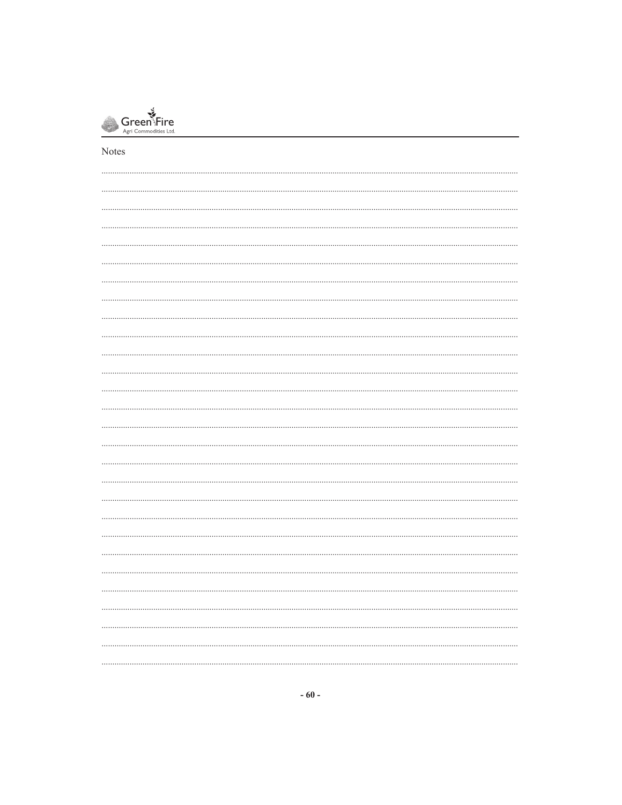

Notes

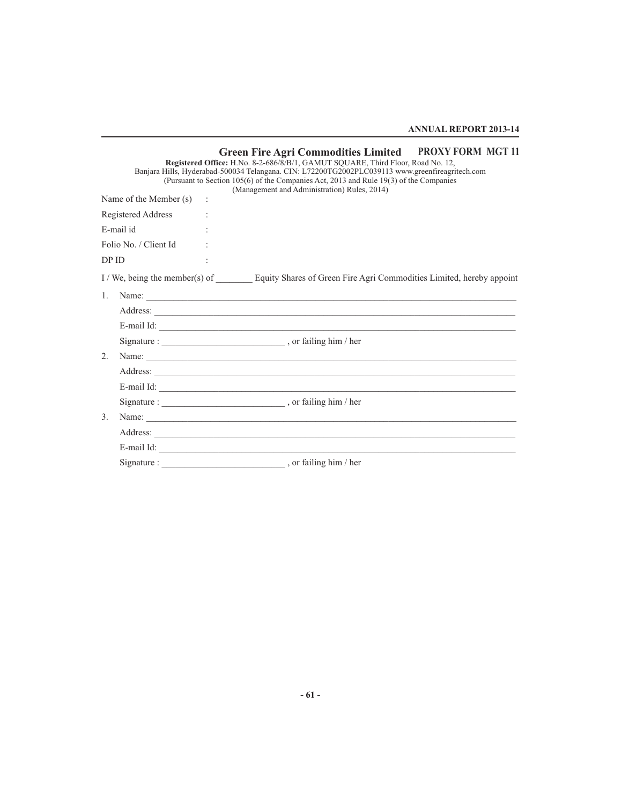**ANNUAL REPORT 2013-14**

|                  |                            | Green Fire Agri Commodities Limited PROXY FORM MGT 11<br>Registered Office: H.No. 8-2-686/8/B/1, GAMUT SQUARE, Third Floor, Road No. 12,<br>Banjara Hills, Hyderabad-500034 Telangana. CIN: L72200TG2002PLC039113 www.greenfireagritech.com<br>(Pursuant to Section 105(6) of the Companies Act, 2013 and Rule 19(3) of the Companies<br>(Management and Administration) Rules, 2014) |
|------------------|----------------------------|---------------------------------------------------------------------------------------------------------------------------------------------------------------------------------------------------------------------------------------------------------------------------------------------------------------------------------------------------------------------------------------|
|                  | Name of the Member $(s)$ : |                                                                                                                                                                                                                                                                                                                                                                                       |
|                  | Registered Address         |                                                                                                                                                                                                                                                                                                                                                                                       |
|                  | E-mail id                  |                                                                                                                                                                                                                                                                                                                                                                                       |
|                  | Folio No. / Client Id      |                                                                                                                                                                                                                                                                                                                                                                                       |
| DP ID            |                            |                                                                                                                                                                                                                                                                                                                                                                                       |
|                  |                            | I/We, being the member(s) of Equity Shares of Green Fire Agri Commodities Limited, hereby appoint                                                                                                                                                                                                                                                                                     |
| $\mathbf{1}$ .   |                            | Name:                                                                                                                                                                                                                                                                                                                                                                                 |
|                  |                            |                                                                                                                                                                                                                                                                                                                                                                                       |
|                  |                            |                                                                                                                                                                                                                                                                                                                                                                                       |
|                  |                            |                                                                                                                                                                                                                                                                                                                                                                                       |
| $2^{\circ}$      |                            |                                                                                                                                                                                                                                                                                                                                                                                       |
|                  |                            |                                                                                                                                                                                                                                                                                                                                                                                       |
|                  |                            | E-mail Id:                                                                                                                                                                                                                                                                                                                                                                            |
|                  |                            |                                                                                                                                                                                                                                                                                                                                                                                       |
| $\mathfrak{Z}$ . |                            | Name:                                                                                                                                                                                                                                                                                                                                                                                 |
|                  |                            |                                                                                                                                                                                                                                                                                                                                                                                       |
|                  |                            |                                                                                                                                                                                                                                                                                                                                                                                       |
|                  | Signature :                |                                                                                                                                                                                                                                                                                                                                                                                       |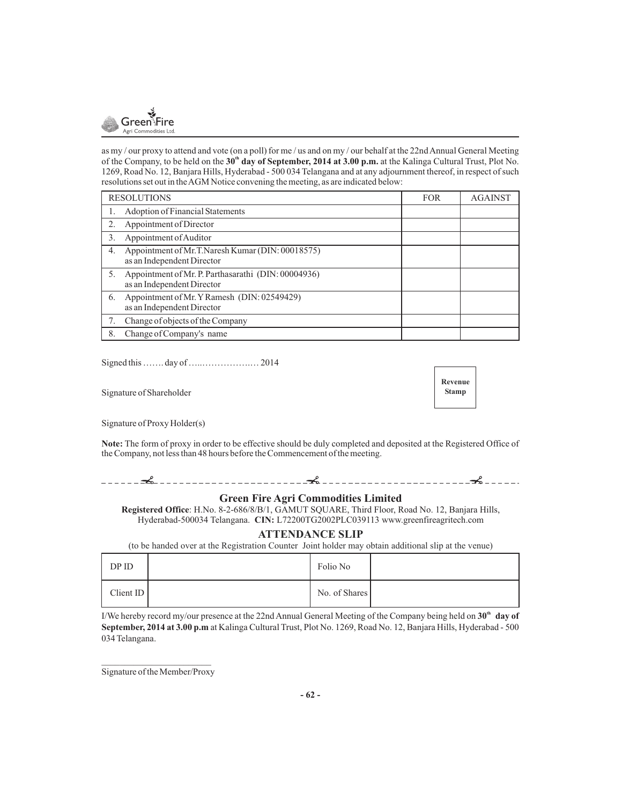

as my / our proxy to attend and vote (on a poll) for me / us and on my / our behalf at the 22nd Annual General Meeting of the Company, to be held on the  $30^{\circ}$  day of September, 2014 at 3.00 p.m. at the Kalinga Cultural Trust, Plot No. 1269, Road No. 12, Banjara Hills, Hyderabad - 500 034 Telangana and at any adjournment thereof, in respect of such resolutions set out in the AGM Notice convening the meeting, as are indicated below:

| <b>RESOLUTIONS</b>                                                                      | <b>FOR</b> | <b>AGAINST</b> |
|-----------------------------------------------------------------------------------------|------------|----------------|
| Adoption of Financial Statements                                                        |            |                |
| Appointment of Director                                                                 |            |                |
| Appointment of Auditor<br>3.                                                            |            |                |
| Appointment of Mr.T.Naresh Kumar (DIN: 00018575)<br>4.<br>as an Independent Director    |            |                |
| Appointment of Mr. P. Parthasarathi (DIN: 00004936)<br>5.<br>as an Independent Director |            |                |
| Appointment of Mr. Y Ramesh (DIN: 02549429)<br>6.<br>as an Independent Director         |            |                |
| Change of objects of the Company                                                        |            |                |
| Change of Company's name<br>8.                                                          |            |                |

Signed this ……. day of …..…………….… 2014

Signature of Shareholder



Signature of Proxy Holder(s)

**Note:** The form of proxy in order to be effective should be duly completed and deposited at the Registered Office of the Company, not less than 48 hours before the Commencement of the meeting.

### **Green Fire Agri Commodities Limited**

**Registered Office**: H.No. 8-2-686/8/B/1, GAMUT SQUARE, Third Floor, Road No. 12, Banjara Hills, Hyderabad-500034 Telangana. **CIN:** L72200TG2002PLC039113 www.greenfireagritech.com

### **ATTENDANCE SLIP**

(to be handed over at the Registration Counter Joint holder may obtain additional slip at the venue)

| DP ID    | Folio No      |  |
|----------|---------------|--|
| ClientID | No. of Shares |  |

I/We hereby record my/our presence at the 22nd Annual General Meeting of the Company being held on  $30^{\circ}$  day of **September, 2014 at 3.00 p.m** at Kalinga Cultural Trust, Plot No. 1269, Road No. 12, Banjara Hills, Hyderabad - 500 034 Telangana.

Signature of the Member/Proxy